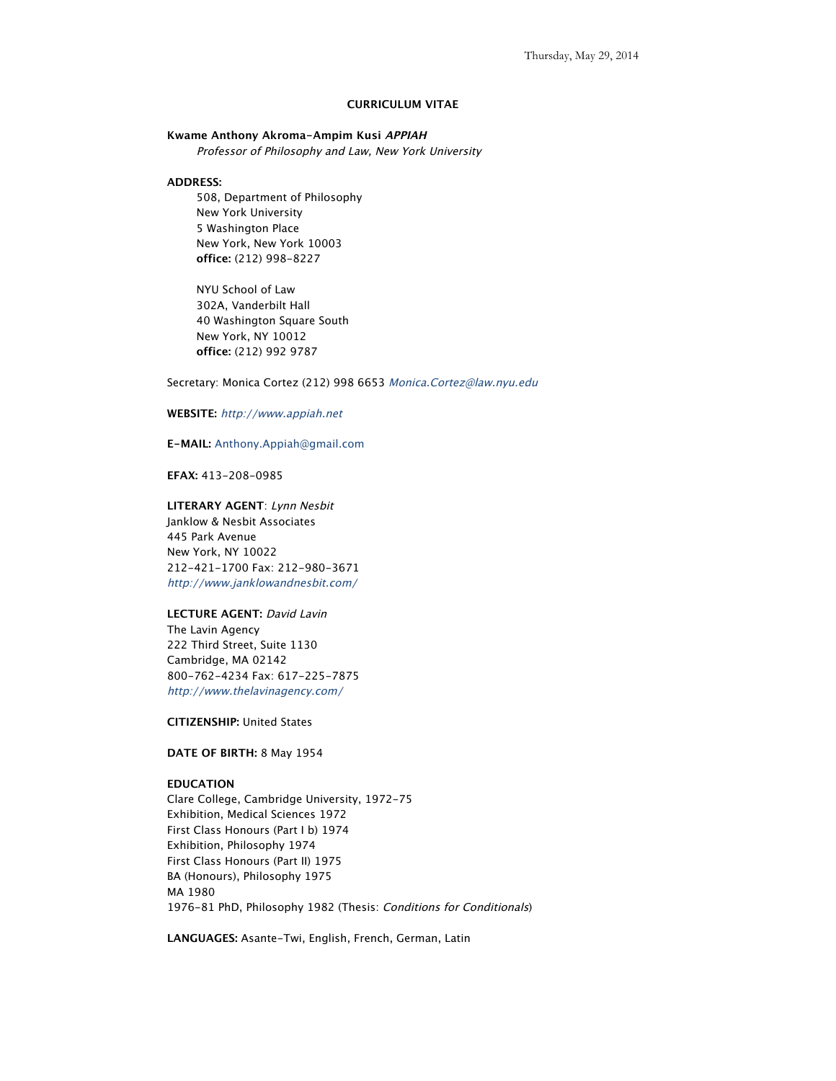# **CURRICULUM VITAE**

# **Kwame Anthony Akroma-Ampim Kusi APPIAH**

Professor of Philosophy and Law, New York University

# **ADDRESS:**

508, Department of Philosophy New York University 5 Washington Place New York, New York 10003 **office:** (212) 998-8227

NYU School of Law 302A, Vanderbilt Hall 40 Washington Square South New York, NY 10012 **office:** (212) 992 9787

Secretary: Monica Cortez (212) 998 6653 Monica.Cortez@law.nyu.edu

# **WEBSITE:** http://www.appiah.net

# **E-MAIL:** Anthony.Appiah@gmail.com

**EFAX:** 413-208-0985

**LITERARY AGENT**: Lynn Nesbit Janklow & Nesbit Associates 445 Park Avenue New York, NY 10022 212-421-1700 Fax: 212-980-3671 http://www.janklowandnesbit.com/

# **LECTURE AGENT:** David Lavin The Lavin Agency 222 Third Street, Suite 1130

Cambridge, MA 02142 800-762-4234 Fax: 617-225-7875 http://www.thelavinagency.com/

**CITIZENSHIP:** United States

**DATE OF BIRTH:** 8 May 1954

# **EDUCATION**

Clare College, Cambridge University, 1972-75 Exhibition, Medical Sciences 1972 First Class Honours (Part I b) 1974 Exhibition, Philosophy 1974 First Class Honours (Part II) 1975 BA (Honours), Philosophy 1975 MA 1980 1976-81 PhD, Philosophy 1982 (Thesis: Conditions for Conditionals)

**LANGUAGES:** Asante-Twi, English, French, German, Latin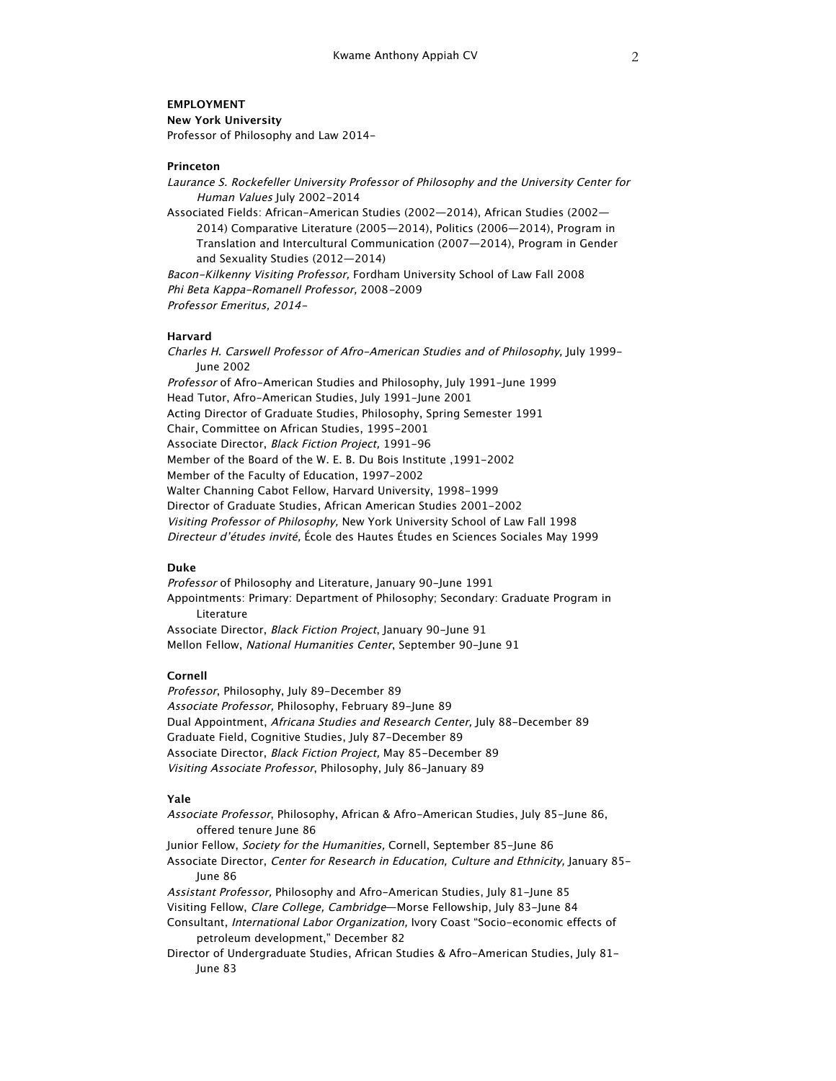# **EMPLOYMENT**

**New York University** Professor of Philosophy and Law 2014-

### **Princeton**

Laurance S. Rockefeller University Professor of Philosophy and the University Center for Human Values July 2002-2014

Associated Fields: African-American Studies (2002—2014), African Studies (2002— 2014) Comparative Literature (2005—2014), Politics (2006—2014), Program in Translation and Intercultural Communication (2007—2014), Program in Gender and Sexuality Studies (2012—2014)

Bacon-Kilkenny Visiting Professor, Fordham University School of Law Fall 2008 Phi Beta Kappa-Romanell Professor, 2008-2009 Professor Emeritus, 2014-

# **Harvard**

Charles H. Carswell Professor of Afro-American Studies and of Philosophy, July 1999- June 2002 Professor of Afro-American Studies and Philosophy, July 1991-June 1999 Head Tutor, Afro-American Studies, July 1991-June 2001 Acting Director of Graduate Studies, Philosophy, Spring Semester 1991 Chair, Committee on African Studies, 1995-2001 Associate Director, Black Fiction Project, 1991-96 Member of the Board of the W. E. B. Du Bois Institute ,1991-2002 Member of the Faculty of Education, 1997-2002 Walter Channing Cabot Fellow, Harvard University, 1998-1999 Director of Graduate Studies, African American Studies 2001-2002 Visiting Professor of Philosophy, New York University School of Law Fall 1998 Directeur d'études invité, École des Hautes Études en Sciences Sociales May 1999

### **Duke**

Professor of Philosophy and Literature, January 90-June 1991 Appointments: Primary: Department of Philosophy; Secondary: Graduate Program in Literature Associate Director, Black Fiction Project, January 90-June 91 Mellon Fellow, National Humanities Center, September 90-June 91

# **Cornell**

Professor, Philosophy, July 89-December 89 Associate Professor, Philosophy, February 89-June 89 Dual Appointment, Africana Studies and Research Center, July 88-December 89 Graduate Field, Cognitive Studies, July 87-December 89 Associate Director, Black Fiction Project, May 85-December 89 Visiting Associate Professor, Philosophy, July 86-January 89

#### **Yale**

Associate Professor, Philosophy, African & Afro-American Studies, July 85-June 86, offered tenure June 86 Junior Fellow, Society for the Humanities, Cornell, September 85-June 86

Associate Director, Center for Research in Education, Culture and Ethnicity, January 85- June 86

Assistant Professor, Philosophy and Afro-American Studies, July 81-June 85 Visiting Fellow, Clare College, Cambridge—Morse Fellowship, July 83-June 84 Consultant, International Labor Organization, Ivory Coast "Socio-economic effects of petroleum development," December 82

Director of Undergraduate Studies, African Studies & Afro-American Studies, July 81- June 83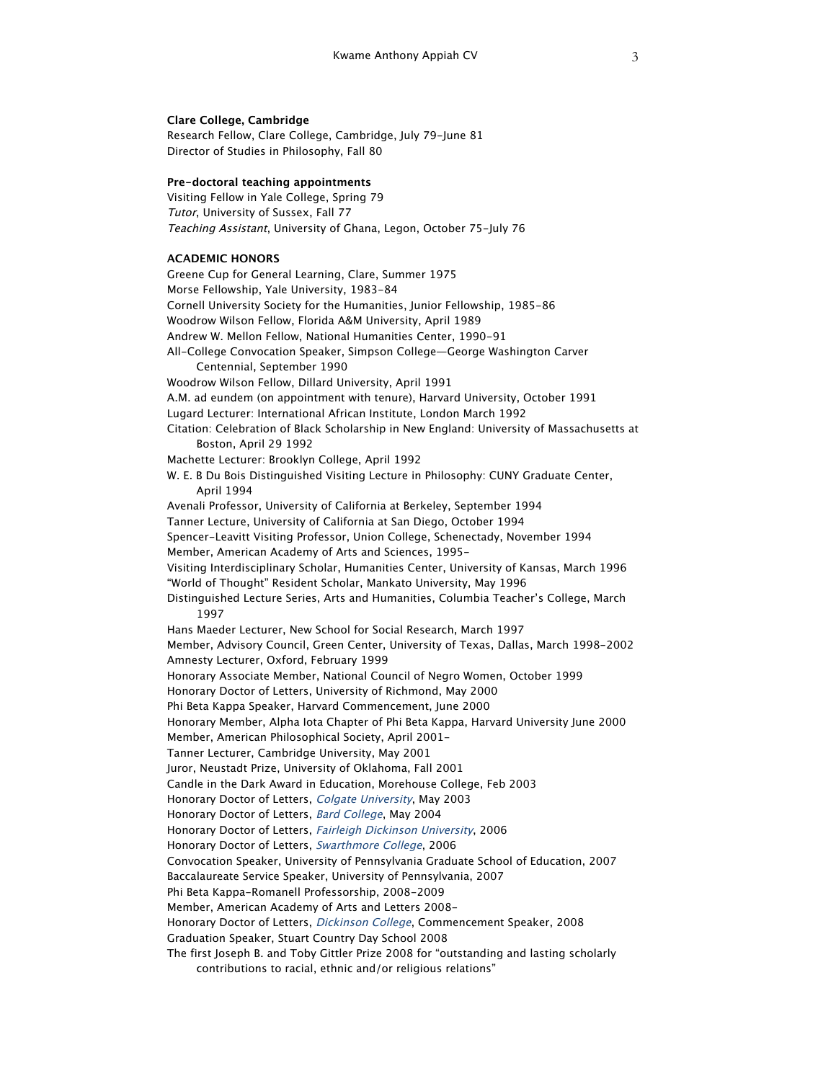### **Clare College, Cambridge**

Research Fellow, Clare College, Cambridge, July 79-June 81 Director of Studies in Philosophy, Fall 80

### **Pre-doctoral teaching appointments**

Visiting Fellow in Yale College, Spring 79 Tutor, University of Sussex, Fall 77 Teaching Assistant, University of Ghana, Legon, October 75-July 76

### **ACADEMIC HONORS**

Greene Cup for General Learning, Clare, Summer 1975 Morse Fellowship, Yale University, 1983-84 Cornell University Society for the Humanities, Junior Fellowship, 1985-86 Woodrow Wilson Fellow, Florida A&M University, April 1989 Andrew W. Mellon Fellow, National Humanities Center, 1990-91 All-College Convocation Speaker, Simpson College—George Washington Carver Centennial, September 1990 Woodrow Wilson Fellow, Dillard University, April 1991 A.M. ad eundem (on appointment with tenure), Harvard University, October 1991 Lugard Lecturer: International African Institute, London March 1992 Citation: Celebration of Black Scholarship in New England: University of Massachusetts at Boston, April 29 1992 Machette Lecturer: Brooklyn College, April 1992 W. E. B Du Bois Distinguished Visiting Lecture in Philosophy: CUNY Graduate Center, April 1994 Avenali Professor, University of California at Berkeley, September 1994 Tanner Lecture, University of California at San Diego, October 1994 Spencer-Leavitt Visiting Professor, Union College, Schenectady, November 1994 Member, American Academy of Arts and Sciences, 1995- Visiting Interdisciplinary Scholar, Humanities Center, University of Kansas, March 1996 "World of Thought" Resident Scholar, Mankato University, May 1996 Distinguished Lecture Series, Arts and Humanities, Columbia Teacher's College, March 1997 Hans Maeder Lecturer, New School for Social Research, March 1997 Member, Advisory Council, Green Center, University of Texas, Dallas, March 1998-2002 Amnesty Lecturer, Oxford, February 1999 Honorary Associate Member, National Council of Negro Women, October 1999 Honorary Doctor of Letters, University of Richmond, May 2000 Phi Beta Kappa Speaker, Harvard Commencement, June 2000 Honorary Member, Alpha Iota Chapter of Phi Beta Kappa, Harvard University June 2000 Member, American Philosophical Society, April 2001- Tanner Lecturer, Cambridge University, May 2001 Juror, Neustadt Prize, University of Oklahoma, Fall 2001 Candle in the Dark Award in Education, Morehouse College, Feb 2003 Honorary Doctor of Letters, Colgate University, May 2003 Honorary Doctor of Letters, Bard College, May 2004 Honorary Doctor of Letters, Fairleigh Dickinson University, 2006 Honorary Doctor of Letters, Swarthmore College, 2006 Convocation Speaker, University of Pennsylvania Graduate School of Education, 2007 Baccalaureate Service Speaker, University of Pennsylvania, 2007 Phi Beta Kappa-Romanell Professorship, 2008-2009 Member, American Academy of Arts and Letters 2008- Honorary Doctor of Letters, Dickinson College, Commencement Speaker, 2008 Graduation Speaker, Stuart Country Day School 2008 The first Joseph B. and Toby Gittler Prize 2008 for "outstanding and lasting scholarly

contributions to racial, ethnic and/or religious relations"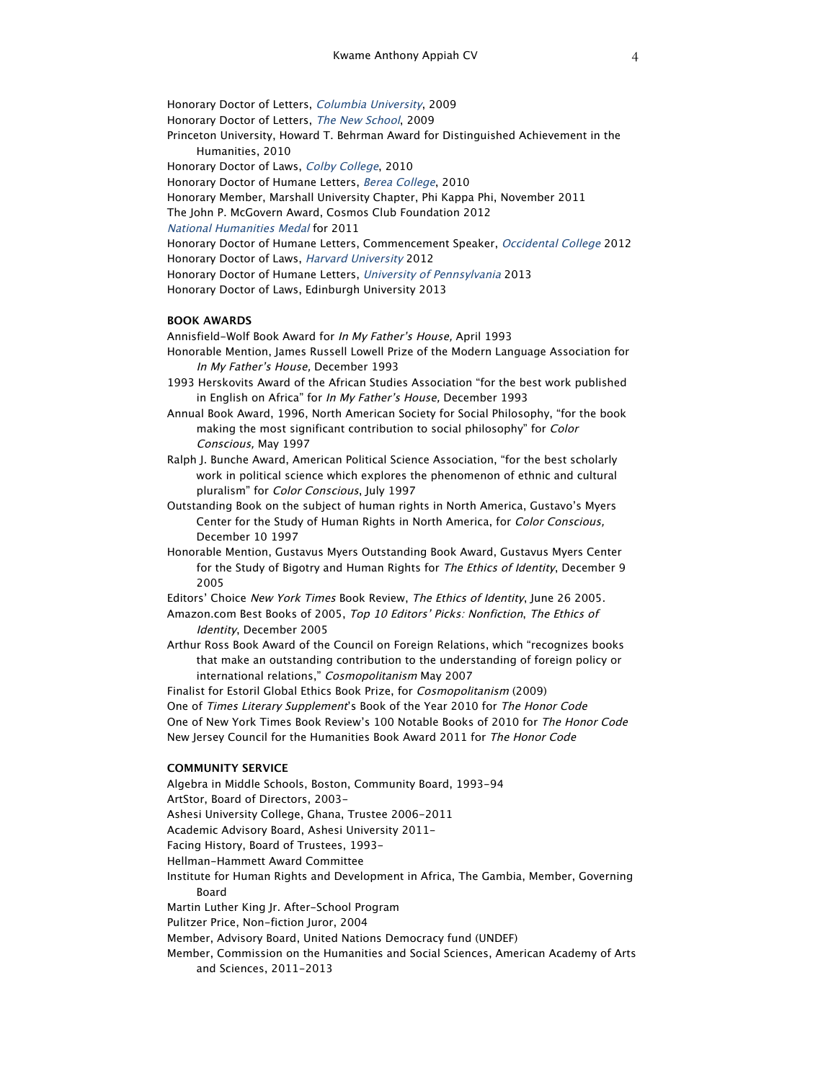Honorary Doctor of Letters, Columbia University, 2009 Honorary Doctor of Letters, The New School, 2009 Princeton University, Howard T. Behrman Award for Distinguished Achievement in the Humanities, 2010 Honorary Doctor of Laws, Colby College, 2010 Honorary Doctor of Humane Letters, Berea College, 2010 Honorary Member, Marshall University Chapter, Phi Kappa Phi, November 2011 The John P. McGovern Award, Cosmos Club Foundation 2012 National Humanities Medal for 2011 Honorary Doctor of Humane Letters, Commencement Speaker, Occidental College 2012 Honorary Doctor of Laws, Harvard University 2012 Honorary Doctor of Humane Letters, University of Pennsylvania 2013 Honorary Doctor of Laws, Edinburgh University 2013

### **BOOK AWARDS**

Annisfield-Wolf Book Award for In My Father's House, April 1993 Honorable Mention, James Russell Lowell Prize of the Modern Language Association for In My Father's House, December 1993

- 1993 Herskovits Award of the African Studies Association "for the best work published in English on Africa" for In My Father's House, December 1993
- Annual Book Award, 1996, North American Society for Social Philosophy, "for the book making the most significant contribution to social philosophy" for Color Conscious, May 1997
- Ralph J. Bunche Award, American Political Science Association, "for the best scholarly work in political science which explores the phenomenon of ethnic and cultural pluralism" for Color Conscious, July 1997
- Outstanding Book on the subject of human rights in North America, Gustavo's Myers Center for the Study of Human Rights in North America, for Color Conscious, December 10 1997
- Honorable Mention, Gustavus Myers Outstanding Book Award, Gustavus Myers Center for the Study of Bigotry and Human Rights for The Ethics of Identity, December 9 2005
- Editors' Choice New York Times Book Review, The Ethics of Identity, June 26 2005.
- Amazon.com Best Books of 2005, Top 10 Editors' Picks: Nonfiction, The Ethics of Identity, December 2005
- Arthur Ross Book Award of the Council on Foreign Relations, which "recognizes books that make an outstanding contribution to the understanding of foreign policy or international relations," Cosmopolitanism May 2007

Finalist for Estoril Global Ethics Book Prize, for Cosmopolitanism (2009) One of Times Literary Supplement's Book of the Year 2010 for The Honor Code One of New York Times Book Review's 100 Notable Books of 2010 for The Honor Code New Jersey Council for the Humanities Book Award 2011 for The Honor Code

### **COMMUNITY SERVICE**

and Sciences, 2011-2013

Algebra in Middle Schools, Boston, Community Board, 1993-94 ArtStor, Board of Directors, 2003- Ashesi University College, Ghana, Trustee 2006-2011 Academic Advisory Board, Ashesi University 2011- Facing History, Board of Trustees, 1993- Hellman-Hammett Award Committee Institute for Human Rights and Development in Africa, The Gambia, Member, Governing Board Martin Luther King Jr. After-School Program Pulitzer Price, Non-fiction Juror, 2004 Member, Advisory Board, United Nations Democracy fund (UNDEF) Member, Commission on the Humanities and Social Sciences, American Academy of Arts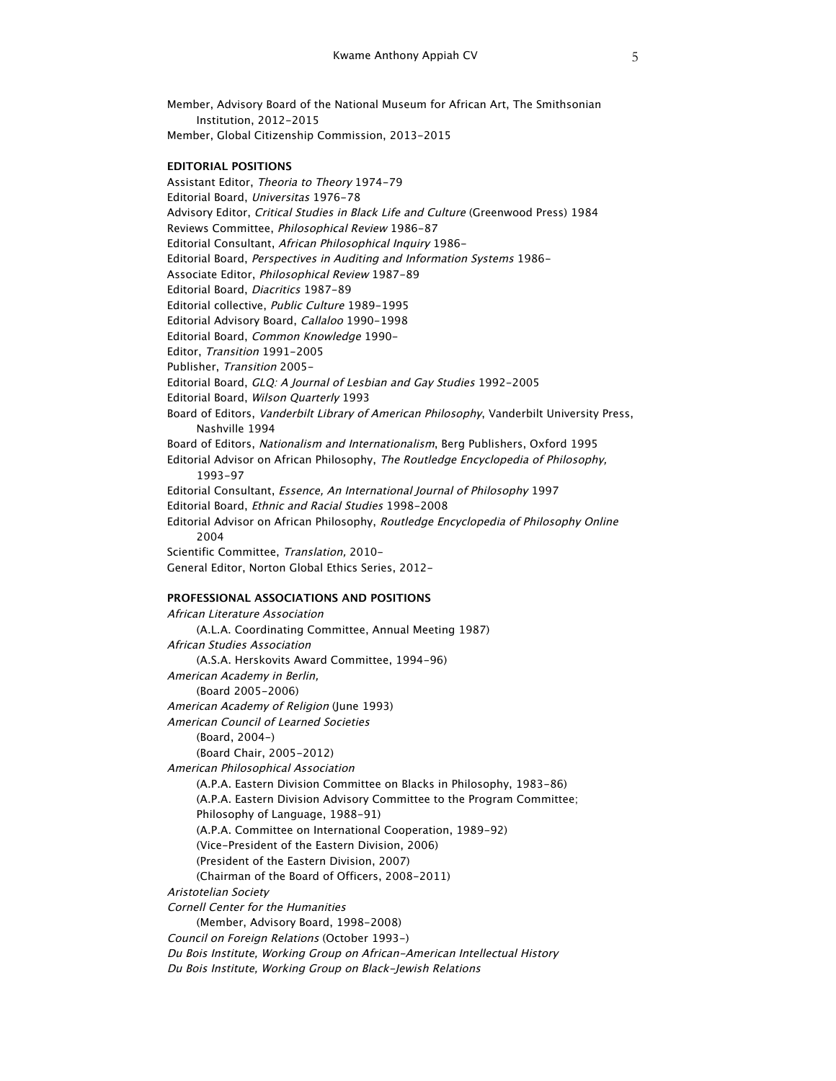Member, Advisory Board of the National Museum for African Art, The Smithsonian Institution, 2012-2015 Member, Global Citizenship Commission, 2013-2015

# **EDITORIAL POSITIONS**

Assistant Editor, Theoria to Theory 1974-79 Editorial Board, Universitas 1976-78 Advisory Editor, Critical Studies in Black Life and Culture (Greenwood Press) 1984 Reviews Committee, Philosophical Review 1986-87 Editorial Consultant, African Philosophical Inquiry 1986- Editorial Board, Perspectives in Auditing and Information Systems 1986- Associate Editor, Philosophical Review 1987-89 Editorial Board, Diacritics 1987-89 Editorial collective, Public Culture 1989-1995 Editorial Advisory Board, Callaloo 1990-1998 Editorial Board, Common Knowledge 1990- Editor, Transition 1991-2005 Publisher, Transition 2005- Editorial Board, GLQ: A Journal of Lesbian and Gay Studies 1992-2005 Editorial Board, Wilson Quarterly 1993 Board of Editors, Vanderbilt Library of American Philosophy, Vanderbilt University Press, Nashville 1994 Board of Editors, Nationalism and Internationalism, Berg Publishers, Oxford 1995 Editorial Advisor on African Philosophy, The Routledge Encyclopedia of Philosophy, 1993-97 Editorial Consultant, Essence, An International Journal of Philosophy 1997 Editorial Board, Ethnic and Racial Studies 1998-2008 Editorial Advisor on African Philosophy, Routledge Encyclopedia of Philosophy Online 2004 Scientific Committee, Translation, 2010- General Editor, Norton Global Ethics Series, 2012-

### **PROFESSIONAL ASSOCIATIONS AND POSITIONS**

African Literature Association (A.L.A. Coordinating Committee, Annual Meeting 1987) African Studies Association (A.S.A. Herskovits Award Committee, 1994-96) American Academy in Berlin, (Board 2005-2006) American Academy of Religion (June 1993) American Council of Learned Societies (Board, 2004-) (Board Chair, 2005-2012) American Philosophical Association (A.P.A. Eastern Division Committee on Blacks in Philosophy, 1983-86) (A.P.A. Eastern Division Advisory Committee to the Program Committee; Philosophy of Language, 1988-91) (A.P.A. Committee on International Cooperation, 1989-92) (Vice-President of the Eastern Division, 2006) (President of the Eastern Division, 2007) (Chairman of the Board of Officers, 2008-2011) Aristotelian Society Cornell Center for the Humanities (Member, Advisory Board, 1998-2008) Council on Foreign Relations (October 1993-) Du Bois Institute, Working Group on African-American Intellectual History Du Bois Institute, Working Group on Black-Jewish Relations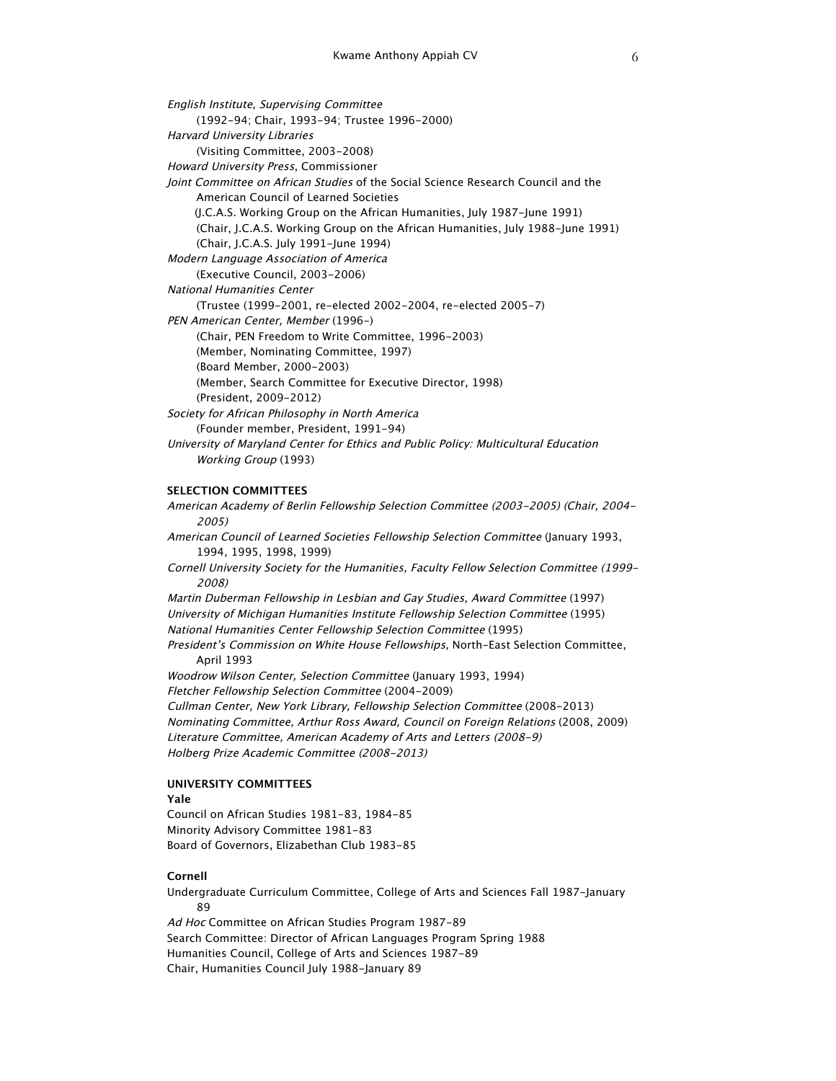English Institute, Supervising Committee (1992-94; Chair, 1993-94; Trustee 1996-2000) Harvard University Libraries (Visiting Committee, 2003-2008) Howard University Press, Commissioner Joint Committee on African Studies of the Social Science Research Council and the American Council of Learned Societies (J.C.A.S. Working Group on the African Humanities, July 1987-June 1991) (Chair, J.C.A.S. Working Group on the African Humanities, July 1988-June 1991) (Chair, J.C.A.S. July 1991-June 1994) Modern Language Association of America (Executive Council, 2003-2006) National Humanities Center (Trustee (1999-2001, re-elected 2002-2004, re-elected 2005-7) PEN American Center, Member (1996-) (Chair, PEN Freedom to Write Committee, 1996-2003) (Member, Nominating Committee, 1997) (Board Member, 2000-2003) (Member, Search Committee for Executive Director, 1998) (President, 2009-2012) Society for African Philosophy in North America (Founder member, President, 1991-94) University of Maryland Center for Ethics and Public Policy: Multicultural Education Working Group (1993)

#### **SELECTION COMMITTEES**

American Academy of Berlin Fellowship Selection Committee (2003-2005) (Chair, 2004- 2005) American Council of Learned Societies Fellowship Selection Committee (January 1993, 1994, 1995, 1998, 1999) Cornell University Society for the Humanities, Faculty Fellow Selection Committee (1999- 2008) Martin Duberman Fellowship in Lesbian and Gay Studies, Award Committee (1997) University of Michigan Humanities Institute Fellowship Selection Committee (1995) National Humanities Center Fellowship Selection Committee (1995) President's Commission on White House Fellowships, North-East Selection Committee, April 1993 Woodrow Wilson Center, Selection Committee (January 1993, 1994) Fletcher Fellowship Selection Committee (2004-2009) Cullman Center, New York Library, Fellowship Selection Committee (2008-2013) Nominating Committee, Arthur Ross Award, Council on Foreign Relations (2008, 2009) Literature Committee, American Academy of Arts and Letters (2008-9) Holberg Prize Academic Committee (2008-2013)

# **UNIVERSITY COMMITTEES**

#### **Yale**

Council on African Studies 1981-83, 1984-85 Minority Advisory Committee 1981-83 Board of Governors, Elizabethan Club 1983-85

# **Cornell**

Undergraduate Curriculum Committee, College of Arts and Sciences Fall 1987-January 89 Ad Hoc Committee on African Studies Program 1987-89 Search Committee: Director of African Languages Program Spring 1988

Humanities Council, College of Arts and Sciences 1987-89 Chair, Humanities Council July 1988-January 89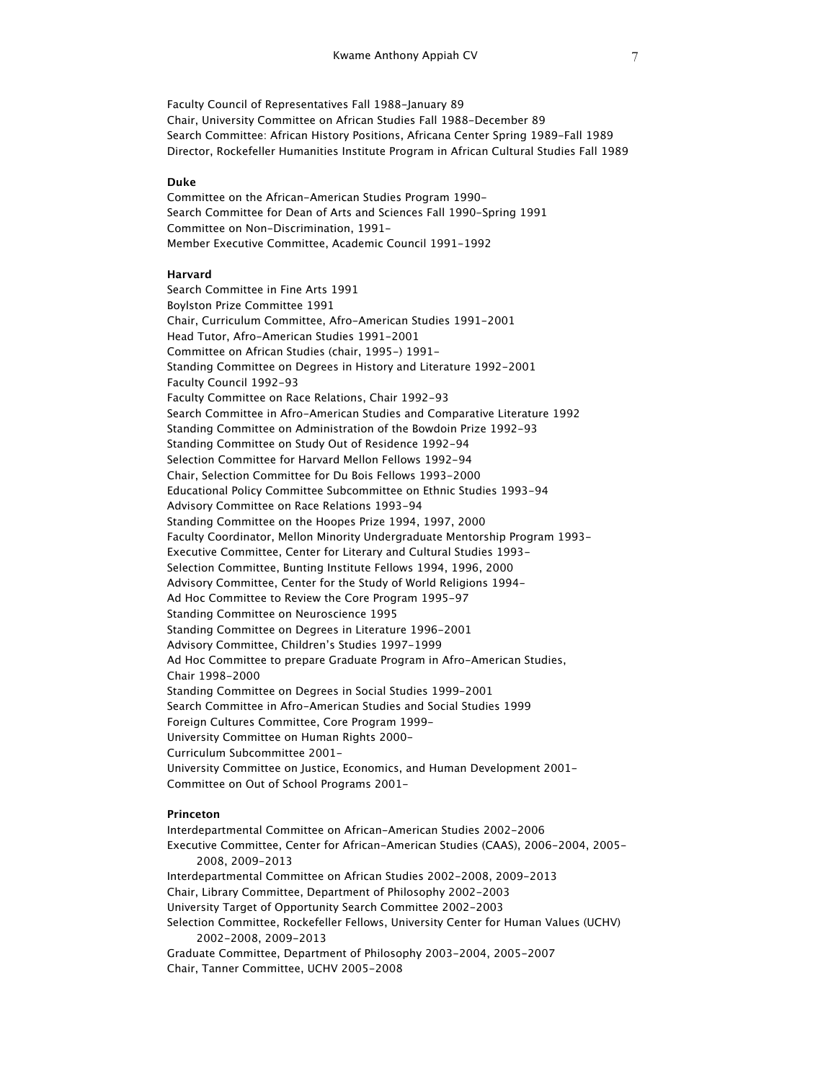Faculty Council of Representatives Fall 1988-January 89 Chair, University Committee on African Studies Fall 1988-December 89 Search Committee: African History Positions, Africana Center Spring 1989-Fall 1989 Director, Rockefeller Humanities Institute Program in African Cultural Studies Fall 1989

#### **Duke**

Committee on the African-American Studies Program 1990- Search Committee for Dean of Arts and Sciences Fall 1990-Spring 1991 Committee on Non-Discrimination, 1991- Member Executive Committee, Academic Council 1991-1992

### **Harvard**

Search Committee in Fine Arts 1991 Boylston Prize Committee 1991 Chair, Curriculum Committee, Afro-American Studies 1991-2001 Head Tutor, Afro-American Studies 1991-2001 Committee on African Studies (chair, 1995-) 1991- Standing Committee on Degrees in History and Literature 1992-2001 Faculty Council 1992-93 Faculty Committee on Race Relations, Chair 1992-93 Search Committee in Afro-American Studies and Comparative Literature 1992 Standing Committee on Administration of the Bowdoin Prize 1992-93 Standing Committee on Study Out of Residence 1992-94 Selection Committee for Harvard Mellon Fellows 1992-94 Chair, Selection Committee for Du Bois Fellows 1993-2000 Educational Policy Committee Subcommittee on Ethnic Studies 1993-94 Advisory Committee on Race Relations 1993-94 Standing Committee on the Hoopes Prize 1994, 1997, 2000 Faculty Coordinator, Mellon Minority Undergraduate Mentorship Program 1993- Executive Committee, Center for Literary and Cultural Studies 1993- Selection Committee, Bunting Institute Fellows 1994, 1996, 2000 Advisory Committee, Center for the Study of World Religions 1994- Ad Hoc Committee to Review the Core Program 1995-97 Standing Committee on Neuroscience 1995 Standing Committee on Degrees in Literature 1996-2001 Advisory Committee, Children's Studies 1997-1999 Ad Hoc Committee to prepare Graduate Program in Afro-American Studies, Chair 1998-2000 Standing Committee on Degrees in Social Studies 1999-2001 Search Committee in Afro-American Studies and Social Studies 1999 Foreign Cultures Committee, Core Program 1999- University Committee on Human Rights 2000- Curriculum Subcommittee 2001- University Committee on Justice, Economics, and Human Development 2001- Committee on Out of School Programs 2001-

# **Princeton**

Interdepartmental Committee on African-American Studies 2002-2006 Executive Committee, Center for African-American Studies (CAAS), 2006-2004, 2005- 2008, 2009-2013 Interdepartmental Committee on African Studies 2002-2008, 2009-2013 Chair, Library Committee, Department of Philosophy 2002-2003 University Target of Opportunity Search Committee 2002-2003 Selection Committee, Rockefeller Fellows, University Center for Human Values (UCHV) 2002-2008, 2009-2013 Graduate Committee, Department of Philosophy 2003-2004, 2005-2007 Chair, Tanner Committee, UCHV 2005-2008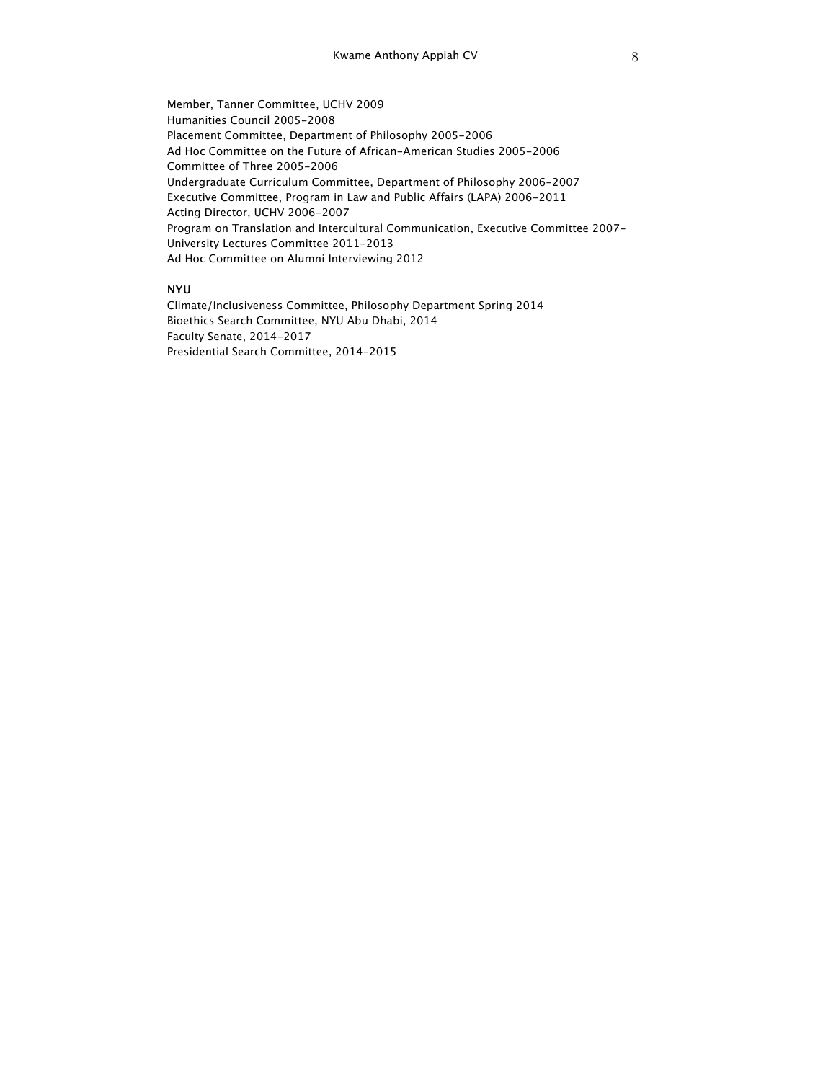Member, Tanner Committee, UCHV 2009 Humanities Council 2005-2008 Placement Committee, Department of Philosophy 2005-2006 Ad Hoc Committee on the Future of African-American Studies 2005-2006 Committee of Three 2005-2006 Undergraduate Curriculum Committee, Department of Philosophy 2006-2007 Executive Committee, Program in Law and Public Affairs (LAPA) 2006-2011 Acting Director, UCHV 2006-2007 Program on Translation and Intercultural Communication, Executive Committee 2007- University Lectures Committee 2011-2013 Ad Hoc Committee on Alumni Interviewing 2012

# **NYU**

Climate/Inclusiveness Committee, Philosophy Department Spring 2014 Bioethics Search Committee, NYU Abu Dhabi, 2014 Faculty Senate, 2014-2017 Presidential Search Committee, 2014-2015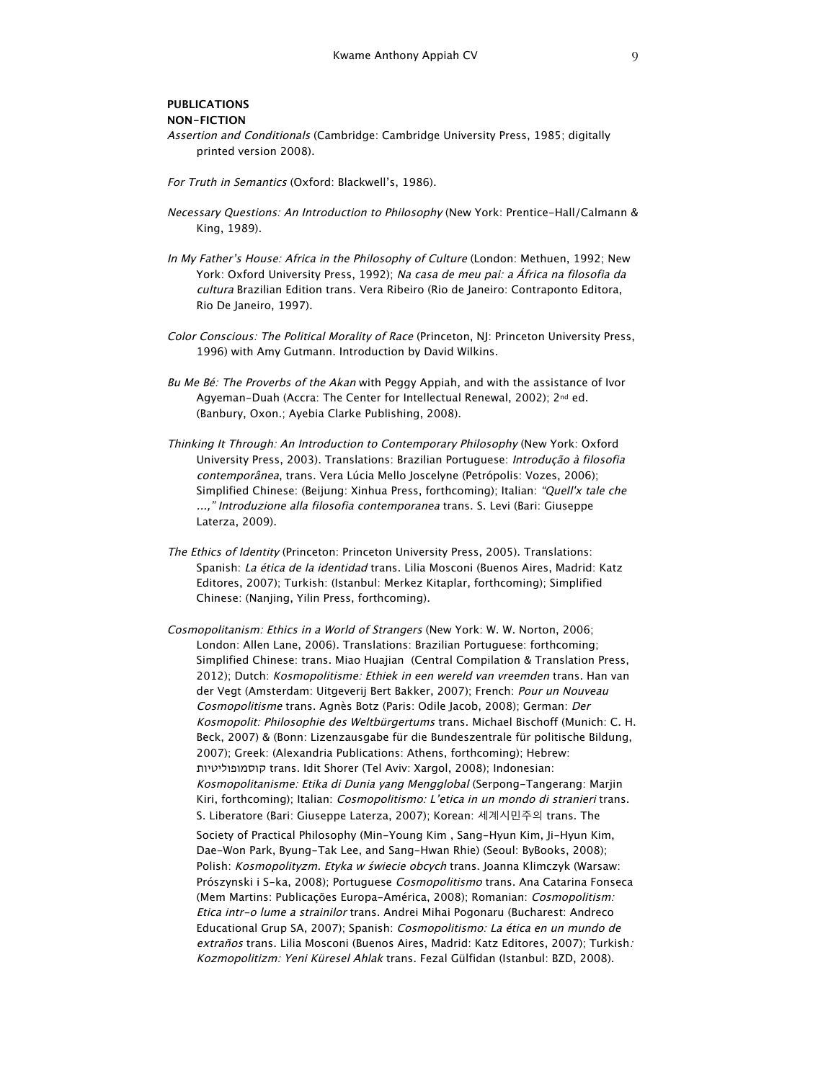# **PUBLICATIONS NON-FICTION**

- Assertion and Conditionals (Cambridge: Cambridge University Press, 1985; digitally printed version 2008).
- For Truth in Semantics (Oxford: Blackwell's, 1986).
- Necessary Questions: An Introduction to Philosophy (New York: Prentice-Hall/Calmann & King, 1989).
- In My Father's House: Africa in the Philosophy of Culture (London: Methuen, 1992; New York: Oxford University Press, 1992); Na casa de meu pai: a África na filosofia da cultura Brazilian Edition trans. Vera Ribeiro (Rio de Janeiro: Contraponto Editora, Rio De Janeiro, 1997).
- Color Conscious: The Political Morality of Race (Princeton, NJ: Princeton University Press, 1996) with Amy Gutmann. Introduction by David Wilkins.
- Bu Me Bé: The Proverbs of the Akan with Peggy Appiah, and with the assistance of Ivor Agyeman-Duah (Accra: The Center for Intellectual Renewal, 2002); 2nd ed. (Banbury, Oxon.; Ayebia Clarke Publishing, 2008).
- Thinking It Through: An Introduction to Contemporary Philosophy (New York: Oxford University Press, 2003). Translations: Brazilian Portuguese: Introdução à filosofia contemporânea, trans. Vera Lúcia Mello Joscelyne (Petrópolis: Vozes, 2006); Simplified Chinese: (Beijung: Xinhua Press, forthcoming); Italian: "Quell'x tale che ...," Introduzione alla filosofia contemporanea trans. S. Levi (Bari: Giuseppe Laterza, 2009).
- The Ethics of Identity (Princeton: Princeton University Press, 2005). Translations: Spanish: La ética de la identidad trans. Lilia Mosconi (Buenos Aires, Madrid: Katz Editores, 2007); Turkish: (Istanbul: Merkez Kitaplar, forthcoming); Simplified Chinese: (Nanjing, Yilin Press, forthcoming).
- Cosmopolitanism: Ethics in a World of Strangers (New York: W. W. Norton, 2006; London: Allen Lane, 2006). Translations: Brazilian Portuguese: forthcoming; Simplified Chinese: trans. Miao Huajian (Central Compilation & Translation Press, 2012); Dutch: Kosmopolitisme: Ethiek in een wereld van vreemden trans. Han van der Vegt (Amsterdam: Uitgeverij Bert Bakker, 2007); French: Pour un Nouveau Cosmopolitisme trans. Agnès Botz (Paris: Odile Jacob, 2008); German: Der Kosmopolit: Philosophie des Weltbürgertums trans. Michael Bischoff (Munich: C. H. Beck, 2007) & (Bonn: Lizenzausgabe für die Bundeszentrale für politische Bildung, 2007); Greek: (Alexandria Publications: Athens, forthcoming); Hebrew: קוסמופוליטיות trans. Idit Shorer (Tel Aviv: Xargol, 2008); Indonesian: Kosmopolitanisme: Etika di Dunia yang Mengglobal (Serpong-Tangerang: Marjin Kiri, forthcoming); Italian: Cosmopolitismo: L'etica in un mondo di stranieri trans. S. Liberatore (Bari: Giuseppe Laterza, 2007); Korean: 세계시민주의 trans. The

Society of Practical Philosophy (Min-Young Kim , Sang-Hyun Kim, Ji-Hyun Kim, Dae-Won Park, Byung-Tak Lee, and Sang-Hwan Rhie) (Seoul: ByBooks, 2008); Polish: Kosmopolityzm. Etyka w świecie obcych trans. Joanna Klimczyk (Warsaw: Prószynski i S-ka, 2008); Portuguese Cosmopolitismo trans. Ana Catarina Fonseca (Mem Martins: Publicações Europa-América, 2008); Romanian: Cosmopolitism: Etica intr-o lume a strainilor trans. Andrei Mihai Pogonaru (Bucharest: Andreco Educational Grup SA, 2007); Spanish: Cosmopolitismo: La ética en un mundo de extraños trans. Lilia Mosconi (Buenos Aires, Madrid: Katz Editores, 2007); Turkish: Kozmopolitizm: Yeni Küresel Ahlak trans. Fezal Gülfidan (Istanbul: BZD, 2008).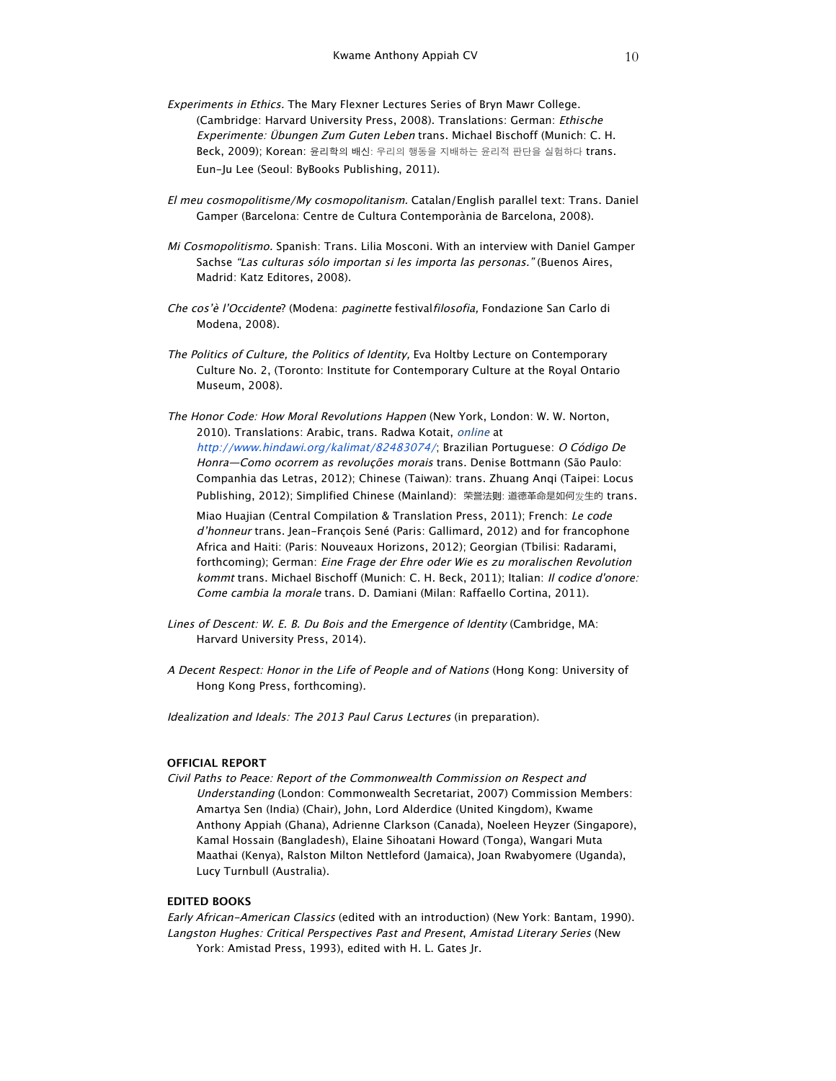- Experiments in Ethics. The Mary Flexner Lectures Series of Bryn Mawr College. (Cambridge: Harvard University Press, 2008). Translations: German: Ethische Experimente: Übungen Zum Guten Leben trans. Michael Bischoff (Munich: C. H. Beck, 2009); Korean: 윤리학의 배신: 우리의 행동을 지배하는 윤리적 판단을 실험하다 trans. Eun-Ju Lee (Seoul: ByBooks Publishing, 2011).
- El meu cosmopolitisme/My cosmopolitanism. Catalan/English parallel text: Trans. Daniel Gamper (Barcelona: Centre de Cultura Contemporània de Barcelona, 2008).
- Mi Cosmopolitismo. Spanish: Trans. Lilia Mosconi. With an interview with Daniel Gamper Sachse "Las culturas sólo importan si les importa las personas." (Buenos Aires, Madrid: Katz Editores, 2008).
- Che cos'è l'Occidente? (Modena: paginette festivalfilosofia, Fondazione San Carlo di Modena, 2008).
- The Politics of Culture, the Politics of Identity, Eva Holtby Lecture on Contemporary Culture No. 2, (Toronto: Institute for Contemporary Culture at the Royal Ontario Museum, 2008).
- The Honor Code: How Moral Revolutions Happen (New York, London: W. W. Norton, 2010). Translations: Arabic, trans. Radwa Kotait, online at http://www.hindawi.org/kalimat/82483074/; Brazilian Portuguese: O Código De Honra—Como ocorrem as revoluções morais trans. Denise Bottmann (São Paulo: Companhia das Letras, 2012); Chinese (Taiwan): trans. Zhuang Anqi (Taipei: Locus Publishing, 2012); Simplified Chinese (Mainland): 荣誉法则: 道德革命是如何发生的 trans.

Miao Huajian (Central Compilation & Translation Press, 2011); French: Le code d'honneur trans. Jean-François Sené (Paris: Gallimard, 2012) and for francophone Africa and Haiti: (Paris: Nouveaux Horizons, 2012); Georgian (Tbilisi: Radarami, forthcoming); German: Eine Frage der Ehre oder Wie es zu moralischen Revolution kommt trans. Michael Bischoff (Munich: C. H. Beck, 2011); Italian: Il codice d'onore: Come cambia la morale trans. D. Damiani (Milan: Raffaello Cortina, 2011).

- Lines of Descent: W. E. B. Du Bois and the Emergence of Identity (Cambridge, MA: Harvard University Press, 2014).
- A Decent Respect: Honor in the Life of People and of Nations (Hong Kong: University of Hong Kong Press, forthcoming).

Idealization and Ideals: The 2013 Paul Carus Lectures (in preparation).

### **OFFICIAL REPORT**

Civil Paths to Peace: Report of the Commonwealth Commission on Respect and Understanding (London: Commonwealth Secretariat, 2007) Commission Members: Amartya Sen (India) (Chair), John, Lord Alderdice (United Kingdom), Kwame Anthony Appiah (Ghana), Adrienne Clarkson (Canada), Noeleen Heyzer (Singapore), Kamal Hossain (Bangladesh), Elaine Sihoatani Howard (Tonga), Wangari Muta Maathai (Kenya), Ralston Milton Nettleford (Jamaica), Joan Rwabyomere (Uganda), Lucy Turnbull (Australia).

# **EDITED BOOKS**

Early African-American Classics (edited with an introduction) (New York: Bantam, 1990). Langston Hughes: Critical Perspectives Past and Present, Amistad Literary Series (New York: Amistad Press, 1993), edited with H. L. Gates Jr.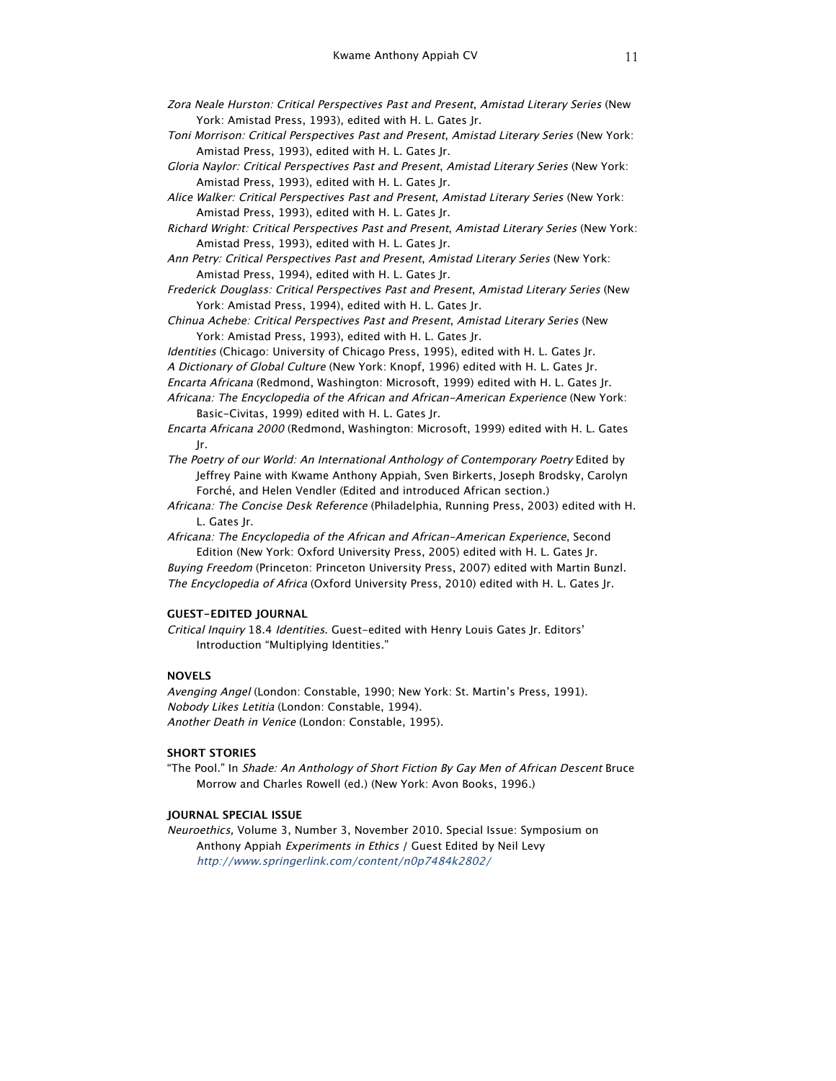- Zora Neale Hurston: Critical Perspectives Past and Present, Amistad Literary Series (New York: Amistad Press, 1993), edited with H. L. Gates Jr.
- Toni Morrison: Critical Perspectives Past and Present, Amistad Literary Series (New York: Amistad Press, 1993), edited with H. L. Gates Jr.
- Gloria Naylor: Critical Perspectives Past and Present, Amistad Literary Series (New York: Amistad Press, 1993), edited with H. L. Gates Jr.
- Alice Walker: Critical Perspectives Past and Present, Amistad Literary Series (New York: Amistad Press, 1993), edited with H. L. Gates Jr.
- Richard Wright: Critical Perspectives Past and Present, Amistad Literary Series (New York: Amistad Press, 1993), edited with H. L. Gates Jr.
- Ann Petry: Critical Perspectives Past and Present, Amistad Literary Series (New York: Amistad Press, 1994), edited with H. L. Gates Jr.
- Frederick Douglass: Critical Perspectives Past and Present, Amistad Literary Series (New York: Amistad Press, 1994), edited with H. L. Gates Jr.
- Chinua Achebe: Critical Perspectives Past and Present, Amistad Literary Series (New York: Amistad Press, 1993), edited with H. L. Gates Jr.
- Identities (Chicago: University of Chicago Press, 1995), edited with H. L. Gates Jr. A Dictionary of Global Culture (New York: Knopf, 1996) edited with H. L. Gates Jr.
- Encarta Africana (Redmond, Washington: Microsoft, 1999) edited with H. L. Gates Jr.
- Africana: The Encyclopedia of the African and African-American Experience (New York: Basic-Civitas, 1999) edited with H. L. Gates Jr.
- Encarta Africana 2000 (Redmond, Washington: Microsoft, 1999) edited with H. L. Gates Jr.
- The Poetry of our World: An International Anthology of Contemporary Poetry Edited by Jeffrey Paine with Kwame Anthony Appiah, Sven Birkerts, Joseph Brodsky, Carolyn Forché, and Helen Vendler (Edited and introduced African section.)
- Africana: The Concise Desk Reference (Philadelphia, Running Press, 2003) edited with H. L. Gates Jr.
- Africana: The Encyclopedia of the African and African-American Experience, Second Edition (New York: Oxford University Press, 2005) edited with H. L. Gates Jr.
- Buying Freedom (Princeton: Princeton University Press, 2007) edited with Martin Bunzl. The Encyclopedia of Africa (Oxford University Press, 2010) edited with H. L. Gates Jr.

# **GUEST-EDITED JOURNAL**

Critical Inquiry 18.4 Identities. Guest-edited with Henry Louis Gates Jr. Editors' Introduction "Multiplying Identities."

# **NOVELS**

Avenging Angel (London: Constable, 1990; New York: St. Martin's Press, 1991). Nobody Likes Letitia (London: Constable, 1994). Another Death in Venice (London: Constable, 1995).

# **SHORT STORIES**

"The Pool." In Shade: An Anthology of Short Fiction By Gay Men of African Descent Bruce Morrow and Charles Rowell (ed.) (New York: Avon Books, 1996.)

### **JOURNAL SPECIAL ISSUE**

Neuroethics, Volume 3, Number 3, November 2010. Special Issue: Symposium on Anthony Appiah Experiments in Ethics / Guest Edited by Neil Levy http://www.springerlink.com/content/n0p7484k2802/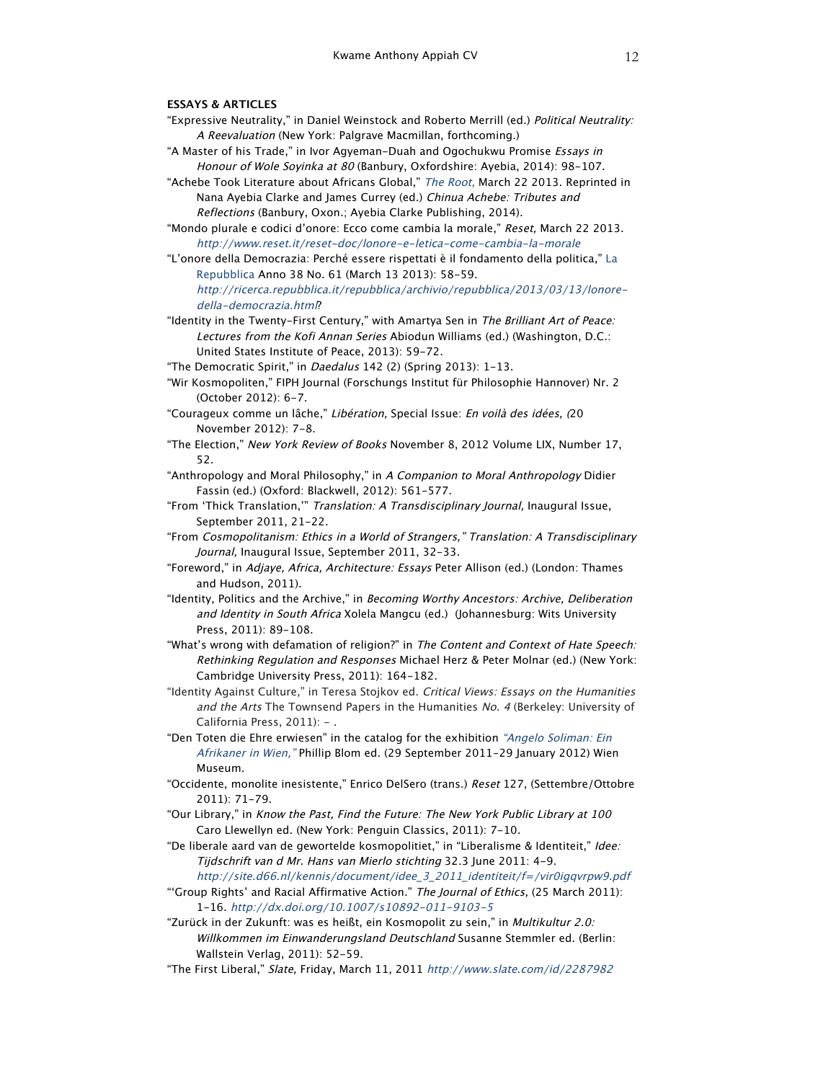# **ESSAYS & ARTICLES**

- "Expressive Neutrality," in Daniel Weinstock and Roberto Merrill (ed.) Political Neutrality: A Reevaluation (New York: Palgrave Macmillan, forthcoming.)
- "A Master of his Trade," in Ivor Agyeman-Duah and Ogochukwu Promise Essays in Honour of Wole Soyinka at 80 (Banbury, Oxfordshire: Ayebia, 2014): 98-107.
- "Achebe Took Literature about Africans Global," The Root, March 22 2013. Reprinted in Nana Ayebia Clarke and James Currey (ed.) Chinua Achebe: Tributes and Reflections (Banbury, Oxon.; Ayebia Clarke Publishing, 2014).
- "Mondo plurale e codici d'onore: Ecco come cambia la morale," Reset, March 22 2013. http://www.reset.it/reset-doc/lonore-e-letica-come-cambia-la-morale
- "L'onore della Democrazia: Perché essere rispettati è il fondamento della politica," La Repubblica Anno 38 No. 61 (March 13 2013): 58-59. http://ricerca.repubblica.it/repubblica/archivio/repubblica/2013/03/13/lonoredella-democrazia.html?
- "Identity in the Twenty-First Century," with Amartya Sen in The Brilliant Art of Peace: Lectures from the Kofi Annan Series Abiodun Williams (ed.) (Washington, D.C.: United States Institute of Peace, 2013): 59-72.
- "The Democratic Spirit," in *Daedalus* 142 (2) (Spring 2013): 1-13.
- "Wir Kosmopoliten," FIPH Journal (Forschungs Institut für Philosophie Hannover) Nr. 2 (October 2012): 6-7.
- "Courageux comme un lâche," Libération, Special Issue: En voilà des idées, (20 November 2012): 7-8.
- "The Election," New York Review of Books November 8, 2012 Volume LIX, Number 17, 52.
- "Anthropology and Moral Philosophy," in A Companion to Moral Anthropology Didier Fassin (ed.) (Oxford: Blackwell, 2012): 561-577.
- "From 'Thick Translation,'" Translation: A Transdisciplinary Journal, Inaugural Issue, September 2011, 21-22.
- "From Cosmopolitanism: Ethics in a World of Strangers," Translation: A Transdisciplinary Journal, Inaugural Issue, September 2011, 32-33.
- "Foreword," in Adjaye, Africa, Architecture: Essays Peter Allison (ed.) (London: Thames and Hudson, 2011).
- "Identity, Politics and the Archive," in Becoming Worthy Ancestors: Archive, Deliberation and Identity in South Africa Xolela Mangcu (ed.) (Johannesburg: Wits University Press, 2011): 89-108.
- "What's wrong with defamation of religion?" in The Content and Context of Hate Speech: Rethinking Regulation and Responses Michael Herz & Peter Molnar (ed.) (New York: Cambridge University Press, 2011): 164-182.
- "Identity Against Culture," in Teresa Stojkov ed. Critical Views: Essays on the Humanities and the Arts The Townsend Papers in the Humanities No. 4 (Berkeley: University of California Press, 2011): - .
- "Den Toten die Ehre erwiesen" in the catalog for the exhibition "Angelo Soliman: Ein Afrikaner in Wien," Phillip Blom ed. (29 September 2011-29 January 2012) Wien Museum.
- "Occidente, monolite inesistente," Enrico DelSero (trans.) Reset 127, (Settembre/Ottobre 2011): 71-79.
- "Our Library," in Know the Past, Find the Future: The New York Public Library at 100 Caro Llewellyn ed. (New York: Penguin Classics, 2011): 7-10.
- "De liberale aard van de gewortelde kosmopolitiet," in "Liberalisme & Identiteit," Idee: Tijdschrift van d Mr. Hans van Mierlo stichting 32.3 June 2011: 4-9.
- http://site.d66.nl/kennis/document/idee\_3\_2011\_identiteit/f=/vir0igqvrpw9.pdf "'Group Rights' and Racial Affirmative Action." The Journal of Ethics, (25 March 2011): 1-16. http://dx.doi.org/10.1007/s10892-011-9103-5
- "Zurück in der Zukunft: was es heißt, ein Kosmopolit zu sein," in Multikultur 2.0: Willkommen im Einwanderungsland Deutschland Susanne Stemmler ed. (Berlin: Wallstein Verlag, 2011): 52-59.
- "The First Liberal," Slate, Friday, March 11, 2011 http://www.slate.com/id/2287982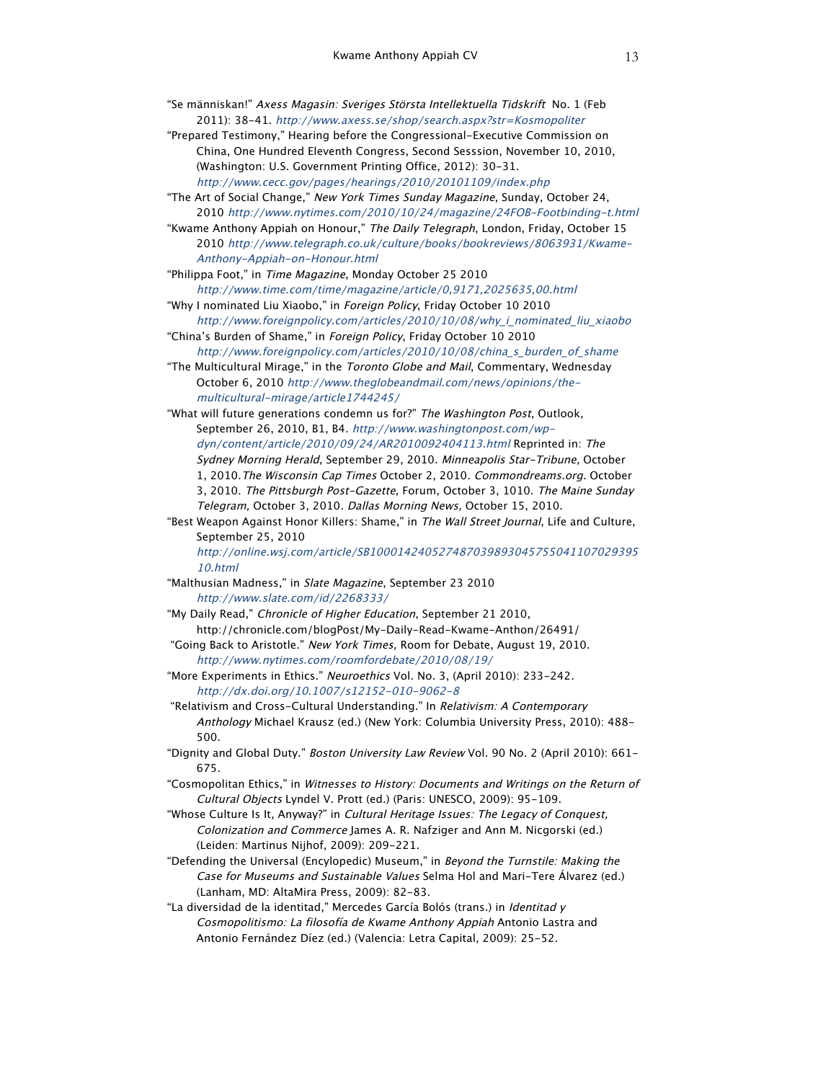- "Se människan!" Axess Magasin: Sveriges Största Intellektuella Tidskrift No. 1 (Feb 2011): 38-41. http://www.axess.se/shop/search.aspx?str=Kosmopoliter
- "Prepared Testimony," Hearing before the Congressional-Executive Commission on China, One Hundred Eleventh Congress, Second Sesssion, November 10, 2010, (Washington: U.S. Government Printing Office, 2012): 30-31. http://www.cecc.gov/pages/hearings/2010/20101109/index.php
- "The Art of Social Change," New York Times Sunday Magazine, Sunday, October 24, 2010 http://www.nytimes.com/2010/10/24/magazine/24FOB-Footbinding-t.html
- "Kwame Anthony Appiah on Honour," The Daily Telegraph, London, Friday, October 15 2010 http://www.telegraph.co.uk/culture/books/bookreviews/8063931/Kwame-Anthony-Appiah-on-Honour.html
- "Philippa Foot," in Time Magazine, Monday October 25 2010 http://www.time.com/time/magazine/article/0,9171,2025635,00.html
- "Why I nominated Liu Xiaobo," in Foreign Policy, Friday October 10 2010
- http://www.foreignpolicy.com/articles/2010/10/08/why\_i\_nominated\_liu\_xiaobo "China's Burden of Shame," in Foreign Policy, Friday October 10 2010
- http://www.foreignpolicy.com/articles/2010/10/08/china\_s\_burden\_of\_shame "The Multicultural Mirage," in the Toronto Globe and Mail, Commentary, Wednesday
- October 6, 2010 http://www.theglobeandmail.com/news/opinions/themulticultural-mirage/article1744245/
- "What will future generations condemn us for?" The Washington Post, Outlook, September 26, 2010, B1, B4. http://www.washingtonpost.com/wpdyn/content/article/2010/09/24/AR2010092404113.html Reprinted in: The Sydney Morning Herald, September 29, 2010. Minneapolis Star-Tribune, October 1, 2010.The Wisconsin Cap Times October 2, 2010. Commondreams.org. October 3, 2010. The Pittsburgh Post-Gazette, Forum, October 3, 1010. The Maine Sunday Telegram, October 3, 2010. Dallas Morning News, October 15, 2010.
- "Best Weapon Against Honor Killers: Shame," in The Wall Street Journal, Life and Culture, September 25, 2010
	- http://online.wsj.com/article/SB100014240527487039893045755041107029395 10.html
- "Malthusian Madness," in Slate Magazine, September 23 2010 http://www.slate.com/id/2268333/
- "My Daily Read," Chronicle of Higher Education, September 21 2010, http://chronicle.com/blogPost/My-Daily-Read-Kwame-Anthon/26491/
- "Going Back to Aristotle." New York Times, Room for Debate, August 19, 2010. http://www.nytimes.com/roomfordebate/2010/08/19/
- "More Experiments in Ethics." Neuroethics Vol. No. 3, (April 2010): 233-242. http://dx.doi.org/10.1007/s12152-010-9062-8
- "Relativism and Cross-Cultural Understanding." In Relativism: A Contemporary Anthology Michael Krausz (ed.) (New York: Columbia University Press, 2010): 488- 500.
- "Dignity and Global Duty." Boston University Law Review Vol. 90 No. 2 (April 2010): 661- 675.
- "Cosmopolitan Ethics," in Witnesses to History: Documents and Writings on the Return of Cultural Objects Lyndel V. Prott (ed.) (Paris: UNESCO, 2009): 95-109.
- "Whose Culture Is It, Anyway?" in Cultural Heritage Issues: The Legacy of Conquest, Colonization and Commerce James A. R. Nafziger and Ann M. Nicgorski (ed.) (Leiden: Martinus Nijhof, 2009): 209-221.
- "Defending the Universal (Encylopedic) Museum," in Beyond the Turnstile: Making the Case for Museums and Sustainable Values Selma Hol and Mari-Tere Álvarez (ed.) (Lanham, MD: AltaMira Press, 2009): 82-83.
- "La diversidad de la identitad," Mercedes García Bolós (trans.) in Identitad y Cosmopolitismo: La filosofía de Kwame Anthony Appiah Antonio Lastra and Antonio Fernández Díez (ed.) (Valencia: Letra Capital, 2009): 25-52.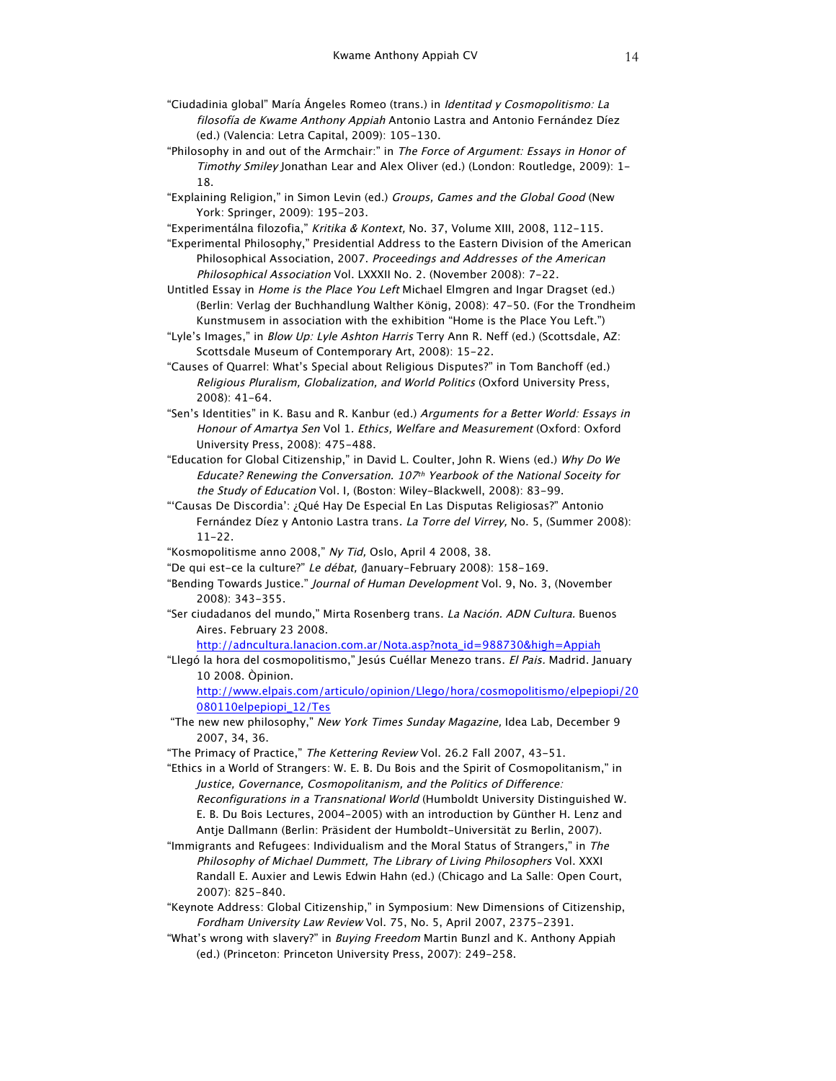- "Ciudadinia global" María Ángeles Romeo (trans.) in Identitad y Cosmopolitismo: La filosofía de Kwame Anthony Appiah Antonio Lastra and Antonio Fernández Díez (ed.) (Valencia: Letra Capital, 2009): 105-130.
- "Philosophy in and out of the Armchair:" in The Force of Argument: Essays in Honor of Timothy Smiley Jonathan Lear and Alex Oliver (ed.) (London: Routledge, 2009): 1- 18.
- "Explaining Religion," in Simon Levin (ed.) Groups, Games and the Global Good (New York: Springer, 2009): 195-203.
- "Experimentálna filozofia," Kritika & Kontext, No. 37, Volume XIII, 2008, 112-115.
- "Experimental Philosophy," Presidential Address to the Eastern Division of the American Philosophical Association, 2007. Proceedings and Addresses of the American Philosophical Association Vol. LXXXII No. 2. (November 2008): 7-22.
- Untitled Essay in Home is the Place You Left Michael Elmgren and Ingar Dragset (ed.) (Berlin: Verlag der Buchhandlung Walther König, 2008): 47-50. (For the Trondheim Kunstmusem in association with the exhibition "Home is the Place You Left.")
- "Lyle's Images," in Blow Up: Lyle Ashton Harris Terry Ann R. Neff (ed.) (Scottsdale, AZ: Scottsdale Museum of Contemporary Art, 2008): 15-22.
- "Causes of Quarrel: What's Special about Religious Disputes?" in Tom Banchoff (ed.) Religious Pluralism, Globalization, and World Politics (Oxford University Press, 2008): 41-64.
- "Sen's Identities" in K. Basu and R. Kanbur (ed.) Arguments for a Better World: Essays in Honour of Amartya Sen Vol 1. Ethics, Welfare and Measurement (Oxford: Oxford University Press, 2008): 475-488.
- "Education for Global Citizenship," in David L. Coulter, John R. Wiens (ed.) Why Do We Educate? Renewing the Conversation. 107th Yearbook of the National Soceity for the Study of Education Vol. I, (Boston: Wiley-Blackwell, 2008): 83-99.
- "'Causas De Discordia': ¿Qué Hay De Especial En Las Disputas Religiosas?" Antonio Fernández Díez y Antonio Lastra trans. La Torre del Virrey, No. 5, (Summer 2008): 11-22.
- "Kosmopolitisme anno 2008," Ny Tid, Oslo, April 4 2008, 38.
- "De qui est-ce la culture?" Le débat, (January-February 2008): 158-169.
- "Bending Towards Justice." Journal of Human Development Vol. 9, No. 3, (November 2008): 343-355.
- "Ser ciudadanos del mundo," Mirta Rosenberg trans. La Nación. ADN Cultura. Buenos Aires. February 23 2008.

http://adncultura.lanacion.com.ar/Nota.asp?nota\_id=988730&high=Appiah

"Llegó la hora del cosmopolitismo," Jesús Cuéllar Menezo trans. El Pais. Madrid. January 10 2008. Òpinion.

http://www.elpais.com/articulo/opinion/Llego/hora/cosmopolitismo/elpepiopi/20 080110elpepiopi\_12/Tes

"The new new philosophy," New York Times Sunday Magazine, Idea Lab, December 9 2007, 34, 36.

"The Primacy of Practice," The Kettering Review Vol. 26.2 Fall 2007, 43-51.

"Ethics in a World of Strangers: W. E. B. Du Bois and the Spirit of Cosmopolitanism," in Justice, Governance, Cosmopolitanism, and the Politics of Difference: Reconfigurations in a Transnational World (Humboldt University Distinguished W. E. B. Du Bois Lectures, 2004-2005) with an introduction by Günther H. Lenz and Antje Dallmann (Berlin: Präsident der Humboldt-Universität zu Berlin, 2007).

- "Immigrants and Refugees: Individualism and the Moral Status of Strangers," in The Philosophy of Michael Dummett, The Library of Living Philosophers Vol. XXXI Randall E. Auxier and Lewis Edwin Hahn (ed.) (Chicago and La Salle: Open Court, 2007): 825-840.
- "Keynote Address: Global Citizenship," in Symposium: New Dimensions of Citizenship, Fordham University Law Review Vol. 75, No. 5, April 2007, 2375-2391.
- "What's wrong with slavery?" in Buying Freedom Martin Bunzl and K. Anthony Appiah (ed.) (Princeton: Princeton University Press, 2007): 249-258.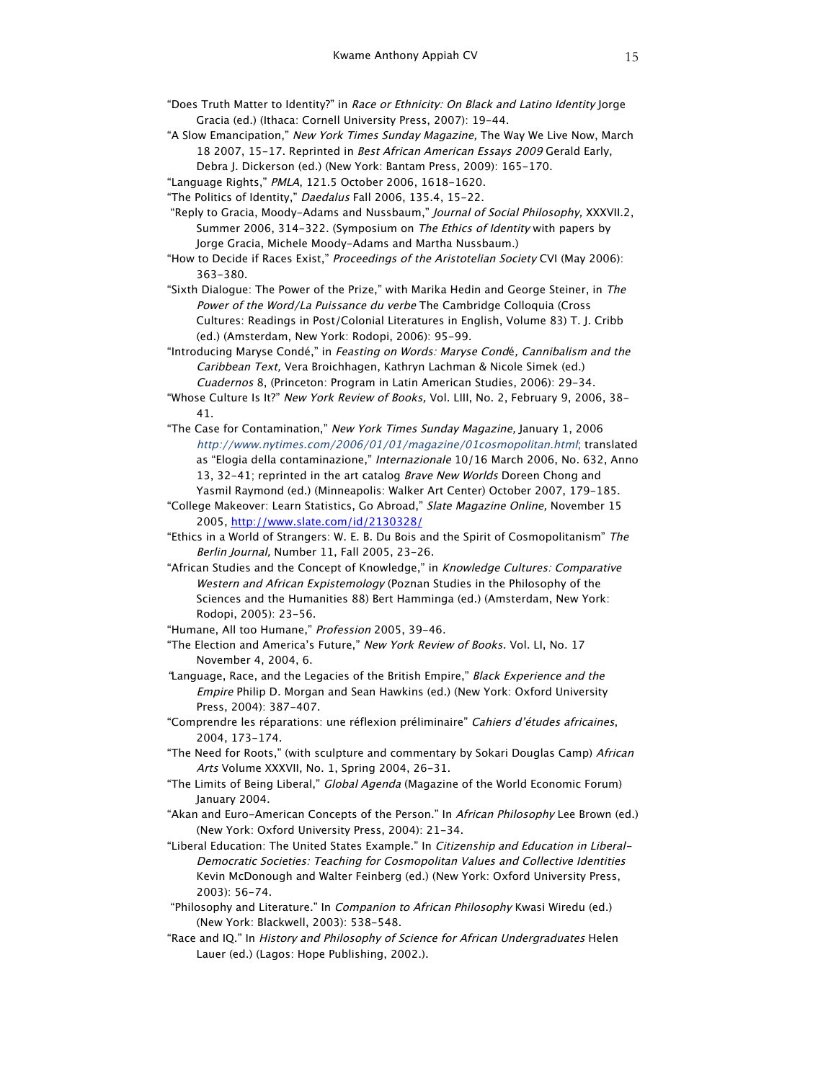- "Does Truth Matter to Identity?" in Race or Ethnicity: On Black and Latino Identity Jorge Gracia (ed.) (Ithaca: Cornell University Press, 2007): 19-44.
- "A Slow Emancipation," New York Times Sunday Magazine, The Way We Live Now, March 18 2007, 15-17. Reprinted in Best African American Essays 2009 Gerald Early, Debra J. Dickerson (ed.) (New York: Bantam Press, 2009): 165-170.
- "Language Rights," PMLA, 121.5 October 2006, 1618-1620.
- "The Politics of Identity," Daedalus Fall 2006, 135.4, 15-22.
- "Reply to Gracia, Moody-Adams and Nussbaum," Journal of Social Philosophy, XXXVII.2, Summer 2006, 314-322. (Symposium on The Ethics of Identity with papers by Jorge Gracia, Michele Moody-Adams and Martha Nussbaum.)
- "How to Decide if Races Exist," Proceedings of the Aristotelian Society CVI (May 2006): 363-380.
- "Sixth Dialogue: The Power of the Prize," with Marika Hedin and George Steiner, in The Power of the Word/La Puissance du verbe The Cambridge Colloquia (Cross Cultures: Readings in Post/Colonial Literatures in English, Volume 83) T. J. Cribb (ed.) (Amsterdam, New York: Rodopi, 2006): 95-99.
- "Introducing Maryse Condé," in Feasting on Words: Maryse Condé, Cannibalism and the Caribbean Text, Vera Broichhagen, Kathryn Lachman & Nicole Simek (ed.) Cuadernos 8, (Princeton: Program in Latin American Studies, 2006): 29-34.
- "Whose Culture Is It?" New York Review of Books, Vol. LIII, No. 2, February 9, 2006, 38-41.
- "The Case for Contamination," New York Times Sunday Magazine, January 1, 2006 http://www.nytimes.com/2006/01/01/magazine/01cosmopolitan.html; translated as "Elogia della contaminazione," Internazionale 10/16 March 2006, No. 632, Anno 13, 32-41; reprinted in the art catalog Brave New Worlds Doreen Chong and Yasmil Raymond (ed.) (Minneapolis: Walker Art Center) October 2007, 179-185.
- "College Makeover: Learn Statistics, Go Abroad," Slate Magazine Online, November 15 2005, http://www.slate.com/id/2130328/
- "Ethics in a World of Strangers: W. E. B. Du Bois and the Spirit of Cosmopolitanism" The Berlin Journal, Number 11, Fall 2005, 23-26.
- "African Studies and the Concept of Knowledge," in Knowledge Cultures: Comparative Western and African Expistemology (Poznan Studies in the Philosophy of the Sciences and the Humanities 88) Bert Hamminga (ed.) (Amsterdam, New York: Rodopi, 2005): 23-56.
- "Humane, All too Humane," Profession 2005, 39-46.
- "The Election and America's Future," New York Review of Books. Vol. LI, No. 17 November 4, 2004, 6.
- "Language, Race, and the Legacies of the British Empire," Black Experience and the Empire Philip D. Morgan and Sean Hawkins (ed.) (New York: Oxford University Press, 2004): 387-407.
- "Comprendre les réparations: une réflexion préliminaire" Cahiers d'études africaines, 2004, 173-174.
- "The Need for Roots," (with sculpture and commentary by Sokari Douglas Camp) African Arts Volume XXXVII, No. 1, Spring 2004, 26-31.
- "The Limits of Being Liberal," Global Agenda (Magazine of the World Economic Forum) January 2004.
- "Akan and Euro-American Concepts of the Person." In African Philosophy Lee Brown (ed.) (New York: Oxford University Press, 2004): 21-34.
- "Liberal Education: The United States Example." In Citizenship and Education in Liberal-Democratic Societies: Teaching for Cosmopolitan Values and Collective Identities Kevin McDonough and Walter Feinberg (ed.) (New York: Oxford University Press, 2003): 56-74.
- "Philosophy and Literature." In Companion to African Philosophy Kwasi Wiredu (ed.) (New York: Blackwell, 2003): 538-548.
- "Race and IQ." In History and Philosophy of Science for African Undergraduates Helen Lauer (ed.) (Lagos: Hope Publishing, 2002.).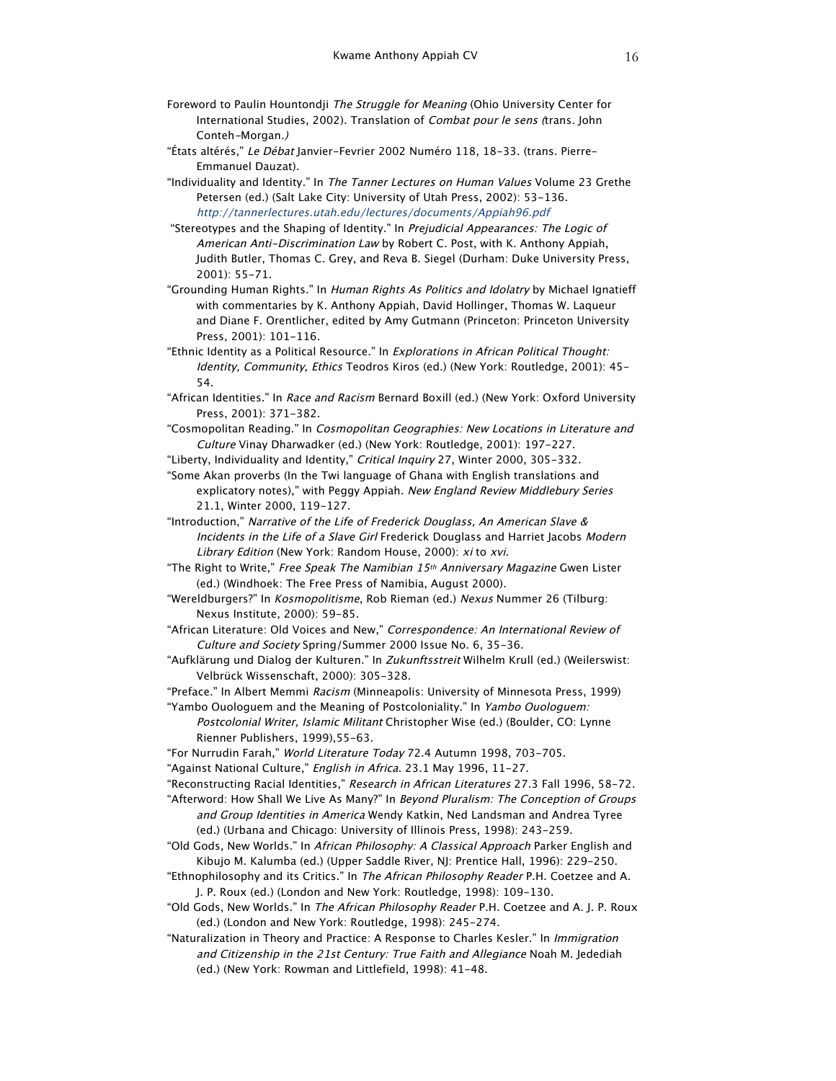- Foreword to Paulin Hountondji The Struggle for Meaning (Ohio University Center for International Studies, 2002). Translation of Combat pour le sens (trans. John Conteh-Morgan.)
- "États altérés," Le Débat Janvier-Fevrier 2002 Numéro 118, 18-33. (trans. Pierre-Emmanuel Dauzat).
- "Individuality and Identity." In The Tanner Lectures on Human Values Volume 23 Grethe Petersen (ed.) (Salt Lake City: University of Utah Press, 2002): 53-136. http://tannerlectures.utah.edu/lectures/documents/Appiah96.pdf
- "Stereotypes and the Shaping of Identity." In Prejudicial Appearances: The Logic of American Anti-Discrimination Law by Robert C. Post, with K. Anthony Appiah, Judith Butler, Thomas C. Grey, and Reva B. Siegel (Durham: Duke University Press, 2001): 55-71.
- "Grounding Human Rights." In Human Rights As Politics and Idolatry by Michael Ignatieff with commentaries by K. Anthony Appiah, David Hollinger, Thomas W. Laqueur and Diane F. Orentlicher, edited by Amy Gutmann (Princeton: Princeton University Press, 2001): 101-116.
- "Ethnic Identity as a Political Resource." In Explorations in African Political Thought: Identity, Community, Ethics Teodros Kiros (ed.) (New York: Routledge, 2001): 45- 54.
- "African Identities." In Race and Racism Bernard Boxill (ed.) (New York: Oxford University Press, 2001): 371-382.
- "Cosmopolitan Reading." In Cosmopolitan Geographies: New Locations in Literature and Culture Vinay Dharwadker (ed.) (New York: Routledge, 2001): 197-227.
- "Liberty, Individuality and Identity," Critical Inquiry 27, Winter 2000, 305-332.

"Some Akan proverbs (In the Twi language of Ghana with English translations and explicatory notes)," with Peggy Appiah. New England Review Middlebury Series 21.1, Winter 2000, 119-127.

"Introduction," Narrative of the Life of Frederick Douglass, An American Slave & Incidents in the Life of a Slave Girl Frederick Douglass and Harriet Jacobs Modern Library Edition (New York: Random House, 2000): xi to xvi.

- "The Right to Write," Free Speak The Namibian 15<sup>th</sup> Anniversary Magazine Gwen Lister (ed.) (Windhoek: The Free Press of Namibia, August 2000).
- "Wereldburgers?" In Kosmopolitisme, Rob Rieman (ed.) Nexus Nummer 26 (Tilburg: Nexus Institute, 2000): 59-85.
- "African Literature: Old Voices and New," Correspondence: An International Review of Culture and Society Spring/Summer 2000 Issue No. 6, 35-36.
- "Aufklärung und Dialog der Kulturen." In Zukunftsstreit Wilhelm Krull (ed.) (Weilerswist: Velbrück Wissenschaft, 2000): 305-328.
- "Preface." In Albert Memmi Racism (Minneapolis: University of Minnesota Press, 1999)
- "Yambo Ouologuem and the Meaning of Postcoloniality." In Yambo Ouologuem: Postcolonial Writer, Islamic Militant Christopher Wise (ed.) (Boulder, CO: Lynne Rienner Publishers, 1999),55-63.
- "For Nurrudin Farah," World Literature Today 72.4 Autumn 1998, 703-705.
- "Against National Culture," English in Africa. 23.1 May 1996, 11-27.

"Reconstructing Racial Identities," Research in African Literatures 27.3 Fall 1996, 58-72.

- "Afterword: How Shall We Live As Many?" In Beyond Pluralism: The Conception of Groups and Group Identities in America Wendy Katkin, Ned Landsman and Andrea Tyree (ed.) (Urbana and Chicago: University of Illinois Press, 1998): 243-259.
- "Old Gods, New Worlds." In African Philosophy: A Classical Approach Parker English and Kibujo M. Kalumba (ed.) (Upper Saddle River, NJ: Prentice Hall, 1996): 229-250.
- "Ethnophilosophy and its Critics." In The African Philosophy Reader P.H. Coetzee and A. J. P. Roux (ed.) (London and New York: Routledge, 1998): 109-130.
- "Old Gods, New Worlds." In The African Philosophy Reader P.H. Coetzee and A. J. P. Roux (ed.) (London and New York: Routledge, 1998): 245-274.
- "Naturalization in Theory and Practice: A Response to Charles Kesler." In Immigration and Citizenship in the 21st Century: True Faith and Allegiance Noah M. Jedediah (ed.) (New York: Rowman and Littlefield, 1998): 41-48.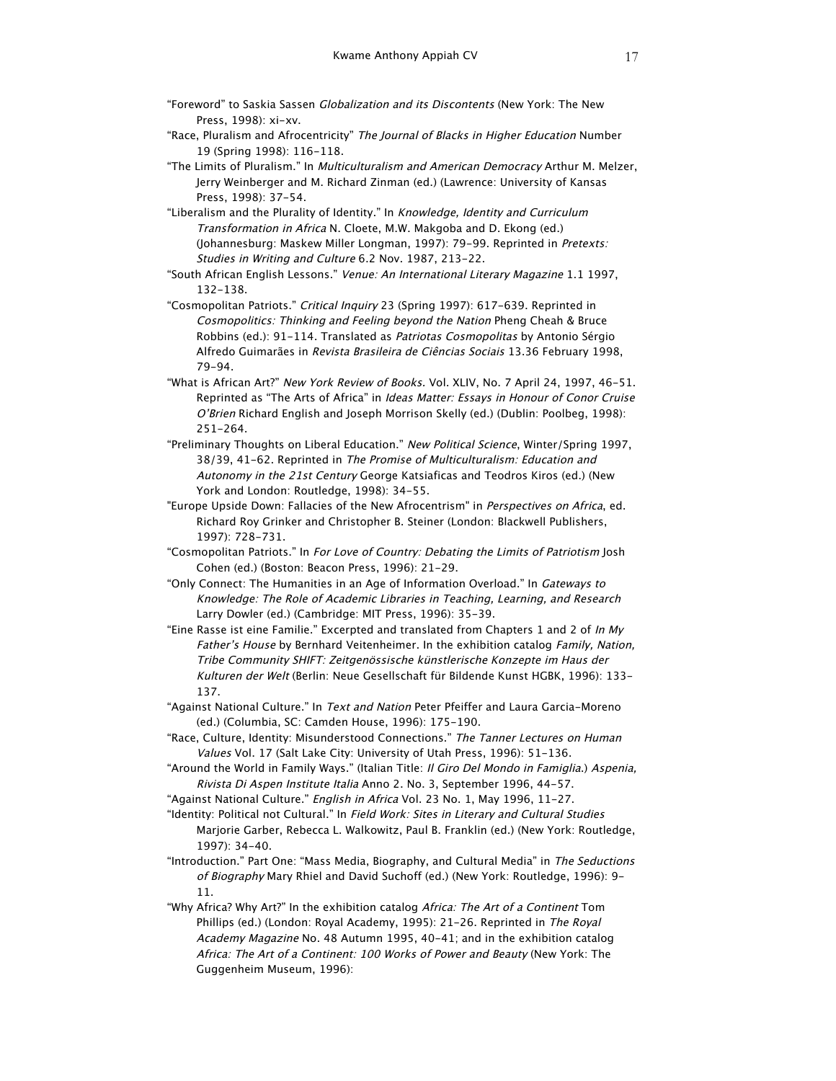- "Foreword" to Saskia Sassen Globalization and its Discontents (New York: The New Press, 1998): xi-xv.
- "Race, Pluralism and Afrocentricity" The Journal of Blacks in Higher Education Number 19 (Spring 1998): 116-118.
- "The Limits of Pluralism." In Multiculturalism and American Democracy Arthur M. Melzer, Jerry Weinberger and M. Richard Zinman (ed.) (Lawrence: University of Kansas Press, 1998): 37-54.
- "Liberalism and the Plurality of Identity." In Knowledge, Identity and Curriculum Transformation in Africa N. Cloete, M.W. Makgoba and D. Ekong (ed.) (Johannesburg: Maskew Miller Longman, 1997): 79-99. Reprinted in Pretexts: Studies in Writing and Culture 6.2 Nov. 1987, 213-22.
- "South African English Lessons." Venue: An International Literary Magazine 1.1 1997, 132-138.
- "Cosmopolitan Patriots." Critical Inquiry 23 (Spring 1997): 617-639. Reprinted in Cosmopolitics: Thinking and Feeling beyond the Nation Pheng Cheah & Bruce Robbins (ed.): 91-114. Translated as Patriotas Cosmopolitas by Antonio Sérgio Alfredo Guimarães in Revista Brasileira de Ciências Sociais 13.36 February 1998, 79-94.
- "What is African Art?" New York Review of Books. Vol. XLIV, No. 7 April 24, 1997, 46-51. Reprinted as "The Arts of Africa" in Ideas Matter: Essays in Honour of Conor Cruise O'Brien Richard English and Joseph Morrison Skelly (ed.) (Dublin: Poolbeg, 1998): 251-264.
- "Preliminary Thoughts on Liberal Education." New Political Science, Winter/Spring 1997, 38/39, 41-62. Reprinted in The Promise of Multiculturalism: Education and Autonomy in the 21st Century George Katsiaficas and Teodros Kiros (ed.) (New York and London: Routledge, 1998): 34-55.
- "Europe Upside Down: Fallacies of the New Afrocentrism" in Perspectives on Africa, ed. Richard Roy Grinker and Christopher B. Steiner (London: Blackwell Publishers, 1997): 728-731.
- "Cosmopolitan Patriots." In For Love of Country: Debating the Limits of Patriotism Josh Cohen (ed.) (Boston: Beacon Press, 1996): 21-29.
- "Only Connect: The Humanities in an Age of Information Overload." In Gateways to Knowledge: The Role of Academic Libraries in Teaching, Learning, and Research Larry Dowler (ed.) (Cambridge: MIT Press, 1996): 35-39.
- "Eine Rasse ist eine Familie." Excerpted and translated from Chapters 1 and 2 of In My Father's House by Bernhard Veitenheimer. In the exhibition catalog Family, Nation, Tribe Community SHIFT: Zeitgenössische künstlerische Konzepte im Haus der Kulturen der Welt (Berlin: Neue Gesellschaft für Bildende Kunst HGBK, 1996): 133-137.
- "Against National Culture." In Text and Nation Peter Pfeiffer and Laura Garcia-Moreno (ed.) (Columbia, SC: Camden House, 1996): 175-190.
- "Race, Culture, Identity: Misunderstood Connections." The Tanner Lectures on Human Values Vol. 17 (Salt Lake City: University of Utah Press, 1996): 51-136.
- "Around the World in Family Ways." (Italian Title: Il Giro Del Mondo in Famiglia.) Aspenia, Rivista Di Aspen Institute Italia Anno 2. No. 3, September 1996, 44-57.
- "Against National Culture." English in Africa Vol. 23 No. 1, May 1996, 11-27.
- "Identity: Political not Cultural." In Field Work: Sites in Literary and Cultural Studies Marjorie Garber, Rebecca L. Walkowitz, Paul B. Franklin (ed.) (New York: Routledge, 1997): 34-40.
- "Introduction." Part One: "Mass Media, Biography, and Cultural Media" in The Seductions of Biography Mary Rhiel and David Suchoff (ed.) (New York: Routledge, 1996): 9-11.
- "Why Africa? Why Art?" In the exhibition catalog Africa: The Art of a Continent Tom Phillips (ed.) (London: Royal Academy, 1995): 21-26. Reprinted in The Royal Academy Magazine No. 48 Autumn 1995, 40-41; and in the exhibition catalog Africa: The Art of a Continent: 100 Works of Power and Beauty (New York: The Guggenheim Museum, 1996):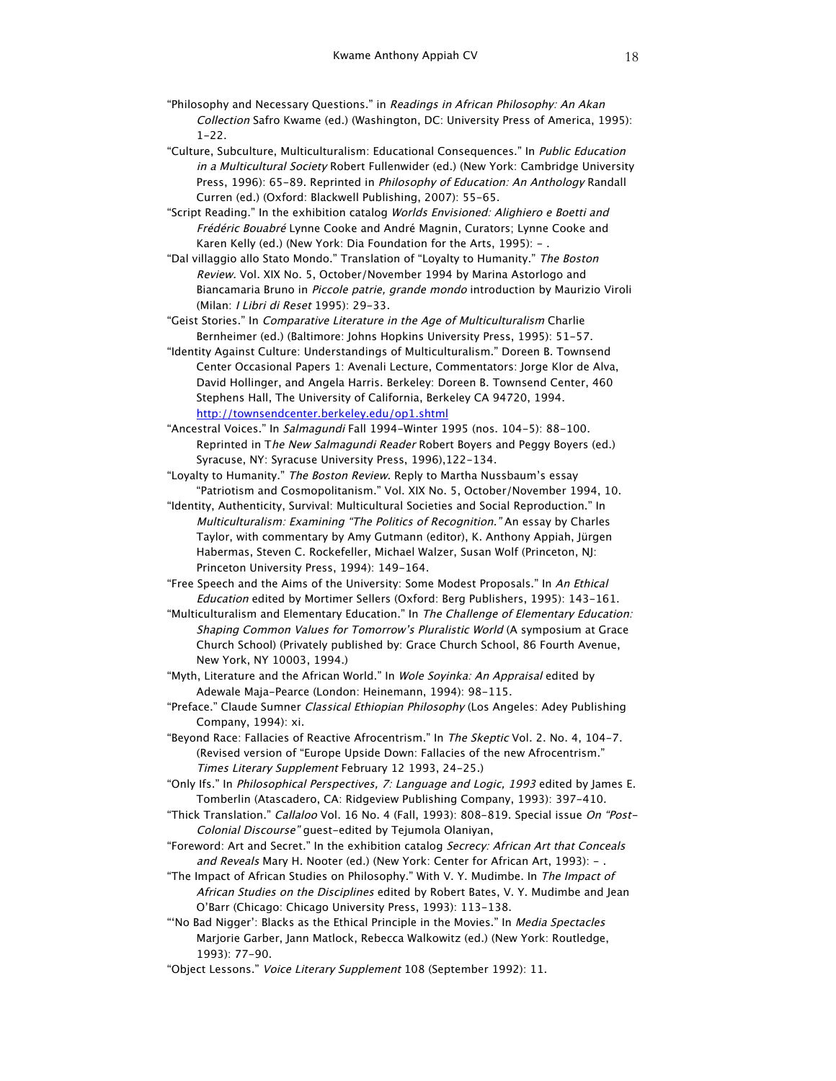- "Philosophy and Necessary Questions." in Readings in African Philosophy: An Akan Collection Safro Kwame (ed.) (Washington, DC: University Press of America, 1995): 1-22.
- "Culture, Subculture, Multiculturalism: Educational Consequences." In Public Education in a Multicultural Society Robert Fullenwider (ed.) (New York: Cambridge University Press, 1996): 65-89. Reprinted in *Philosophy of Education: An Anthology* Randall Curren (ed.) (Oxford: Blackwell Publishing, 2007): 55-65.
- "Script Reading." In the exhibition catalog Worlds Envisioned: Alighiero e Boetti and Frédéric Bouabré Lynne Cooke and André Magnin, Curators; Lynne Cooke and Karen Kelly (ed.) (New York: Dia Foundation for the Arts, 1995): -.
- "Dal villaggio allo Stato Mondo." Translation of "Loyalty to Humanity." The Boston Review. Vol. XIX No. 5, October/November 1994 by Marina Astorlogo and Biancamaria Bruno in Piccole patrie, grande mondo introduction by Maurizio Viroli (Milan: I Libri di Reset 1995): 29-33.
- "Geist Stories." In Comparative Literature in the Age of Multiculturalism Charlie Bernheimer (ed.) (Baltimore: Johns Hopkins University Press, 1995): 51-57.
- "Identity Against Culture: Understandings of Multiculturalism." Doreen B. Townsend Center Occasional Papers 1: Avenali Lecture, Commentators: Jorge Klor de Alva, David Hollinger, and Angela Harris. Berkeley: Doreen B. Townsend Center, 460 Stephens Hall, The University of California, Berkeley CA 94720, 1994. http://townsendcenter.berkeley.edu/op1.shtml
- "Ancestral Voices." In Salmagundi Fall 1994-Winter 1995 (nos. 104-5): 88-100. Reprinted in The New Salmagundi Reader Robert Boyers and Peggy Boyers (ed.) Syracuse, NY: Syracuse University Press, 1996),122-134.
- "Loyalty to Humanity." The Boston Review. Reply to Martha Nussbaum's essay "Patriotism and Cosmopolitanism." Vol. XIX No. 5, October/November 1994, 10.
- "Identity, Authenticity, Survival: Multicultural Societies and Social Reproduction." In Multiculturalism: Examining "The Politics of Recognition." An essay by Charles Taylor, with commentary by Amy Gutmann (editor), K. Anthony Appiah, Jürgen Habermas, Steven C. Rockefeller, Michael Walzer, Susan Wolf (Princeton, NJ: Princeton University Press, 1994): 149-164.
- "Free Speech and the Aims of the University: Some Modest Proposals." In An Ethical Education edited by Mortimer Sellers (Oxford: Berg Publishers, 1995): 143-161.
- "Multiculturalism and Elementary Education." In The Challenge of Elementary Education: Shaping Common Values for Tomorrow's Pluralistic World (A symposium at Grace Church School) (Privately published by: Grace Church School, 86 Fourth Avenue, New York, NY 10003, 1994.)
- "Myth, Literature and the African World." In Wole Soyinka: An Appraisal edited by Adewale Maja-Pearce (London: Heinemann, 1994): 98-115.
- "Preface." Claude Sumner Classical Ethiopian Philosophy (Los Angeles: Adey Publishing Company, 1994): xi.
- "Beyond Race: Fallacies of Reactive Afrocentrism." In The Skeptic Vol. 2. No. 4, 104-7. (Revised version of "Europe Upside Down: Fallacies of the new Afrocentrism." Times Literary Supplement February 12 1993, 24-25.)
- "Only Ifs." In Philosophical Perspectives, 7: Language and Logic, 1993 edited by James E. Tomberlin (Atascadero, CA: Ridgeview Publishing Company, 1993): 397-410.
- "Thick Translation." Callaloo Vol. 16 No. 4 (Fall, 1993): 808-819. Special issue On "Post-Colonial Discourse" guest-edited by Tejumola Olaniyan,
- "Foreword: Art and Secret." In the exhibition catalog Secrecy: African Art that Conceals and Reveals Mary H. Nooter (ed.) (New York: Center for African Art, 1993): - .
- "The Impact of African Studies on Philosophy." With V. Y. Mudimbe. In The Impact of African Studies on the Disciplines edited by Robert Bates, V. Y. Mudimbe and Jean O'Barr (Chicago: Chicago University Press, 1993): 113-138.
- "'No Bad Nigger': Blacks as the Ethical Principle in the Movies." In Media Spectacles Marjorie Garber, Jann Matlock, Rebecca Walkowitz (ed.) (New York: Routledge, 1993): 77-90.
- "Object Lessons." Voice Literary Supplement 108 (September 1992): 11.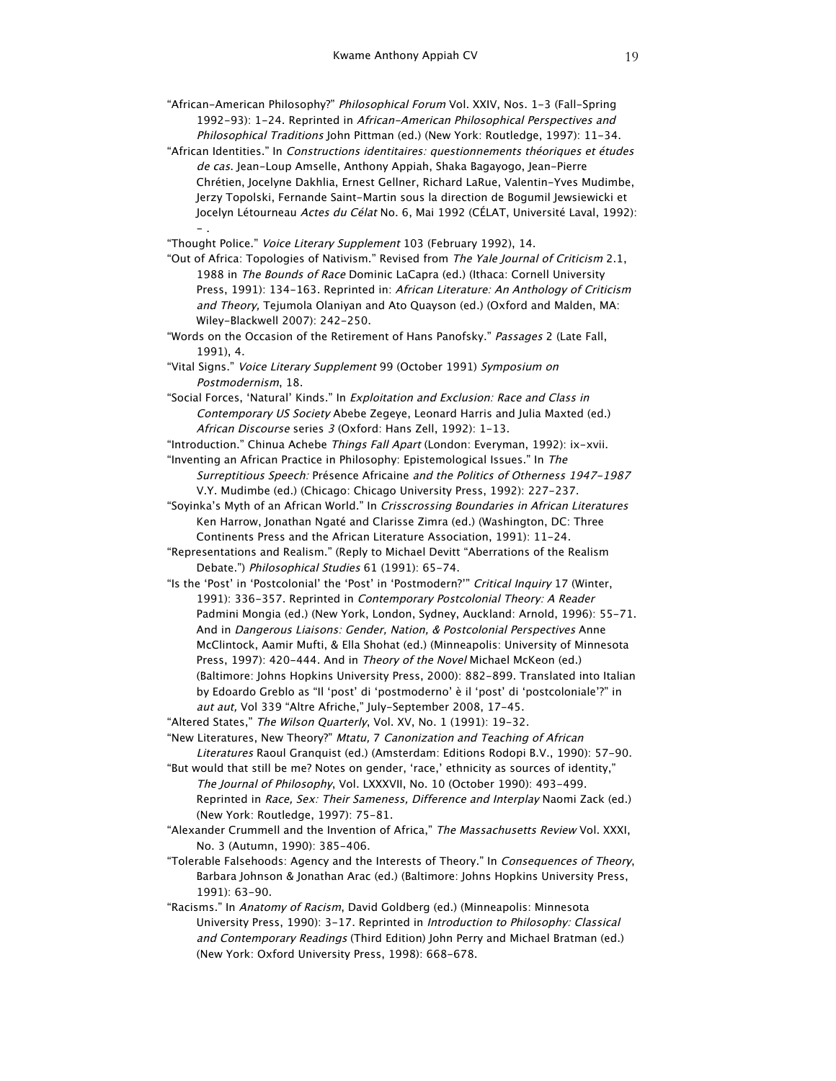"African-American Philosophy?" Philosophical Forum Vol. XXIV, Nos. 1-3 (Fall-Spring 1992-93): 1-24. Reprinted in African-American Philosophical Perspectives and Philosophical Traditions John Pittman (ed.) (New York: Routledge, 1997): 11-34.

"African Identities." In Constructions identitaires: questionnements théoriques et études de cas. Jean-Loup Amselle, Anthony Appiah, Shaka Bagayogo, Jean-Pierre Chrétien, Jocelyne Dakhlia, Ernest Gellner, Richard LaRue, Valentin-Yves Mudimbe, Jerzy Topolski, Fernande Saint-Martin sous la direction de Bogumil Jewsiewicki et Jocelyn Létourneau Actes du Célat No. 6, Mai 1992 (CÉLAT, Université Laval, 1992): - .

"Thought Police." Voice Literary Supplement 103 (February 1992), 14.

"Out of Africa: Topologies of Nativism." Revised from The Yale Journal of Criticism 2.1, 1988 in The Bounds of Race Dominic LaCapra (ed.) (Ithaca: Cornell University Press, 1991): 134-163. Reprinted in: African Literature: An Anthology of Criticism and Theory, Tejumola Olaniyan and Ato Quayson (ed.) (Oxford and Malden, MA: Wiley-Blackwell 2007): 242-250.

"Words on the Occasion of the Retirement of Hans Panofsky." Passages 2 (Late Fall, 1991), 4.

"Vital Signs." Voice Literary Supplement 99 (October 1991) Symposium on Postmodernism, 18.

"Social Forces, 'Natural' Kinds." In Exploitation and Exclusion: Race and Class in Contemporary US Society Abebe Zegeye, Leonard Harris and Julia Maxted (ed.) African Discourse series 3 (Oxford: Hans Zell, 1992): 1-13.

"Introduction." Chinua Achebe Things Fall Apart (London: Everyman, 1992): ix-xvii. "Inventing an African Practice in Philosophy: Epistemological Issues." In The

Surreptitious Speech: Présence Africaine and the Politics of Otherness 1947-1987 V.Y. Mudimbe (ed.) (Chicago: Chicago University Press, 1992): 227-237.

"Soyinka's Myth of an African World." In Crisscrossing Boundaries in African Literatures Ken Harrow, Jonathan Ngaté and Clarisse Zimra (ed.) (Washington, DC: Three Continents Press and the African Literature Association, 1991): 11-24.

"Representations and Realism." (Reply to Michael Devitt "Aberrations of the Realism Debate.") Philosophical Studies 61 (1991): 65-74.

"Is the 'Post' in 'Postcolonial' the 'Post' in 'Postmodern?'" Critical Inquiry 17 (Winter, 1991): 336-357. Reprinted in Contemporary Postcolonial Theory: A Reader Padmini Mongia (ed.) (New York, London, Sydney, Auckland: Arnold, 1996): 55-71. And in Dangerous Liaisons: Gender, Nation, & Postcolonial Perspectives Anne McClintock, Aamir Mufti, & Ella Shohat (ed.) (Minneapolis: University of Minnesota Press, 1997): 420-444. And in Theory of the Novel Michael McKeon (ed.) (Baltimore: Johns Hopkins University Press, 2000): 882-899. Translated into Italian by Edoardo Greblo as "Il 'post' di 'postmoderno' è il 'post' di 'postcoloniale'?" in aut aut, Vol 339 "Altre Afriche," July-September 2008, 17-45.

"Altered States," The Wilson Quarterly, Vol. XV, No. 1 (1991): 19-32.

"New Literatures, New Theory?" Mtatu, 7 Canonization and Teaching of African Literatures Raoul Granquist (ed.) (Amsterdam: Editions Rodopi B.V., 1990): 57-90.

"But would that still be me? Notes on gender, 'race,' ethnicity as sources of identity," The Journal of Philosophy, Vol. LXXXVII, No. 10 (October 1990): 493-499. Reprinted in Race, Sex: Their Sameness, Difference and Interplay Naomi Zack (ed.) (New York: Routledge, 1997): 75-81.

"Alexander Crummell and the Invention of Africa," The Massachusetts Review Vol. XXXI, No. 3 (Autumn, 1990): 385-406.

"Tolerable Falsehoods: Agency and the Interests of Theory." In Consequences of Theory, Barbara Johnson & Jonathan Arac (ed.) (Baltimore: Johns Hopkins University Press, 1991): 63-90.

"Racisms." In Anatomy of Racism, David Goldberg (ed.) (Minneapolis: Minnesota University Press, 1990): 3-17. Reprinted in Introduction to Philosophy: Classical and Contemporary Readings (Third Edition) John Perry and Michael Bratman (ed.) (New York: Oxford University Press, 1998): 668-678.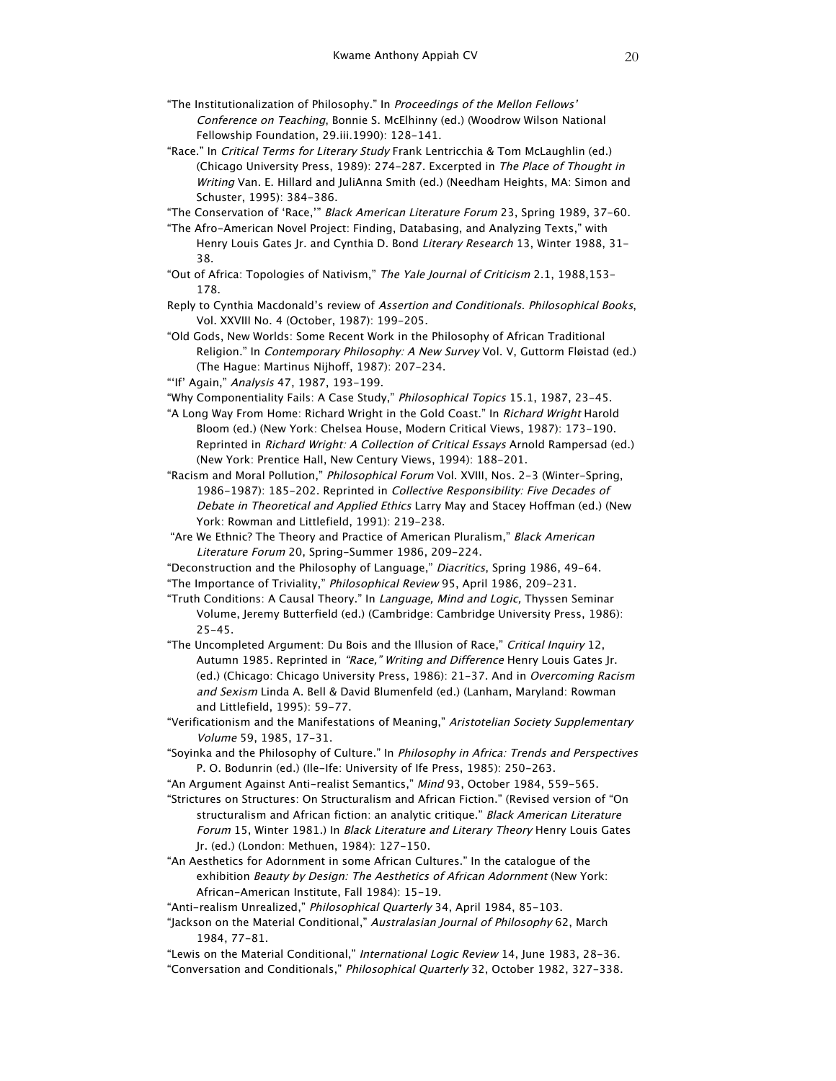- "The Institutionalization of Philosophy." In Proceedings of the Mellon Fellows' Conference on Teaching, Bonnie S. McElhinny (ed.) (Woodrow Wilson National Fellowship Foundation, 29.iii.1990): 128-141.
- "Race." In Critical Terms for Literary Study Frank Lentricchia & Tom McLaughlin (ed.) (Chicago University Press, 1989): 274-287. Excerpted in The Place of Thought in Writing Van. E. Hillard and JuliAnna Smith (ed.) (Needham Heights, MA: Simon and Schuster, 1995): 384-386.

"The Conservation of 'Race,'" Black American Literature Forum 23, Spring 1989, 37-60.

- "The Afro-American Novel Project: Finding, Databasing, and Analyzing Texts," with Henry Louis Gates Jr. and Cynthia D. Bond Literary Research 13, Winter 1988, 31-38.
- "Out of Africa: Topologies of Nativism," The Yale Journal of Criticism 2.1, 1988,153- 178.
- Reply to Cynthia Macdonald's review of Assertion and Conditionals. Philosophical Books, Vol. XXVIII No. 4 (October, 1987): 199-205.
- "Old Gods, New Worlds: Some Recent Work in the Philosophy of African Traditional Religion." In Contemporary Philosophy: A New Survey Vol. V, Guttorm Fløistad (ed.) (The Hague: Martinus Nijhoff, 1987): 207-234.
- "'If' Again," Analysis 47, 1987, 193-199.
- "Why Componentiality Fails: A Case Study," Philosophical Topics 15.1, 1987, 23-45.
- "A Long Way From Home: Richard Wright in the Gold Coast." In Richard Wright Harold Bloom (ed.) (New York: Chelsea House, Modern Critical Views, 1987): 173-190. Reprinted in Richard Wright: A Collection of Critical Essays Arnold Rampersad (ed.) (New York: Prentice Hall, New Century Views, 1994): 188-201.
- "Racism and Moral Pollution," Philosophical Forum Vol. XVIII, Nos. 2-3 (Winter-Spring, 1986-1987): 185-202. Reprinted in Collective Responsibility: Five Decades of Debate in Theoretical and Applied Ethics Larry May and Stacey Hoffman (ed.) (New York: Rowman and Littlefield, 1991): 219-238.
- "Are We Ethnic? The Theory and Practice of American Pluralism," Black American Literature Forum 20, Spring-Summer 1986, 209-224.
- "Deconstruction and the Philosophy of Language," Diacritics, Spring 1986, 49-64. "The Importance of Triviality," Philosophical Review 95, April 1986, 209-231.
- "Truth Conditions: A Causal Theory." In Language, Mind and Logic, Thyssen Seminar Volume, Jeremy Butterfield (ed.) (Cambridge: Cambridge University Press, 1986): 25-45.
- "The Uncompleted Argument: Du Bois and the Illusion of Race," Critical Inquiry 12, Autumn 1985. Reprinted in "Race," Writing and Difference Henry Louis Gates Jr. (ed.) (Chicago: Chicago University Press, 1986): 21-37. And in Overcoming Racism and Sexism Linda A. Bell & David Blumenfeld (ed.) (Lanham, Maryland: Rowman and Littlefield, 1995): 59-77.
- "Verificationism and the Manifestations of Meaning," Aristotelian Society Supplementary Volume 59, 1985, 17-31.
- "Soyinka and the Philosophy of Culture." In Philosophy in Africa: Trends and Perspectives P. O. Bodunrin (ed.) (Ile-Ife: University of Ife Press, 1985): 250-263.
- "An Argument Against Anti-realist Semantics," Mind 93, October 1984, 559-565.
- "Strictures on Structures: On Structuralism and African Fiction." (Revised version of "On structuralism and African fiction: an analytic critique." Black American Literature Forum 15, Winter 1981.) In Black Literature and Literary Theory Henry Louis Gates Jr. (ed.) (London: Methuen, 1984): 127-150.
- "An Aesthetics for Adornment in some African Cultures." In the catalogue of the exhibition Beauty by Design: The Aesthetics of African Adornment (New York: African-American Institute, Fall 1984): 15-19.
- "Anti-realism Unrealized," Philosophical Quarterly 34, April 1984, 85-103.
- "Jackson on the Material Conditional," Australasian Journal of Philosophy 62, March 1984, 77-81.
- "Lewis on the Material Conditional," International Logic Review 14, June 1983, 28-36. "Conversation and Conditionals," Philosophical Quarterly 32, October 1982, 327-338.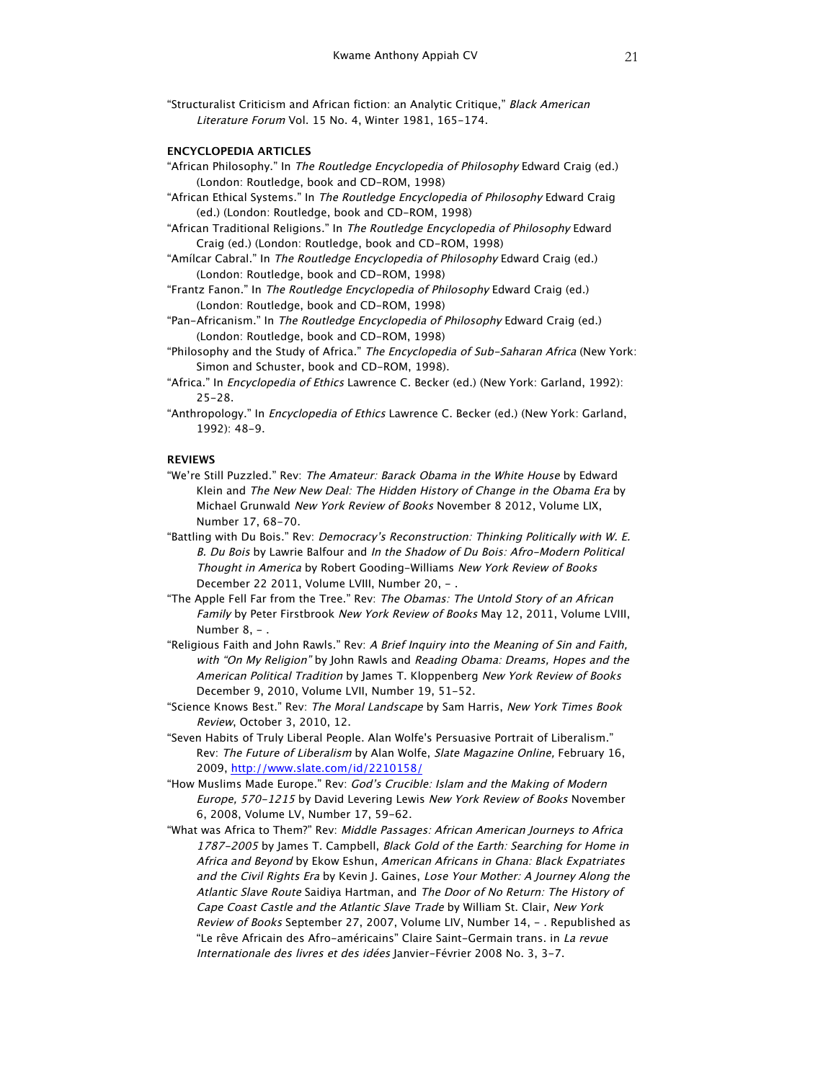"Structuralist Criticism and African fiction: an Analytic Critique," Black American Literature Forum Vol. 15 No. 4, Winter 1981, 165-174.

## **ENCYCLOPEDIA ARTICLES**

- "African Philosophy." In The Routledge Encyclopedia of Philosophy Edward Craig (ed.) (London: Routledge, book and CD-ROM, 1998)
- "African Ethical Systems." In The Routledge Encyclopedia of Philosophy Edward Craig (ed.) (London: Routledge, book and CD-ROM, 1998)
- "African Traditional Religions." In The Routledge Encyclopedia of Philosophy Edward Craig (ed.) (London: Routledge, book and CD-ROM, 1998)
- "Amílcar Cabral." In The Routledge Encyclopedia of Philosophy Edward Craig (ed.) (London: Routledge, book and CD-ROM, 1998)
- "Frantz Fanon." In The Routledge Encyclopedia of Philosophy Edward Craig (ed.) (London: Routledge, book and CD-ROM, 1998)
- "Pan-Africanism." In The Routledge Encyclopedia of Philosophy Edward Craig (ed.) (London: Routledge, book and CD-ROM, 1998)
- "Philosophy and the Study of Africa." The Encyclopedia of Sub-Saharan Africa (New York: Simon and Schuster, book and CD-ROM, 1998).
- "Africa." In Encyclopedia of Ethics Lawrence C. Becker (ed.) (New York: Garland, 1992): 25-28.
- "Anthropology." In *Encyclopedia of Ethics* Lawrence C. Becker (ed.) (New York: Garland, 1992): 48-9.

# **REVIEWS**

- "We're Still Puzzled." Rev: The Amateur: Barack Obama in the White House by Edward Klein and The New New Deal: The Hidden History of Change in the Obama Era by Michael Grunwald New York Review of Books November 8 2012, Volume LIX, Number 17, 68-70.
- "Battling with Du Bois." Rev: Democracy's Reconstruction: Thinking Politically with W. E. B. Du Bois by Lawrie Balfour and In the Shadow of Du Bois: Afro-Modern Political Thought in America by Robert Gooding-Williams New York Review of Books December 22 2011, Volume LVIII, Number 20, - .
- "The Apple Fell Far from the Tree." Rev: The Obamas: The Untold Story of an African Family by Peter Firstbrook New York Review of Books May 12, 2011, Volume LVIII, Number 8, -.
- "Religious Faith and John Rawls." Rev: A Brief Inquiry into the Meaning of Sin and Faith, with "On My Religion" by John Rawls and Reading Obama: Dreams, Hopes and the American Political Tradition by James T. Kloppenberg New York Review of Books December 9, 2010, Volume LVII, Number 19, 51-52.
- "Science Knows Best." Rev: The Moral Landscape by Sam Harris, New York Times Book Review, October 3, 2010, 12.
- "Seven Habits of Truly Liberal People. Alan Wolfe's Persuasive Portrait of Liberalism." Rev: The Future of Liberalism by Alan Wolfe, Slate Magazine Online, February 16, 2009, http://www.slate.com/id/2210158/
- "How Muslims Made Europe." Rev: God's Crucible: Islam and the Making of Modern Europe, 570-1215 by David Levering Lewis New York Review of Books November 6, 2008, Volume LV, Number 17, 59-62.
- "What was Africa to Them?" Rev: Middle Passages: African American Journeys to Africa 1787-2005 by James T. Campbell, Black Gold of the Earth: Searching for Home in Africa and Beyond by Ekow Eshun, American Africans in Ghana: Black Expatriates and the Civil Rights Era by Kevin J. Gaines, Lose Your Mother: A Journey Along the Atlantic Slave Route Saidiya Hartman, and The Door of No Return: The History of Cape Coast Castle and the Atlantic Slave Trade by William St. Clair, New York Review of Books September 27, 2007, Volume LIV, Number 14, - . Republished as "Le rêve Africain des Afro-américains" Claire Saint-Germain trans. in La revue Internationale des livres et des idées Janvier-Février 2008 No. 3, 3-7.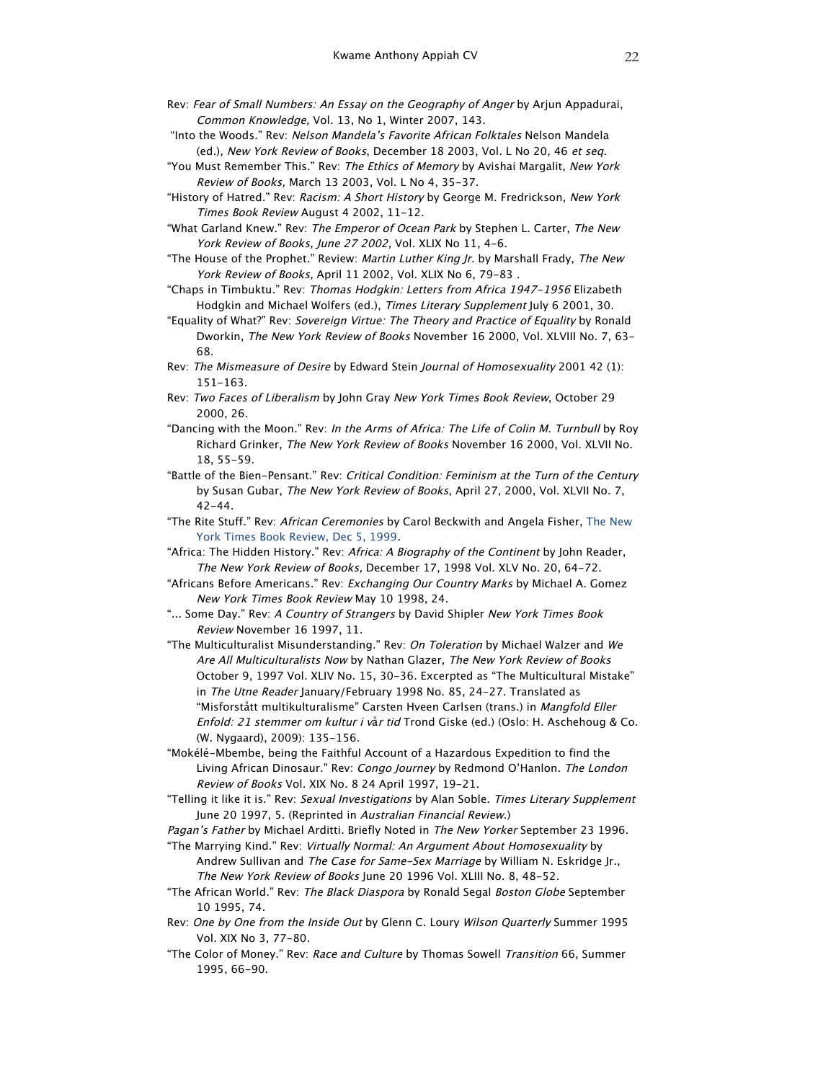- Rev: Fear of Small Numbers: An Essay on the Geography of Anger by Arjun Appadurai, Common Knowledge, Vol. 13, No 1, Winter 2007, 143.
- "Into the Woods." Rev: Nelson Mandela's Favorite African Folktales Nelson Mandela (ed.), New York Review of Books, December 18 2003, Vol. L No 20, 46 et seq.
- "You Must Remember This." Rev: The Ethics of Memory by Avishai Margalit, New York Review of Books, March 13 2003, Vol. L No 4, 35-37.
- "History of Hatred." Rev: Racism: A Short History by George M. Fredrickson, New York Times Book Review August 4 2002, 11-12.
- "What Garland Knew." Rev: The Emperor of Ocean Park by Stephen L. Carter, The New York Review of Books, June 27 2002, Vol. XLIX No 11, 4-6.
- "The House of the Prophet." Review: Martin Luther King Jr. by Marshall Frady, The New York Review of Books, April 11 2002, Vol. XLIX No 6, 79-83 .
- "Chaps in Timbuktu." Rev: Thomas Hodgkin: Letters from Africa 1947-1956 Elizabeth Hodgkin and Michael Wolfers (ed.), Times Literary Supplement July 6 2001, 30.
- "Equality of What?" Rev: Sovereign Virtue: The Theory and Practice of Equality by Ronald Dworkin, The New York Review of Books November 16 2000, Vol. XLVIII No. 7, 63- 68.
- Rev: The Mismeasure of Desire by Edward Stein Journal of Homosexuality 2001 42 (1): 151-163.
- Rev: Two Faces of Liberalism by John Gray New York Times Book Review, October 29 2000, 26.
- "Dancing with the Moon." Rev: In the Arms of Africa: The Life of Colin M. Turnbull by Roy Richard Grinker, The New York Review of Books November 16 2000, Vol. XLVII No. 18, 55-59.
- "Battle of the Bien-Pensant." Rev: Critical Condition: Feminism at the Turn of the Century by Susan Gubar, The New York Review of Books, April 27, 2000, Vol. XLVII No. 7,  $42 - 44.$
- "The Rite Stuff." Rev: African Ceremonies by Carol Beckwith and Angela Fisher, The New York Times Book Review, Dec 5, 1999.
- "Africa: The Hidden History." Rev: Africa: A Biography of the Continent by John Reader, The New York Review of Books, December 17, 1998 Vol. XLV No. 20, 64-72.
- "Africans Before Americans." Rev: Exchanging Our Country Marks by Michael A. Gomez New York Times Book Review May 10 1998, 24.
- "... Some Day." Rev: A Country of Strangers by David Shipler New York Times Book Review November 16 1997, 11.
- "The Multiculturalist Misunderstanding." Rev: On Toleration by Michael Walzer and We Are All Multiculturalists Now by Nathan Glazer, The New York Review of Books October 9, 1997 Vol. XLIV No. 15, 30-36. Excerpted as "The Multicultural Mistake" in The Utne Reader January/February 1998 No. 85, 24-27. Translated as "Misforstått multikulturalisme" Carsten Hveen Carlsen (trans.) in Mangfold Eller Enfold: 21 stemmer om kultur i vår tid Trond Giske (ed.) (Oslo: H. Aschehoug & Co. (W. Nygaard), 2009): 135-156.
- "Mokélé-Mbembe, being the Faithful Account of a Hazardous Expedition to find the Living African Dinosaur." Rev: Congo Journey by Redmond O'Hanlon. The London Review of Books Vol. XIX No. 8 24 April 1997, 19-21.
- "Telling it like it is." Rev: Sexual Investigations by Alan Soble. Times Literary Supplement June 20 1997, 5. (Reprinted in Australian Financial Review.)
- Pagan's Father by Michael Arditti. Briefly Noted in The New Yorker September 23 1996.
- "The Marrying Kind." Rev: Virtually Normal: An Argument About Homosexuality by Andrew Sullivan and The Case for Same-Sex Marriage by William N. Eskridge Jr., The New York Review of Books June 20 1996 Vol. XLIII No. 8, 48-52.
- "The African World." Rev: The Black Diaspora by Ronald Segal Boston Globe September 10 1995, 74.
- Rev: One by One from the Inside Out by Glenn C. Loury Wilson Quarterly Summer 1995 Vol. XIX No 3, 77-80.
- "The Color of Money." Rev: Race and Culture by Thomas Sowell Transition 66, Summer 1995, 66-90.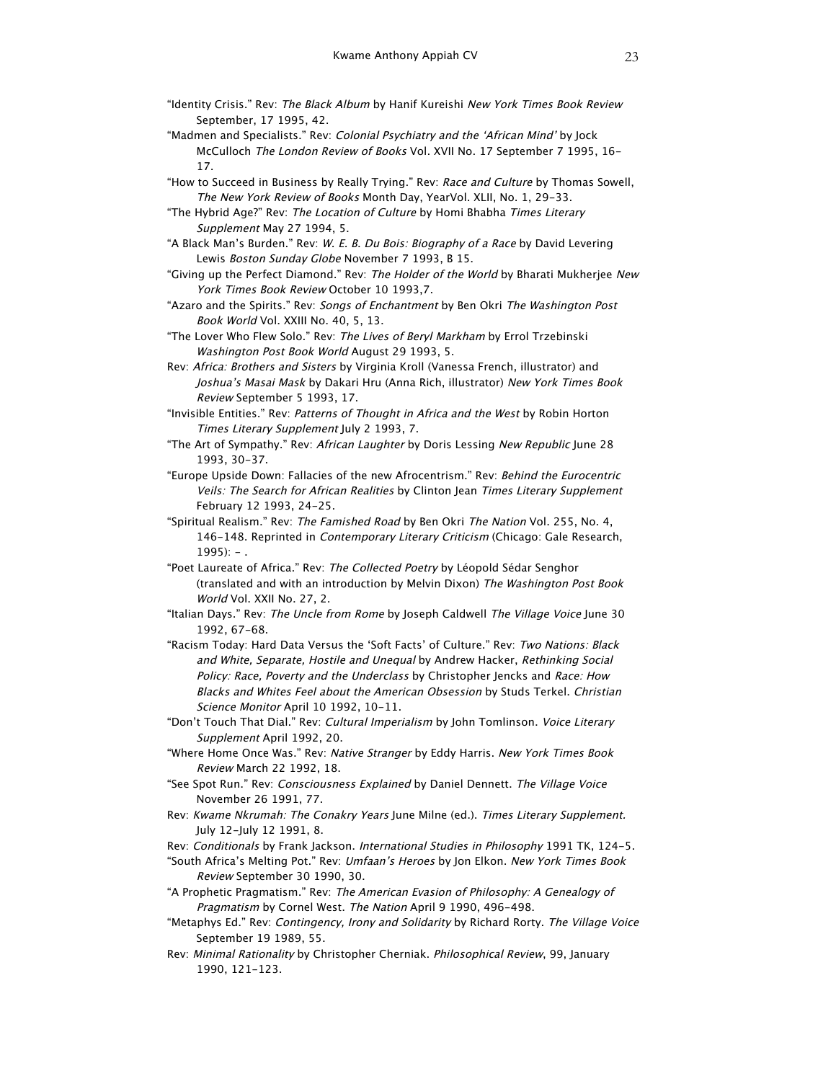- "Identity Crisis." Rev: The Black Album by Hanif Kureishi New York Times Book Review September, 17 1995, 42.
- "Madmen and Specialists." Rev: Colonial Psychiatry and the 'African Mind' by Jock McCulloch The London Review of Books Vol. XVII No. 17 September 7 1995, 16- 17.
- "How to Succeed in Business by Really Trying." Rev: Race and Culture by Thomas Sowell, The New York Review of Books Month Day, YearVol. XLII, No. 1, 29-33.
- "The Hybrid Age?" Rev: The Location of Culture by Homi Bhabha Times Literary Supplement May 27 1994, 5.
- "A Black Man's Burden." Rev: W. E. B. Du Bois: Biography of a Race by David Levering Lewis Boston Sunday Globe November 7 1993, B 15.
- "Giving up the Perfect Diamond." Rev: The Holder of the World by Bharati Mukherjee New York Times Book Review October 10 1993,7.
- "Azaro and the Spirits." Rev: Songs of Enchantment by Ben Okri The Washington Post Book World Vol. XXIII No. 40, 5, 13.
- "The Lover Who Flew Solo." Rev: The Lives of Beryl Markham by Errol Trzebinski Washington Post Book World August 29 1993, 5.
- Rev: Africa: Brothers and Sisters by Virginia Kroll (Vanessa French, illustrator) and Joshua's Masai Mask by Dakari Hru (Anna Rich, illustrator) New York Times Book Review September 5 1993, 17.
- "Invisible Entities." Rev: Patterns of Thought in Africa and the West by Robin Horton Times Literary Supplement July 2 1993, 7.
- "The Art of Sympathy." Rev: African Laughter by Doris Lessing New Republic June 28 1993, 30-37.
- "Europe Upside Down: Fallacies of the new Afrocentrism." Rev: Behind the Eurocentric Veils: The Search for African Realities by Clinton Jean Times Literary Supplement February 12 1993, 24-25.
- "Spiritual Realism." Rev: The Famished Road by Ben Okri The Nation Vol. 255, No. 4, 146-148. Reprinted in *Contemporary Literary Criticism* (Chicago: Gale Research,  $1995$ ):  $-$
- "Poet Laureate of Africa." Rev: The Collected Poetry by Léopold Sédar Senghor (translated and with an introduction by Melvin Dixon) The Washington Post Book World Vol. XXII No. 27, 2.
- "Italian Days." Rev: The Uncle from Rome by Joseph Caldwell The Village Voice June 30 1992, 67-68.
- "Racism Today: Hard Data Versus the 'Soft Facts' of Culture." Rev: Two Nations: Black and White, Separate, Hostile and Unequal by Andrew Hacker, Rethinking Social Policy: Race, Poverty and the Underclass by Christopher Jencks and Race: How Blacks and Whites Feel about the American Obsession by Studs Terkel. Christian Science Monitor April 10 1992, 10-11.
- "Don't Touch That Dial." Rev: Cultural Imperialism by John Tomlinson. Voice Literary Supplement April 1992, 20.
- "Where Home Once Was." Rev: Native Stranger by Eddy Harris. New York Times Book Review March 22 1992, 18.
- "See Spot Run." Rev: Consciousness Explained by Daniel Dennett. The Village Voice November 26 1991, 77.
- Rev: Kwame Nkrumah: The Conakry Years June Milne (ed.). Times Literary Supplement. July 12-July 12 1991, 8.
- Rev: Conditionals by Frank Jackson. International Studies in Philosophy 1991 TK, 124-5.
- "South Africa's Melting Pot." Rev: Umfaan's Heroes by Jon Elkon. New York Times Book Review September 30 1990, 30.
- "A Prophetic Pragmatism." Rev: The American Evasion of Philosophy: A Genealogy of Pragmatism by Cornel West. The Nation April 9 1990, 496-498.
- "Metaphys Ed." Rev: Contingency, Irony and Solidarity by Richard Rorty. The Village Voice September 19 1989, 55.
- Rev: Minimal Rationality by Christopher Cherniak. Philosophical Review, 99, January 1990, 121-123.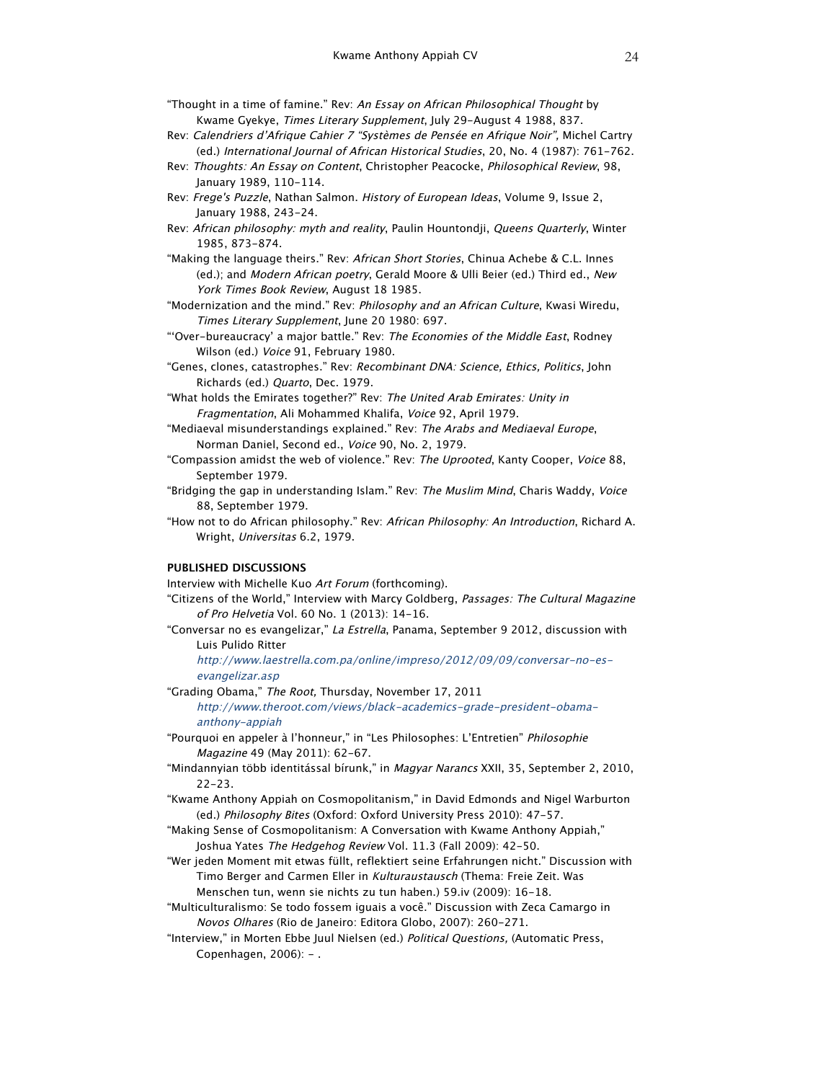"Thought in a time of famine." Rev: An Essay on African Philosophical Thought by Kwame Gyekye, Times Literary Supplement, July 29-August 4 1988, 837.

- Rev: Calendriers d'Afrique Cahier 7 "Systèmes de Pensée en Afrique Noir", Michel Cartry (ed.) International Journal of African Historical Studies, 20, No. 4 (1987): 761-762.
- Rev: Thoughts: An Essay on Content, Christopher Peacocke, Philosophical Review, 98, January 1989, 110-114.
- Rev: Frege's Puzzle, Nathan Salmon. History of European Ideas, Volume 9, Issue 2, January 1988, 243-24.
- Rev: African philosophy: myth and reality, Paulin Hountondji, Queens Quarterly, Winter 1985, 873-874.
- "Making the language theirs." Rev: African Short Stories, Chinua Achebe & C.L. Innes (ed.); and Modern African poetry, Gerald Moore & Ulli Beier (ed.) Third ed., New York Times Book Review, August 18 1985.

"Modernization and the mind." Rev: Philosophy and an African Culture, Kwasi Wiredu, Times Literary Supplement, June 20 1980: 697.

- "'Over-bureaucracy' a major battle." Rev: The Economies of the Middle East, Rodney Wilson (ed.) Voice 91, February 1980.
- "Genes, clones, catastrophes." Rev: Recombinant DNA: Science, Ethics, Politics, John Richards (ed.) Quarto, Dec. 1979.
- "What holds the Emirates together?" Rev: The United Arab Emirates: Unity in Fragmentation, Ali Mohammed Khalifa, Voice 92, April 1979.
- "Mediaeval misunderstandings explained." Rev: The Arabs and Mediaeval Europe, Norman Daniel, Second ed., Voice 90, No. 2, 1979.
- "Compassion amidst the web of violence." Rev: The Uprooted, Kanty Cooper, Voice 88, September 1979.
- "Bridging the gap in understanding Islam." Rev: The Muslim Mind, Charis Waddy, Voice 88, September 1979.
- "How not to do African philosophy." Rev: African Philosophy: An Introduction, Richard A. Wright, Universitas 6.2, 1979.

### **PUBLISHED DISCUSSIONS**

Interview with Michelle Kuo Art Forum (forthcoming).

- "Citizens of the World," Interview with Marcy Goldberg, Passages: The Cultural Magazine of Pro Helvetia Vol. 60 No. 1 (2013): 14-16.
- "Conversar no es evangelizar," La Estrella, Panama, September 9 2012, discussion with Luis Pulido Ritter

http://www.laestrella.com.pa/online/impreso/2012/09/09/conversar-no-esevangelizar.asp

"Grading Obama," The Root, Thursday, November 17, 2011

http://www.theroot.com/views/black-academics-grade-president-obamaanthony-appiah

"Pourquoi en appeler à l'honneur," in "Les Philosophes: L'Entretien" Philosophie Magazine 49 (May 2011): 62-67.

- "Mindannyian több identitással bírunk," in Magyar Narancs XXII, 35, September 2, 2010, 22-23.
- "Kwame Anthony Appiah on Cosmopolitanism," in David Edmonds and Nigel Warburton (ed.) Philosophy Bites (Oxford: Oxford University Press 2010): 47-57.
- "Making Sense of Cosmopolitanism: A Conversation with Kwame Anthony Appiah," Joshua Yates The Hedgehog Review Vol. 11.3 (Fall 2009): 42-50.
- "Wer jeden Moment mit etwas füllt, reflektiert seine Erfahrungen nicht." Discussion with Timo Berger and Carmen Eller in Kulturaustausch (Thema: Freie Zeit. Was Menschen tun, wenn sie nichts zu tun haben.) 59.iv (2009): 16-18.
- "Multiculturalismo: Se todo fossem iguais a você." Discussion with Zeca Camargo in Novos Olhares (Rio de Janeiro: Editora Globo, 2007): 260-271.
- "Interview," in Morten Ebbe Juul Nielsen (ed.) Political Questions, (Automatic Press, Copenhagen, 2006): - .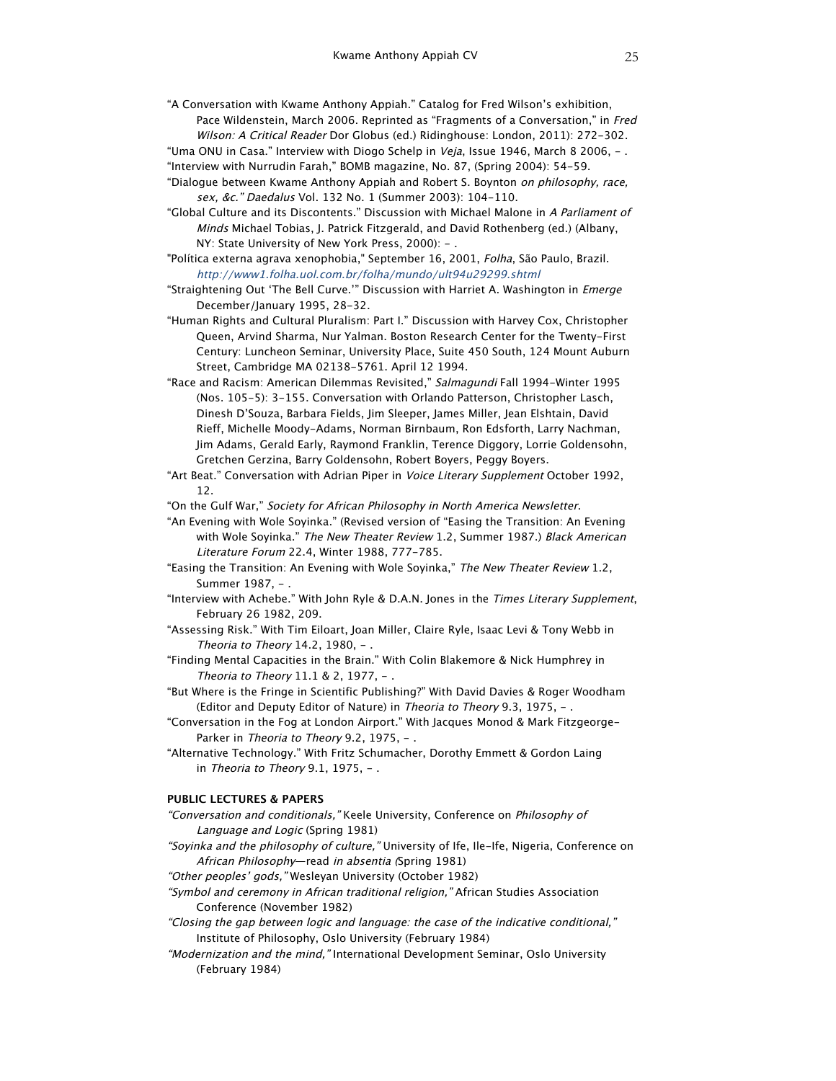"A Conversation with Kwame Anthony Appiah." Catalog for Fred Wilson's exhibition, Pace Wildenstein, March 2006. Reprinted as "Fragments of a Conversation," in Fred Wilson: A Critical Reader Dor Globus (ed.) Ridinghouse: London, 2011): 272-302.

"Uma ONU in Casa." Interview with Diogo Schelp in Veja, Issue 1946, March 8 2006,  $-$ . "Interview with Nurrudin Farah," BOMB magazine, No. 87, (Spring 2004): 54-59.

- "Dialogue between Kwame Anthony Appiah and Robert S. Boynton on philosophy, race, sex, &c." Daedalus Vol. 132 No. 1 (Summer 2003): 104-110.
- "Global Culture and its Discontents." Discussion with Michael Malone in A Parliament of Minds Michael Tobias, J. Patrick Fitzgerald, and David Rothenberg (ed.) (Albany, NY: State University of New York Press, 2000): -.
- "Política externa agrava xenophobia," September 16, 2001, Folha, São Paulo, Brazil. http://www1.folha.uol.com.br/folha/mundo/ult94u29299.shtml
- "Straightening Out 'The Bell Curve.'" Discussion with Harriet A. Washington in Emerge December/January 1995, 28-32.
- "Human Rights and Cultural Pluralism: Part I." Discussion with Harvey Cox, Christopher Queen, Arvind Sharma, Nur Yalman. Boston Research Center for the Twenty-First Century: Luncheon Seminar, University Place, Suite 450 South, 124 Mount Auburn Street, Cambridge MA 02138-5761. April 12 1994.
- "Race and Racism: American Dilemmas Revisited," Salmagundi Fall 1994-Winter 1995 (Nos. 105-5): 3-155. Conversation with Orlando Patterson, Christopher Lasch, Dinesh D'Souza, Barbara Fields, Jim Sleeper, James Miller, Jean Elshtain, David Rieff, Michelle Moody-Adams, Norman Birnbaum, Ron Edsforth, Larry Nachman, Jim Adams, Gerald Early, Raymond Franklin, Terence Diggory, Lorrie Goldensohn, Gretchen Gerzina, Barry Goldensohn, Robert Boyers, Peggy Boyers.
- "Art Beat." Conversation with Adrian Piper in Voice Literary Supplement October 1992, 12.
- "On the Gulf War," Society for African Philosophy in North America Newsletter.
- "An Evening with Wole Soyinka." (Revised version of "Easing the Transition: An Evening with Wole Soyinka." The New Theater Review 1.2, Summer 1987.) Black American Literature Forum 22.4, Winter 1988, 777-785.
- "Easing the Transition: An Evening with Wole Soyinka," The New Theater Review 1.2, Summer 1987, - .
- "Interview with Achebe." With John Ryle & D.A.N. Jones in the Times Literary Supplement, February 26 1982, 209.
- "Assessing Risk." With Tim Eiloart, Joan Miller, Claire Ryle, Isaac Levi & Tony Webb in Theoria to Theory  $14.2$ ,  $1980$ , -.
- "Finding Mental Capacities in the Brain." With Colin Blakemore & Nick Humphrey in Theoria to Theory 11.1 & 2, 1977, - .
- "But Where is the Fringe in Scientific Publishing?" With David Davies & Roger Woodham (Editor and Deputy Editor of Nature) in Theoria to Theory 9.3, 1975, -.
- "Conversation in the Fog at London Airport." With Jacques Monod & Mark Fitzgeorge-Parker in Theoria to Theory 9.2, 1975, -.
- "Alternative Technology." With Fritz Schumacher, Dorothy Emmett & Gordon Laing in Theoria to Theory 9.1, 1975,  $-$  .

### **PUBLIC LECTURES & PAPERS**

- "Conversation and conditionals," Keele University, Conference on Philosophy of Language and Logic (Spring 1981)
- "Soyinka and the philosophy of culture," University of Ife, Ile-Ife, Nigeria, Conference on African Philosophy—read in absentia (Spring 1981)

"Other peoples' gods," Wesleyan University (October 1982)

- "Symbol and ceremony in African traditional religion," African Studies Association Conference (November 1982)
- "Closing the gap between logic and language: the case of the indicative conditional," Institute of Philosophy, Oslo University (February 1984)
- "Modernization and the mind," International Development Seminar, Oslo University (February 1984)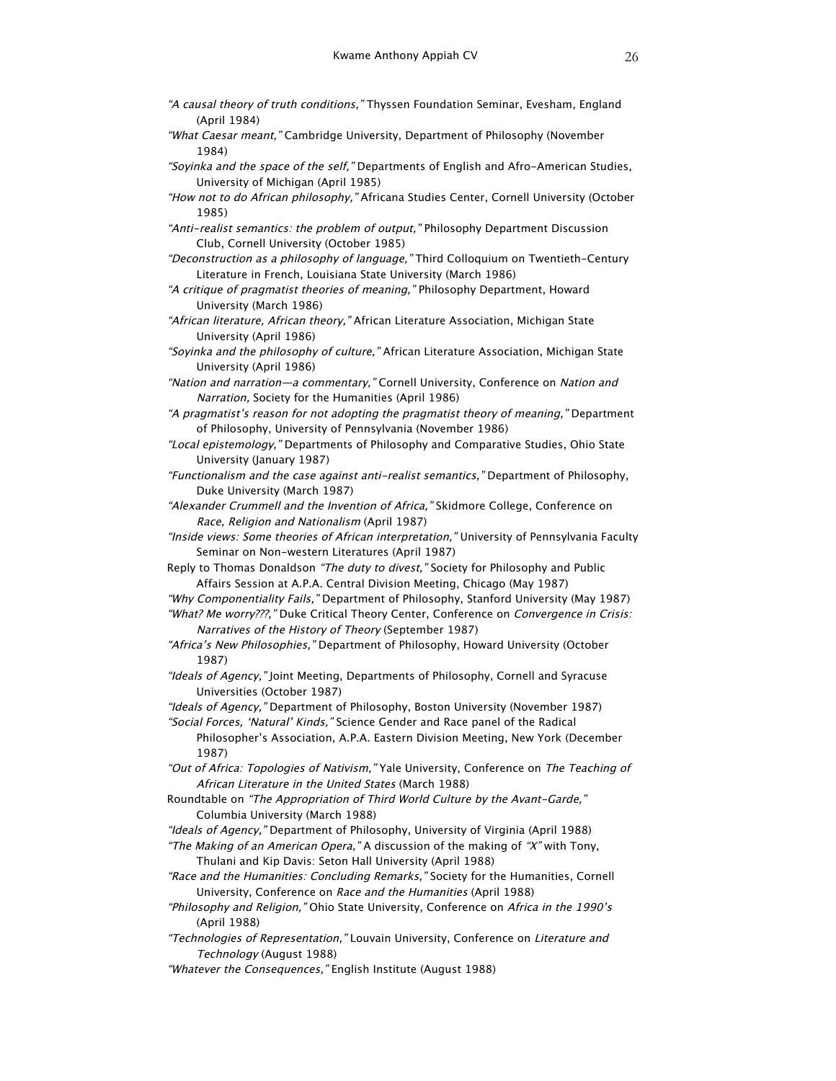- "A causal theory of truth conditions," Thyssen Foundation Seminar, Evesham, England (April 1984)
- "What Caesar meant," Cambridge University, Department of Philosophy (November 1984)
- "Soyinka and the space of the self," Departments of English and Afro-American Studies, University of Michigan (April 1985)
- "How not to do African philosophy," Africana Studies Center, Cornell University (October 1985)
- "Anti-realist semantics: the problem of output," Philosophy Department Discussion Club, Cornell University (October 1985)
- "Deconstruction as a philosophy of language," Third Colloquium on Twentieth-Century Literature in French, Louisiana State University (March 1986)
- "A critique of pragmatist theories of meaning," Philosophy Department, Howard University (March 1986)
- "African literature, African theory," African Literature Association, Michigan State University (April 1986)
- "Soyinka and the philosophy of culture," African Literature Association, Michigan State University (April 1986)
- "Nation and narration—a commentary," Cornell University, Conference on Nation and Narration, Society for the Humanities (April 1986)
- "A pragmatist's reason for not adopting the pragmatist theory of meaning," Department of Philosophy, University of Pennsylvania (November 1986)
- "Local epistemology," Departments of Philosophy and Comparative Studies, Ohio State University (January 1987)
- "Functionalism and the case against anti-realist semantics," Department of Philosophy, Duke University (March 1987)
- "Alexander Crummell and the Invention of Africa," Skidmore College, Conference on Race, Religion and Nationalism (April 1987)
- "Inside views: Some theories of African interpretation," University of Pennsylvania Faculty Seminar on Non-western Literatures (April 1987)
- Reply to Thomas Donaldson "The duty to divest," Society for Philosophy and Public Affairs Session at A.P.A. Central Division Meeting, Chicago (May 1987)
- "Why Componentiality Fails," Department of Philosophy, Stanford University (May 1987)
- "What? Me worry???," Duke Critical Theory Center, Conference on Convergence in Crisis: Narratives of the History of Theory (September 1987)
- "Africa's New Philosophies," Department of Philosophy, Howard University (October 1987)
- "Ideals of Agency," Joint Meeting, Departments of Philosophy, Cornell and Syracuse Universities (October 1987)
- "Ideals of Agency," Department of Philosophy, Boston University (November 1987)
- "Social Forces, 'Natural' Kinds," Science Gender and Race panel of the Radical Philosopher's Association, A.P.A. Eastern Division Meeting, New York (December 1987)
- "Out of Africa: Topologies of Nativism," Yale University, Conference on The Teaching of African Literature in the United States (March 1988)
- Roundtable on "The Appropriation of Third World Culture by the Avant-Garde," Columbia University (March 1988)
- "Ideals of Agency," Department of Philosophy, University of Virginia (April 1988)
- "The Making of an American Opera," A discussion of the making of "X" with Tony, Thulani and Kip Davis: Seton Hall University (April 1988)
- "Race and the Humanities: Concluding Remarks," Society for the Humanities, Cornell University, Conference on Race and the Humanities (April 1988)
- "Philosophy and Religion," Ohio State University, Conference on Africa in the 1990's (April 1988)
- "Technologies of Representation," Louvain University, Conference on Literature and Technology (August 1988)
- "Whatever the Consequences," English Institute (August 1988)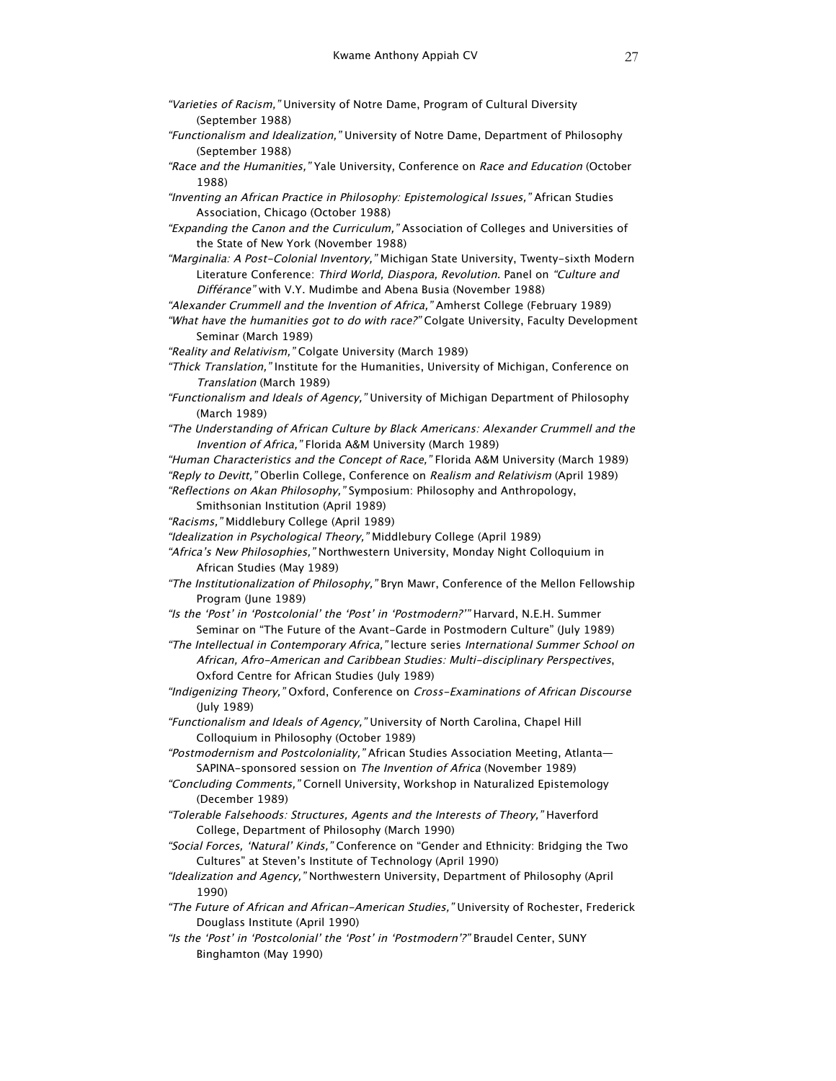- "Varieties of Racism," University of Notre Dame, Program of Cultural Diversity (September 1988)
- "Functionalism and Idealization," University of Notre Dame, Department of Philosophy (September 1988)
- "Race and the Humanities," Yale University, Conference on Race and Education (October 1988)
- "Inventing an African Practice in Philosophy: Epistemological Issues," African Studies Association, Chicago (October 1988)
- "Expanding the Canon and the Curriculum," Association of Colleges and Universities of the State of New York (November 1988)
- "Marginalia: A Post-Colonial Inventory," Michigan State University, Twenty-sixth Modern Literature Conference: Third World, Diaspora, Revolution. Panel on "Culture and Différance" with V.Y. Mudimbe and Abena Busia (November 1988)
- "Alexander Crummell and the Invention of Africa," Amherst College (February 1989)
- "What have the humanities got to do with race?" Colgate University, Faculty Development Seminar (March 1989)
- "Reality and Relativism," Colgate University (March 1989)
- "Thick Translation," Institute for the Humanities, University of Michigan, Conference on Translation (March 1989)
- "Functionalism and Ideals of Agency," University of Michigan Department of Philosophy (March 1989)
- "The Understanding of African Culture by Black Americans: Alexander Crummell and the Invention of Africa," Florida A&M University (March 1989)
- "Human Characteristics and the Concept of Race," Florida A&M University (March 1989) "Reply to Devitt," Oberlin College, Conference on Realism and Relativism (April 1989) "Reflections on Akan Philosophy," Symposium: Philosophy and Anthropology,
	- Smithsonian Institution (April 1989)
- "Racisms," Middlebury College (April 1989)
- "Idealization in Psychological Theory," Middlebury College (April 1989)
- "Africa's New Philosophies," Northwestern University, Monday Night Colloquium in African Studies (May 1989)
- "The Institutionalization of Philosophy," Bryn Mawr, Conference of the Mellon Fellowship Program (June 1989)
- "Is the 'Post' in 'Postcolonial' the 'Post' in 'Postmodern?'" Harvard, N.E.H. Summer Seminar on "The Future of the Avant-Garde in Postmodern Culture" (July 1989)
- "The Intellectual in Contemporary Africa," lecture series International Summer School on African, Afro-American and Caribbean Studies: Multi-disciplinary Perspectives, Oxford Centre for African Studies (July 1989)
- "Indigenizing Theory," Oxford, Conference on Cross-Examinations of African Discourse (July 1989)
- "Functionalism and Ideals of Agency," University of North Carolina, Chapel Hill Colloquium in Philosophy (October 1989)
- "Postmodernism and Postcoloniality," African Studies Association Meeting, Atlanta— SAPINA-sponsored session on The Invention of Africa (November 1989)
- "Concluding Comments," Cornell University, Workshop in Naturalized Epistemology (December 1989)
- "Tolerable Falsehoods: Structures, Agents and the Interests of Theory," Haverford College, Department of Philosophy (March 1990)
- "Social Forces, 'Natural' Kinds," Conference on "Gender and Ethnicity: Bridging the Two Cultures" at Steven's Institute of Technology (April 1990)
- "Idealization and Agency," Northwestern University, Department of Philosophy (April 1990)
- "The Future of African and African-American Studies," University of Rochester, Frederick Douglass Institute (April 1990)
- "Is the 'Post' in 'Postcolonial' the 'Post' in 'Postmodern'?" Braudel Center, SUNY Binghamton (May 1990)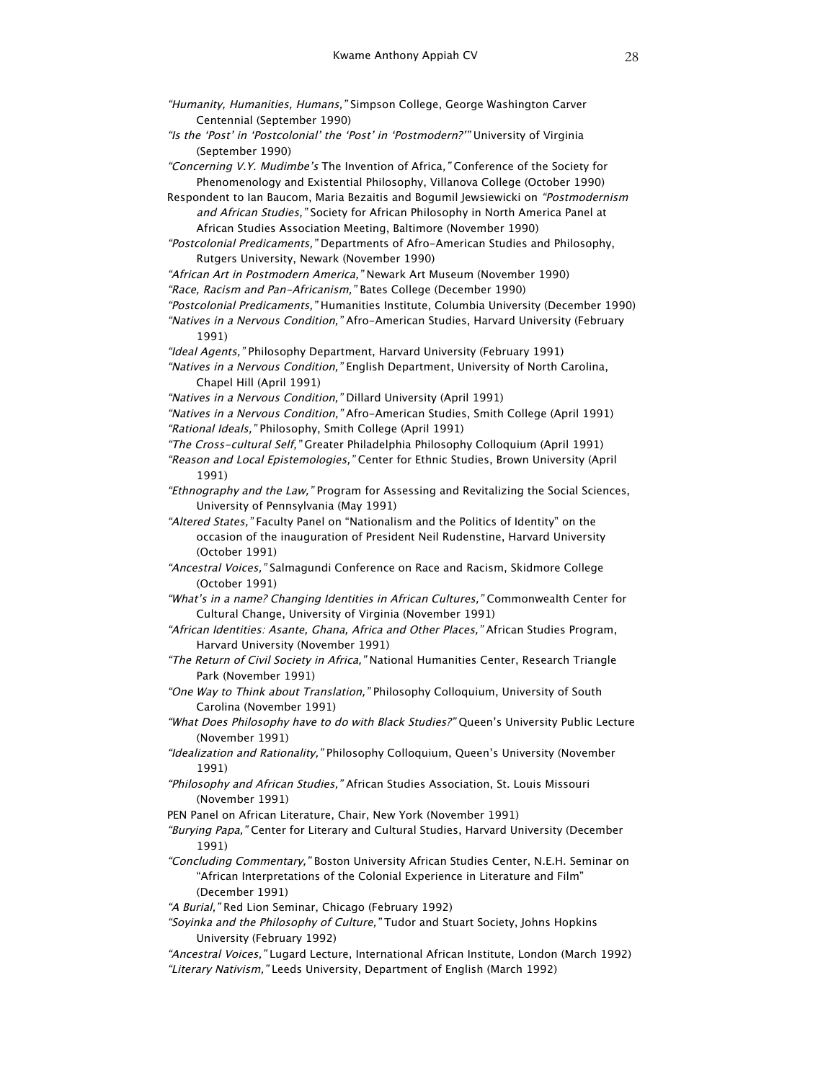"Is the 'Post' in 'Postcolonial' the 'Post' in 'Postmodern?'" University of Virginia (September 1990)

"Concerning V.Y. Mudimbe's The Invention of Africa," Conference of the Society for Phenomenology and Existential Philosophy, Villanova College (October 1990)

Respondent to Ian Baucom, Maria Bezaitis and Bogumil Jewsiewicki on "Postmodernism and African Studies," Society for African Philosophy in North America Panel at African Studies Association Meeting, Baltimore (November 1990)

"Postcolonial Predicaments," Departments of Afro-American Studies and Philosophy, Rutgers University, Newark (November 1990)

"African Art in Postmodern America," Newark Art Museum (November 1990)

"Race, Racism and Pan-Africanism," Bates College (December 1990)

"Postcolonial Predicaments," Humanities Institute, Columbia University (December 1990)

"Natives in a Nervous Condition," Afro-American Studies, Harvard University (February 1991)

"Ideal Agents," Philosophy Department, Harvard University (February 1991)

"Natives in a Nervous Condition," English Department, University of North Carolina, Chapel Hill (April 1991)

"Natives in a Nervous Condition," Dillard University (April 1991)

- "Natives in a Nervous Condition," Afro-American Studies, Smith College (April 1991) "Rational Ideals," Philosophy, Smith College (April 1991)
- "The Cross-cultural Self," Greater Philadelphia Philosophy Colloquium (April 1991) "Reason and Local Epistemologies," Center for Ethnic Studies, Brown University (April 1991)
- "Ethnography and the Law," Program for Assessing and Revitalizing the Social Sciences, University of Pennsylvania (May 1991)

"Altered States," Faculty Panel on "Nationalism and the Politics of Identity" on the occasion of the inauguration of President Neil Rudenstine, Harvard University (October 1991)

"Ancestral Voices," Salmagundi Conference on Race and Racism, Skidmore College (October 1991)

"What's in a name? Changing Identities in African Cultures," Commonwealth Center for Cultural Change, University of Virginia (November 1991)

- "African Identities: Asante, Ghana, Africa and Other Places," African Studies Program, Harvard University (November 1991)
- "The Return of Civil Society in Africa," National Humanities Center, Research Triangle Park (November 1991)

"One Way to Think about Translation," Philosophy Colloquium, University of South Carolina (November 1991)

- "What Does Philosophy have to do with Black Studies?" Queen's University Public Lecture (November 1991)
- "Idealization and Rationality," Philosophy Colloquium, Queen's University (November 1991)
- "Philosophy and African Studies," African Studies Association, St. Louis Missouri (November 1991)
- PEN Panel on African Literature, Chair, New York (November 1991)
- "Burying Papa," Center for Literary and Cultural Studies, Harvard University (December 1991)
- "Concluding Commentary," Boston University African Studies Center, N.E.H. Seminar on "African Interpretations of the Colonial Experience in Literature and Film" (December 1991)

"A Burial," Red Lion Seminar, Chicago (February 1992)

"Soyinka and the Philosophy of Culture," Tudor and Stuart Society, Johns Hopkins University (February 1992)

"Ancestral Voices," Lugard Lecture, International African Institute, London (March 1992) "Literary Nativism," Leeds University, Department of English (March 1992)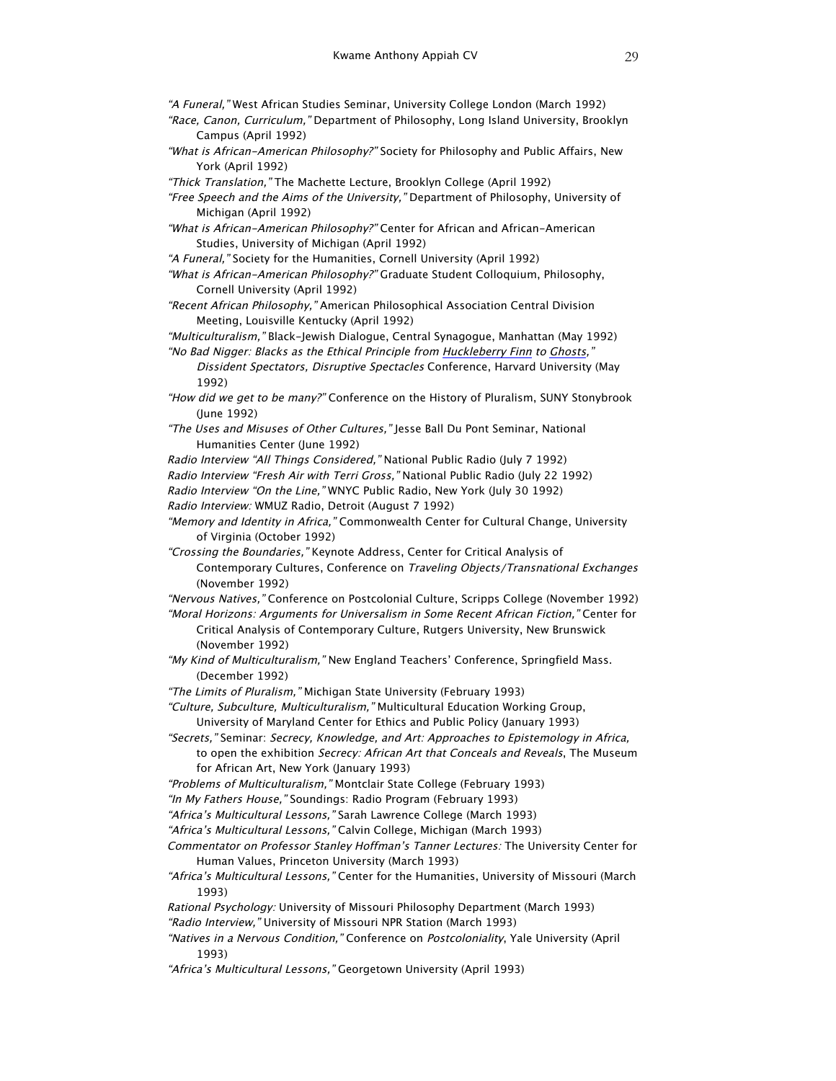"A Funeral," West African Studies Seminar, University College London (March 1992) "Race, Canon, Curriculum," Department of Philosophy, Long Island University, Brooklyn

- Campus (April 1992)
- "What is African-American Philosophy?" Society for Philosophy and Public Affairs, New York (April 1992)
- "Thick Translation," The Machette Lecture, Brooklyn College (April 1992)
- "Free Speech and the Aims of the University," Department of Philosophy, University of Michigan (April 1992)
- "What is African-American Philosophy?" Center for African and African-American Studies, University of Michigan (April 1992)
- "A Funeral," Society for the Humanities, Cornell University (April 1992)
- "What is African-American Philosophy?" Graduate Student Colloquium, Philosophy, Cornell University (April 1992)
- "Recent African Philosophy," American Philosophical Association Central Division Meeting, Louisville Kentucky (April 1992)
- "Multiculturalism," Black-Jewish Dialogue, Central Synagogue, Manhattan (May 1992) "No Bad Nigger: Blacks as the Ethical Principle from Huckleberry Finn to Ghosts,"
	- Dissident Spectators, Disruptive Spectacles Conference, Harvard University (May 1992)
- "How did we get to be many?" Conference on the History of Pluralism, SUNY Stonybrook (June 1992)
- "The Uses and Misuses of Other Cultures," Jesse Ball Du Pont Seminar, National Humanities Center (June 1992)
- Radio Interview "All Things Considered," National Public Radio (July 7 1992)
- Radio Interview "Fresh Air with Terri Gross," National Public Radio (July 22 1992)
- Radio Interview "On the Line," WNYC Public Radio, New York (July 30 1992)
- Radio Interview: WMUZ Radio, Detroit (August 7 1992)
- "Memory and Identity in Africa," Commonwealth Center for Cultural Change, University of Virginia (October 1992)
- "Crossing the Boundaries," Keynote Address, Center for Critical Analysis of Contemporary Cultures, Conference on Traveling Objects/Transnational Exchanges (November 1992)
- "Nervous Natives," Conference on Postcolonial Culture, Scripps College (November 1992)
- "Moral Horizons: Arguments for Universalism in Some Recent African Fiction," Center for Critical Analysis of Contemporary Culture, Rutgers University, New Brunswick (November 1992)
- "My Kind of Multiculturalism," New England Teachers' Conference, Springfield Mass. (December 1992)
- "The Limits of Pluralism," Michigan State University (February 1993)
- "Culture, Subculture, Multiculturalism," Multicultural Education Working Group, University of Maryland Center for Ethics and Public Policy (January 1993)
- "Secrets," Seminar: Secrecy, Knowledge, and Art: Approaches to Epistemology in Africa, to open the exhibition Secrecy: African Art that Conceals and Reveals, The Museum for African Art, New York (January 1993)
- "Problems of Multiculturalism," Montclair State College (February 1993)
- "In My Fathers House," Soundings: Radio Program (February 1993)
- "Africa's Multicultural Lessons," Sarah Lawrence College (March 1993)
- "Africa's Multicultural Lessons," Calvin College, Michigan (March 1993)
- Commentator on Professor Stanley Hoffman's Tanner Lectures: The University Center for Human Values, Princeton University (March 1993)
- "Africa's Multicultural Lessons," Center for the Humanities, University of Missouri (March 1993)
- Rational Psychology: University of Missouri Philosophy Department (March 1993)
- "Radio Interview," University of Missouri NPR Station (March 1993)
- "Natives in a Nervous Condition," Conference on Postcoloniality, Yale University (April 1993)
- "Africa's Multicultural Lessons," Georgetown University (April 1993)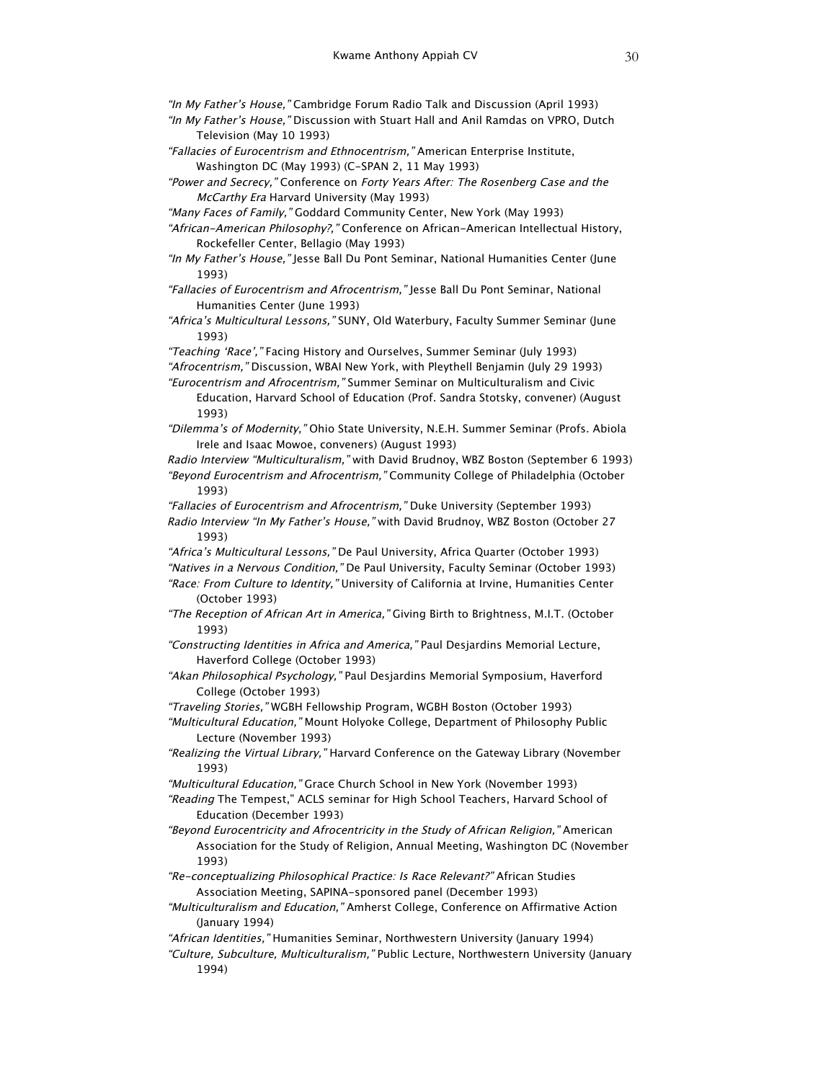"In My Father's House," Cambridge Forum Radio Talk and Discussion (April 1993)

- "In My Father's House," Discussion with Stuart Hall and Anil Ramdas on VPRO, Dutch Television (May 10 1993)
- "Fallacies of Eurocentrism and Ethnocentrism," American Enterprise Institute, Washington DC (May 1993) (C-SPAN 2, 11 May 1993)
- "Power and Secrecy," Conference on Forty Years After: The Rosenberg Case and the McCarthy Era Harvard University (May 1993)
- "Many Faces of Family," Goddard Community Center, New York (May 1993)
- "African-American Philosophy?," Conference on African-American Intellectual History, Rockefeller Center, Bellagio (May 1993)
- "In My Father's House," Jesse Ball Du Pont Seminar, National Humanities Center (June 1993)
- "Fallacies of Eurocentrism and Afrocentrism," Jesse Ball Du Pont Seminar, National Humanities Center (June 1993)
- "Africa's Multicultural Lessons," SUNY, Old Waterbury, Faculty Summer Seminar (June 1993)

"Teaching 'Race'," Facing History and Ourselves, Summer Seminar (July 1993)

"Afrocentrism," Discussion, WBAI New York, with Pleythell Benjamin (July 29 1993)

"Eurocentrism and Afrocentrism," Summer Seminar on Multiculturalism and Civic

- Education, Harvard School of Education (Prof. Sandra Stotsky, convener) (August 1993)
- "Dilemma's of Modernity," Ohio State University, N.E.H. Summer Seminar (Profs. Abiola Irele and Isaac Mowoe, conveners) (August 1993)

Radio Interview "Multiculturalism," with David Brudnoy, WBZ Boston (September 6 1993) "Beyond Eurocentrism and Afrocentrism," Community College of Philadelphia (October 1993)

"Fallacies of Eurocentrism and Afrocentrism," Duke University (September 1993) Radio Interview "In My Father's House," with David Brudnoy, WBZ Boston (October 27

1993)

"Africa's Multicultural Lessons," De Paul University, Africa Quarter (October 1993)

"Natives in a Nervous Condition," De Paul University, Faculty Seminar (October 1993)

"Race: From Culture to Identity," University of California at Irvine, Humanities Center (October 1993)

- "The Reception of African Art in America," Giving Birth to Brightness, M.I.T. (October 1993)
- "Constructing Identities in Africa and America," Paul Desjardins Memorial Lecture, Haverford College (October 1993)
- "Akan Philosophical Psychology," Paul Desjardins Memorial Symposium, Haverford College (October 1993)

"Traveling Stories," WGBH Fellowship Program, WGBH Boston (October 1993)

- "Multicultural Education," Mount Holyoke College, Department of Philosophy Public Lecture (November 1993)
- "Realizing the Virtual Library," Harvard Conference on the Gateway Library (November 1993)

"Multicultural Education," Grace Church School in New York (November 1993)

- "Reading The Tempest," ACLS seminar for High School Teachers, Harvard School of Education (December 1993)
- "Beyond Eurocentricity and Afrocentricity in the Study of African Religion," American Association for the Study of Religion, Annual Meeting, Washington DC (November 1993)
- "Re-conceptualizing Philosophical Practice: Is Race Relevant?" African Studies Association Meeting, SAPINA-sponsored panel (December 1993)
- "Multiculturalism and Education," Amherst College, Conference on Affirmative Action (January 1994)

"African Identities," Humanities Seminar, Northwestern University (January 1994)

"Culture, Subculture, Multiculturalism," Public Lecture, Northwestern University (January 1994)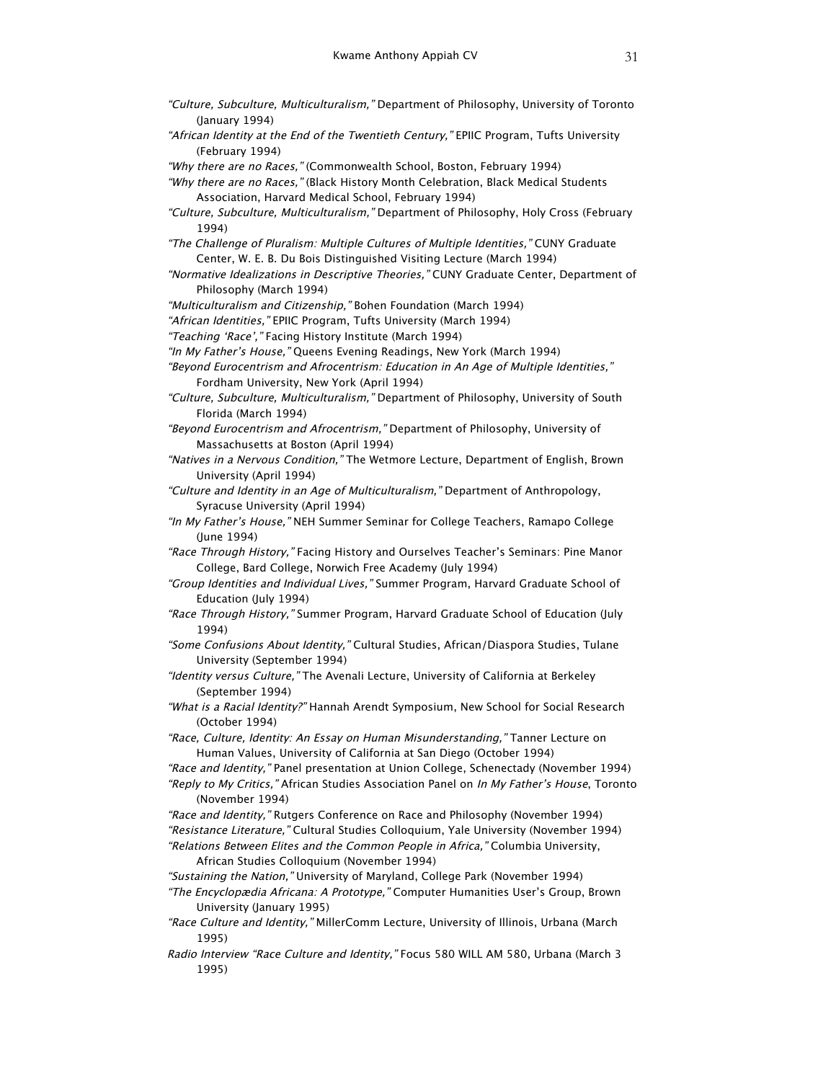- "Culture, Subculture, Multiculturalism," Department of Philosophy, University of Toronto (January 1994)
- "African Identity at the End of the Twentieth Century," EPIIC Program, Tufts University (February 1994)
- "Why there are no Races," (Commonwealth School, Boston, February 1994)
- "Why there are no Races," (Black History Month Celebration, Black Medical Students Association, Harvard Medical School, February 1994)
- "Culture, Subculture, Multiculturalism," Department of Philosophy, Holy Cross (February 1994)
- "The Challenge of Pluralism: Multiple Cultures of Multiple Identities," CUNY Graduate Center, W. E. B. Du Bois Distinguished Visiting Lecture (March 1994)
- "Normative Idealizations in Descriptive Theories," CUNY Graduate Center, Department of Philosophy (March 1994)
- "Multiculturalism and Citizenship," Bohen Foundation (March 1994)
- "African Identities," EPIIC Program, Tufts University (March 1994)
- "Teaching 'Race'," Facing History Institute (March 1994)
- "In My Father's House," Queens Evening Readings, New York (March 1994)
- "Beyond Eurocentrism and Afrocentrism: Education in An Age of Multiple Identities," Fordham University, New York (April 1994)
- "Culture, Subculture, Multiculturalism," Department of Philosophy, University of South Florida (March 1994)
- "Beyond Eurocentrism and Afrocentrism," Department of Philosophy, University of Massachusetts at Boston (April 1994)
- "Natives in a Nervous Condition," The Wetmore Lecture, Department of English, Brown University (April 1994)
- "Culture and Identity in an Age of Multiculturalism," Department of Anthropology, Syracuse University (April 1994)
- "In My Father's House," NEH Summer Seminar for College Teachers, Ramapo College (June 1994)
- "Race Through History," Facing History and Ourselves Teacher's Seminars: Pine Manor College, Bard College, Norwich Free Academy (July 1994)
- "Group Identities and Individual Lives," Summer Program, Harvard Graduate School of Education (July 1994)
- "Race Through History," Summer Program, Harvard Graduate School of Education (July 1994)
- "Some Confusions About Identity," Cultural Studies, African/Diaspora Studies, Tulane University (September 1994)
- "Identity versus Culture," The Avenali Lecture, University of California at Berkeley (September 1994)
- "What is a Racial Identity?" Hannah Arendt Symposium, New School for Social Research (October 1994)
- "Race, Culture, Identity: An Essay on Human Misunderstanding," Tanner Lecture on Human Values, University of California at San Diego (October 1994)
- "Race and Identity," Panel presentation at Union College, Schenectady (November 1994)
- "Reply to My Critics," African Studies Association Panel on In My Father's House, Toronto (November 1994)
- "Race and Identity," Rutgers Conference on Race and Philosophy (November 1994) "Resistance Literature," Cultural Studies Colloquium, Yale University (November 1994) "Relations Between Elites and the Common People in Africa," Columbia University,
	- African Studies Colloquium (November 1994)
- "Sustaining the Nation," University of Maryland, College Park (November 1994)
- "The Encyclopædia Africana: A Prototype," Computer Humanities User's Group, Brown University (January 1995)
- "Race Culture and Identity," MillerComm Lecture, University of Illinois, Urbana (March 1995)
- Radio Interview "Race Culture and Identity," Focus 580 WILL AM 580, Urbana (March 3 1995)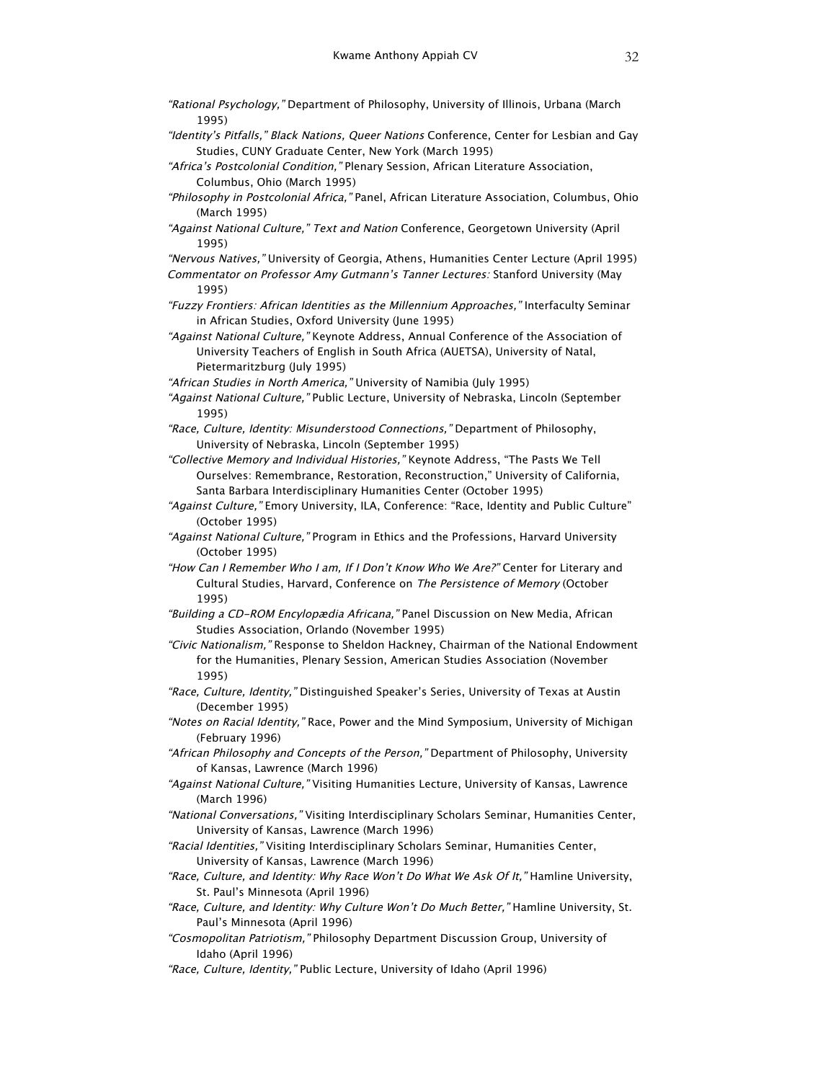- "Rational Psychology," Department of Philosophy, University of Illinois, Urbana (March 1995)
- "Identity's Pitfalls," Black Nations, Queer Nations Conference, Center for Lesbian and Gay Studies, CUNY Graduate Center, New York (March 1995)
- "Africa's Postcolonial Condition," Plenary Session, African Literature Association, Columbus, Ohio (March 1995)
- "Philosophy in Postcolonial Africa," Panel, African Literature Association, Columbus, Ohio (March 1995)
- "Against National Culture," Text and Nation Conference, Georgetown University (April 1995)
- "Nervous Natives," University of Georgia, Athens, Humanities Center Lecture (April 1995) Commentator on Professor Amy Gutmann's Tanner Lectures: Stanford University (May 1995)
- "Fuzzy Frontiers: African Identities as the Millennium Approaches," Interfaculty Seminar in African Studies, Oxford University (June 1995)
- "Against National Culture," Keynote Address, Annual Conference of the Association of University Teachers of English in South Africa (AUETSA), University of Natal, Pietermaritzburg (July 1995)
- "African Studies in North America," University of Namibia (July 1995)
- "Against National Culture," Public Lecture, University of Nebraska, Lincoln (September 1995)
- "Race, Culture, Identity: Misunderstood Connections," Department of Philosophy, University of Nebraska, Lincoln (September 1995)
- "Collective Memory and Individual Histories," Keynote Address, "The Pasts We Tell Ourselves: Remembrance, Restoration, Reconstruction," University of California, Santa Barbara Interdisciplinary Humanities Center (October 1995)
- "Against Culture," Emory University, ILA, Conference: "Race, Identity and Public Culture" (October 1995)
- "Against National Culture," Program in Ethics and the Professions, Harvard University (October 1995)
- "How Can I Remember Who I am, If I Don't Know Who We Are?" Center for Literary and Cultural Studies, Harvard, Conference on The Persistence of Memory (October 1995)
- "Building a CD-ROM Encylopædia Africana," Panel Discussion on New Media, African Studies Association, Orlando (November 1995)
- "Civic Nationalism," Response to Sheldon Hackney, Chairman of the National Endowment for the Humanities, Plenary Session, American Studies Association (November 1995)
- "Race, Culture, Identity," Distinguished Speaker's Series, University of Texas at Austin (December 1995)
- "Notes on Racial Identity," Race, Power and the Mind Symposium, University of Michigan (February 1996)
- "African Philosophy and Concepts of the Person," Department of Philosophy, University of Kansas, Lawrence (March 1996)
- "Against National Culture," Visiting Humanities Lecture, University of Kansas, Lawrence (March 1996)
- "National Conversations," Visiting Interdisciplinary Scholars Seminar, Humanities Center, University of Kansas, Lawrence (March 1996)
- "Racial Identities," Visiting Interdisciplinary Scholars Seminar, Humanities Center, University of Kansas, Lawrence (March 1996)
- "Race, Culture, and Identity: Why Race Won't Do What We Ask Of It," Hamline University, St. Paul's Minnesota (April 1996)
- "Race, Culture, and Identity: Why Culture Won't Do Much Better," Hamline University, St. Paul's Minnesota (April 1996)
- "Cosmopolitan Patriotism," Philosophy Department Discussion Group, University of Idaho (April 1996)
- "Race, Culture, Identity," Public Lecture, University of Idaho (April 1996)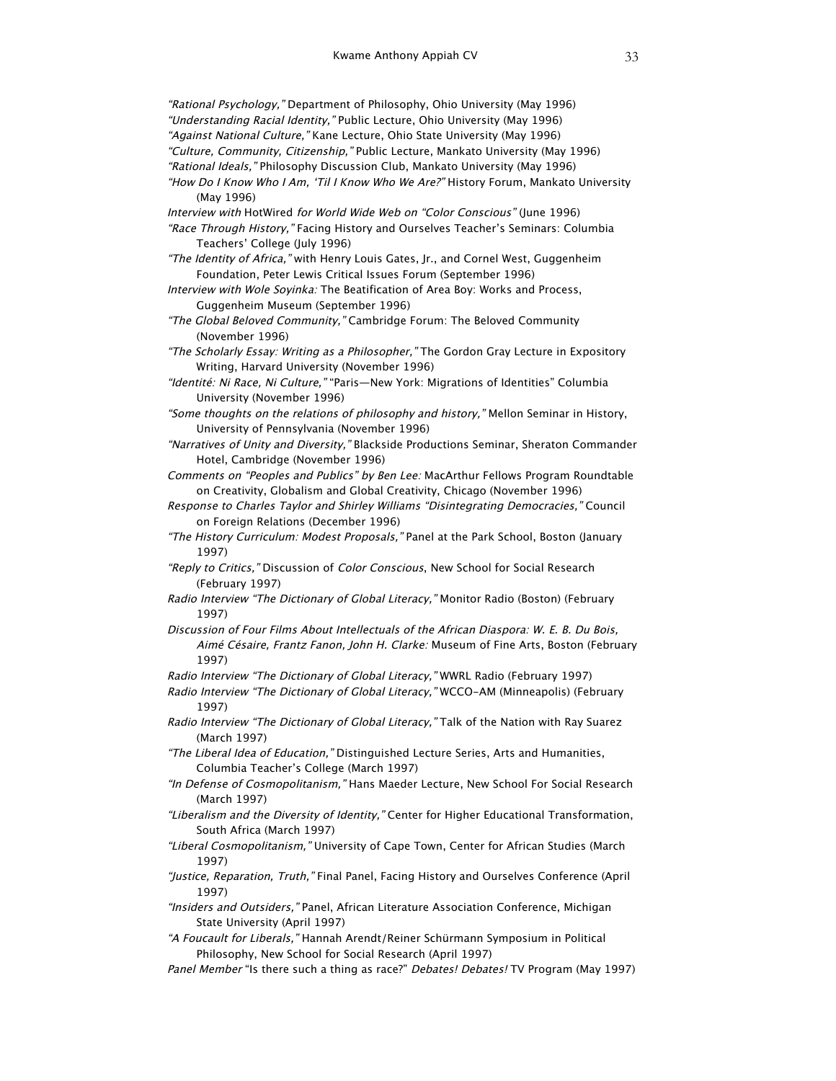"Rational Psychology," Department of Philosophy, Ohio University (May 1996) "Understanding Racial Identity," Public Lecture, Ohio University (May 1996) "Against National Culture," Kane Lecture, Ohio State University (May 1996) "Culture, Community, Citizenship," Public Lecture, Mankato University (May 1996) "Rational Ideals," Philosophy Discussion Club, Mankato University (May 1996)

- "How Do I Know Who I Am, 'Til I Know Who We Are?" History Forum, Mankato University (May 1996)
- Interview with HotWired for World Wide Web on "Color Conscious" (June 1996) "Race Through History," Facing History and Ourselves Teacher's Seminars: Columbia Teachers' College (July 1996)
- "The Identity of Africa," with Henry Louis Gates, Jr., and Cornel West, Guggenheim Foundation, Peter Lewis Critical Issues Forum (September 1996)
- Interview with Wole Soyinka: The Beatification of Area Boy: Works and Process, Guggenheim Museum (September 1996)
- "The Global Beloved Community," Cambridge Forum: The Beloved Community (November 1996)
- "The Scholarly Essay: Writing as a Philosopher," The Gordon Gray Lecture in Expository Writing, Harvard University (November 1996)
- "Identité: Ni Race, Ni Culture," "Paris—New York: Migrations of Identities" Columbia University (November 1996)
- "Some thoughts on the relations of philosophy and history," Mellon Seminar in History, University of Pennsylvania (November 1996)
- "Narratives of Unity and Diversity," Blackside Productions Seminar, Sheraton Commander Hotel, Cambridge (November 1996)
- Comments on "Peoples and Publics" by Ben Lee: MacArthur Fellows Program Roundtable on Creativity, Globalism and Global Creativity, Chicago (November 1996)
- Response to Charles Taylor and Shirley Williams "Disintegrating Democracies," Council on Foreign Relations (December 1996)
- "The History Curriculum: Modest Proposals," Panel at the Park School, Boston (January 1997)
- "Reply to Critics," Discussion of Color Conscious, New School for Social Research (February 1997)
- Radio Interview "The Dictionary of Global Literacy," Monitor Radio (Boston) (February 1997)
- Discussion of Four Films About Intellectuals of the African Diaspora: W. E. B. Du Bois, Aimé Césaire, Frantz Fanon, John H. Clarke: Museum of Fine Arts, Boston (February 1997)
- Radio Interview "The Dictionary of Global Literacy," WWRL Radio (February 1997)
- Radio Interview "The Dictionary of Global Literacy," WCCO-AM (Minneapolis) (February 1997)
- Radio Interview "The Dictionary of Global Literacy," Talk of the Nation with Ray Suarez (March 1997)
- "The Liberal Idea of Education," Distinguished Lecture Series, Arts and Humanities, Columbia Teacher's College (March 1997)
- "In Defense of Cosmopolitanism," Hans Maeder Lecture, New School For Social Research (March 1997)
- "Liberalism and the Diversity of Identity," Center for Higher Educational Transformation, South Africa (March 1997)
- "Liberal Cosmopolitanism," University of Cape Town, Center for African Studies (March 1997)
- "Justice, Reparation, Truth," Final Panel, Facing History and Ourselves Conference (April 1997)
- "Insiders and Outsiders," Panel, African Literature Association Conference, Michigan State University (April 1997)
- "A Foucault for Liberals," Hannah Arendt/Reiner Schürmann Symposium in Political Philosophy, New School for Social Research (April 1997)
- Panel Member "Is there such a thing as race?" Debates! Debates! TV Program (May 1997)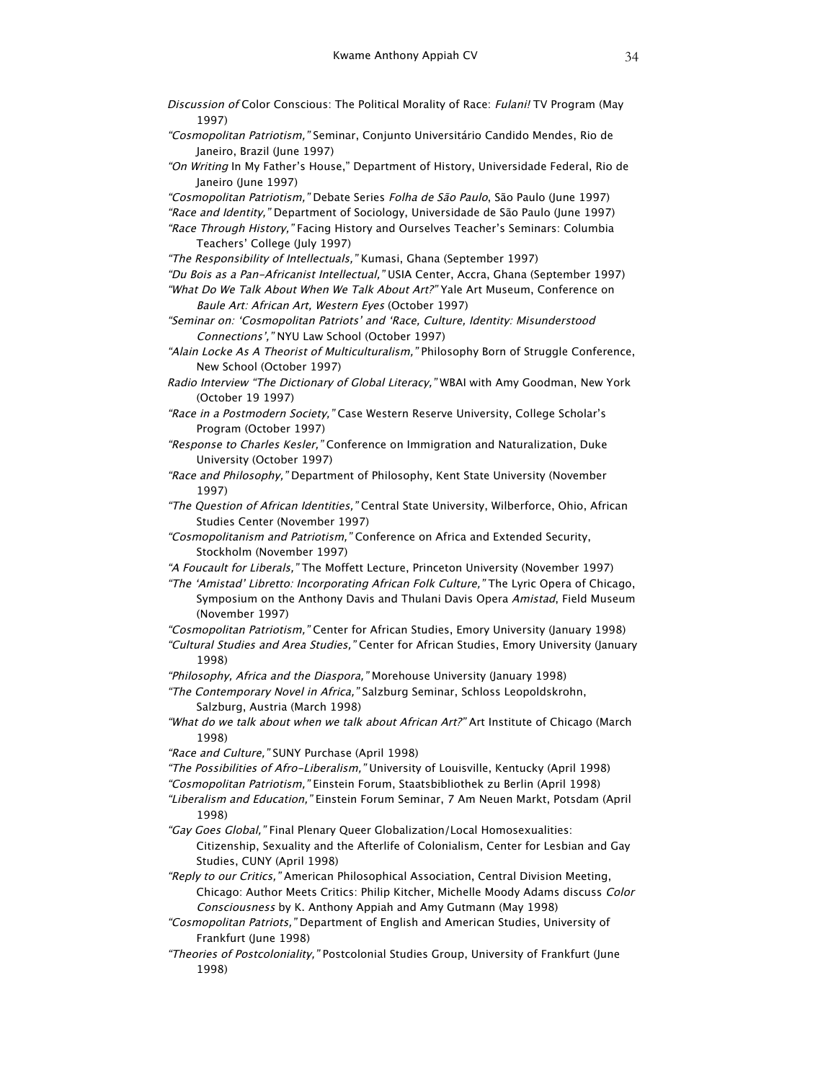- Discussion of Color Conscious: The Political Morality of Race: Fulani! TV Program (May 1997) "Cosmopolitan Patriotism," Seminar, Conjunto Universitário Candido Mendes, Rio de Janeiro, Brazil (June 1997) "On Writing In My Father's House," Department of History, Universidade Federal, Rio de Janeiro (June 1997) "Cosmopolitan Patriotism," Debate Series Folha de São Paulo, São Paulo (June 1997) "Race and Identity," Department of Sociology, Universidade de São Paulo (June 1997) "Race Through History," Facing History and Ourselves Teacher's Seminars: Columbia Teachers' College (July 1997) "The Responsibility of Intellectuals," Kumasi, Ghana (September 1997) "Du Bois as a Pan-Africanist Intellectual," USIA Center, Accra, Ghana (September 1997) "What Do We Talk About When We Talk About Art?" Yale Art Museum, Conference on Baule Art: African Art, Western Eyes (October 1997) "Seminar on: 'Cosmopolitan Patriots' and 'Race, Culture, Identity: Misunderstood Connections'," NYU Law School (October 1997) "Alain Locke As A Theorist of Multiculturalism," Philosophy Born of Struggle Conference, New School (October 1997) Radio Interview "The Dictionary of Global Literacy," WBAI with Amy Goodman, New York (October 19 1997) "Race in a Postmodern Society," Case Western Reserve University, College Scholar's Program (October 1997) "Response to Charles Kesler," Conference on Immigration and Naturalization, Duke University (October 1997) "Race and Philosophy," Department of Philosophy, Kent State University (November 1997) "The Question of African Identities," Central State University, Wilberforce, Ohio, African Studies Center (November 1997) "Cosmopolitanism and Patriotism," Conference on Africa and Extended Security, Stockholm (November 1997) "A Foucault for Liberals," The Moffett Lecture, Princeton University (November 1997) "The 'Amistad' Libretto: Incorporating African Folk Culture," The Lyric Opera of Chicago, Symposium on the Anthony Davis and Thulani Davis Opera Amistad, Field Museum (November 1997) "Cosmopolitan Patriotism," Center for African Studies, Emory University (January 1998) "Cultural Studies and Area Studies," Center for African Studies, Emory University (January 1998) "Philosophy, Africa and the Diaspora," Morehouse University (January 1998) "The Contemporary Novel in Africa," Salzburg Seminar, Schloss Leopoldskrohn, Salzburg, Austria (March 1998) "What do we talk about when we talk about African Art?" Art Institute of Chicago (March 1998) "Race and Culture," SUNY Purchase (April 1998) "The Possibilities of Afro-Liberalism," University of Louisville, Kentucky (April 1998) "Cosmopolitan Patriotism," Einstein Forum, Staatsbibliothek zu Berlin (April 1998) "Liberalism and Education," Einstein Forum Seminar, 7 Am Neuen Markt, Potsdam (April 1998) "Gay Goes Global," Final Plenary Queer Globalization/Local Homosexualities: Citizenship, Sexuality and the Afterlife of Colonialism, Center for Lesbian and Gay
- Studies, CUNY (April 1998) "Reply to our Critics," American Philosophical Association, Central Division Meeting,
- Chicago: Author Meets Critics: Philip Kitcher, Michelle Moody Adams discuss Color Consciousness by K. Anthony Appiah and Amy Gutmann (May 1998)
- "Cosmopolitan Patriots," Department of English and American Studies, University of Frankfurt (June 1998)
- "Theories of Postcoloniality," Postcolonial Studies Group, University of Frankfurt (June 1998)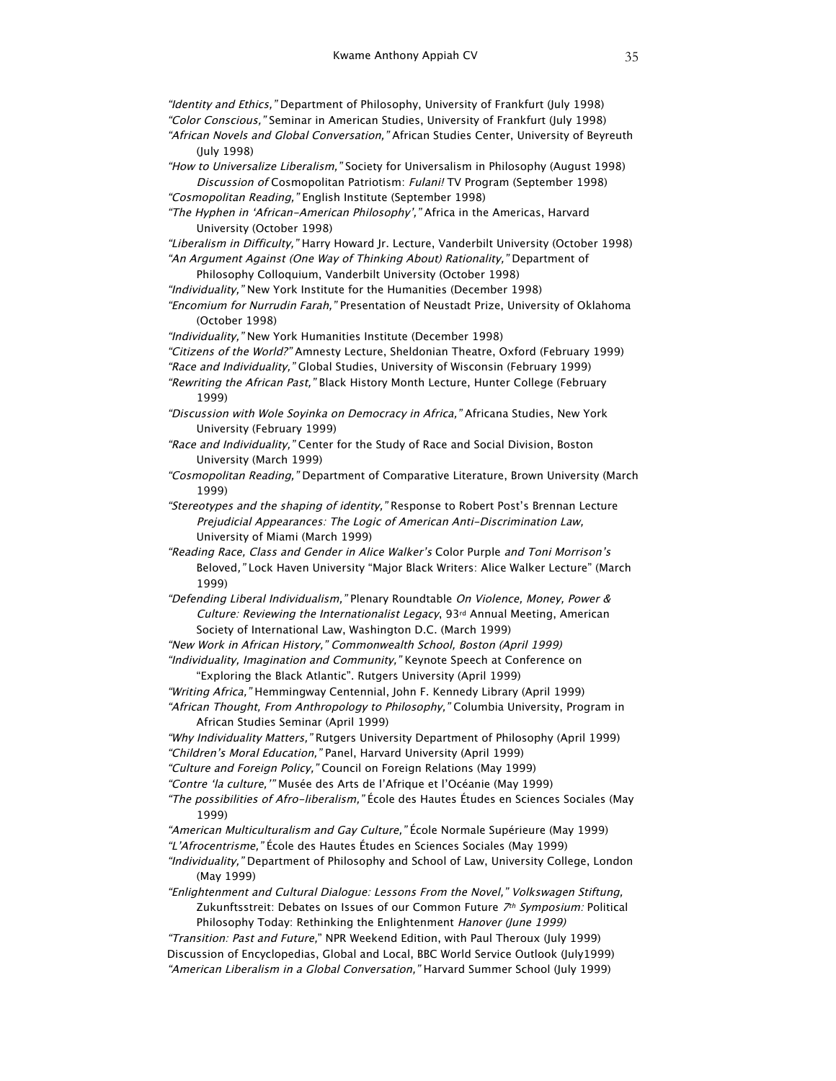"Identity and Ethics," Department of Philosophy, University of Frankfurt (July 1998) "Color Conscious," Seminar in American Studies, University of Frankfurt (July 1998) "African Novels and Global Conversation," African Studies Center, University of Beyreuth (July 1998)

"How to Universalize Liberalism," Society for Universalism in Philosophy (August 1998) Discussion of Cosmopolitan Patriotism: Fulani! TV Program (September 1998) "Cosmopolitan Reading," English Institute (September 1998)

"The Hyphen in 'African-American Philosophy'," Africa in the Americas, Harvard University (October 1998)

"Liberalism in Difficulty," Harry Howard Jr. Lecture, Vanderbilt University (October 1998) "An Argument Against (One Way of Thinking About) Rationality," Department of

Philosophy Colloquium, Vanderbilt University (October 1998) "Individuality," New York Institute for the Humanities (December 1998)

"Encomium for Nurrudin Farah," Presentation of Neustadt Prize, University of Oklahoma (October 1998)

"Individuality," New York Humanities Institute (December 1998)

"Citizens of the World?" Amnesty Lecture, Sheldonian Theatre, Oxford (February 1999)

"Race and Individuality," Global Studies, University of Wisconsin (February 1999)

"Rewriting the African Past," Black History Month Lecture, Hunter College (February 1999)

"Discussion with Wole Soyinka on Democracy in Africa," Africana Studies, New York University (February 1999)

"Race and Individuality," Center for the Study of Race and Social Division, Boston University (March 1999)

"Cosmopolitan Reading," Department of Comparative Literature, Brown University (March 1999)

"Stereotypes and the shaping of identity," Response to Robert Post's Brennan Lecture Prejudicial Appearances: The Logic of American Anti-Discrimination Law, University of Miami (March 1999)

"Reading Race, Class and Gender in Alice Walker's Color Purple and Toni Morrison's Beloved," Lock Haven University "Major Black Writers: Alice Walker Lecture" (March 1999)

"Defending Liberal Individualism," Plenary Roundtable On Violence, Money, Power & Culture: Reviewing the Internationalist Legacy, 93rd Annual Meeting, American Society of International Law, Washington D.C. (March 1999)

"New Work in African History," Commonwealth School, Boston (April 1999)

"Individuality, Imagination and Community," Keynote Speech at Conference on "Exploring the Black Atlantic". Rutgers University (April 1999)

"Writing Africa," Hemmingway Centennial, John F. Kennedy Library (April 1999) "African Thought, From Anthropology to Philosophy," Columbia University, Program in

African Studies Seminar (April 1999)

"Why Individuality Matters," Rutgers University Department of Philosophy (April 1999) "Children's Moral Education," Panel, Harvard University (April 1999)

"Culture and Foreign Policy," Council on Foreign Relations (May 1999)

"Contre 'la culture,'" Musée des Arts de l'Afrique et l'Océanie (May 1999)

"The possibilities of Afro-liberalism," École des Hautes Études en Sciences Sociales (May 1999)

"American Multiculturalism and Gay Culture," École Normale Supérieure (May 1999) "L'Afrocentrisme," École des Hautes Études en Sciences Sociales (May 1999)

"Individuality," Department of Philosophy and School of Law, University College, London (May 1999)

"Enlightenment and Cultural Dialogue: Lessons From the Novel," Volkswagen Stiftung, Zukunftsstreit: Debates on Issues of our Common Future 7th Symposium: Political Philosophy Today: Rethinking the Enlightenment Hanover (June 1999)

"Transition: Past and Future," NPR Weekend Edition, with Paul Theroux (July 1999) Discussion of Encyclopedias, Global and Local, BBC World Service Outlook (July1999) "American Liberalism in a Global Conversation," Harvard Summer School (July 1999)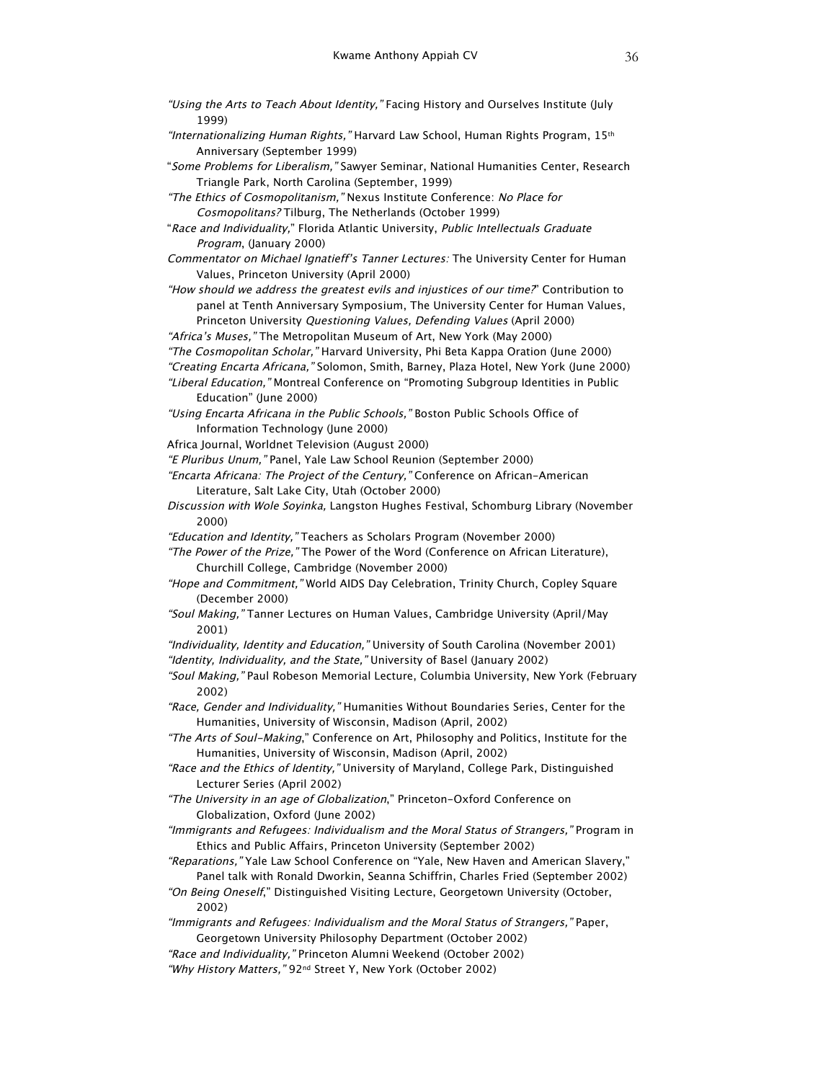- "Using the Arts to Teach About Identity," Facing History and Ourselves Institute (July 1999)
- "Internationalizing Human Rights," Harvard Law School, Human Rights Program, 15<sup>th</sup> Anniversary (September 1999)
- "Some Problems for Liberalism," Sawyer Seminar, National Humanities Center, Research Triangle Park, North Carolina (September, 1999)
- "The Ethics of Cosmopolitanism," Nexus Institute Conference: No Place for Cosmopolitans? Tilburg, The Netherlands (October 1999)
- "Race and Individuality," Florida Atlantic University, Public Intellectuals Graduate Program, (January 2000)
- Commentator on Michael Ignatieff's Tanner Lectures: The University Center for Human Values, Princeton University (April 2000)
- "How should we address the greatest evils and injustices of our time?" Contribution to panel at Tenth Anniversary Symposium, The University Center for Human Values, Princeton University Questioning Values, Defending Values (April 2000)
- "Africa's Muses," The Metropolitan Museum of Art, New York (May 2000)
- "The Cosmopolitan Scholar," Harvard University, Phi Beta Kappa Oration (June 2000)
- "Creating Encarta Africana," Solomon, Smith, Barney, Plaza Hotel, New York (June 2000)
- "Liberal Education," Montreal Conference on "Promoting Subgroup Identities in Public Education" (June 2000)
- "Using Encarta Africana in the Public Schools," Boston Public Schools Office of Information Technology (June 2000)
- Africa Journal, Worldnet Television (August 2000)
- "E Pluribus Unum," Panel, Yale Law School Reunion (September 2000)
- "Encarta Africana: The Project of the Century," Conference on African-American Literature, Salt Lake City, Utah (October 2000)
- Discussion with Wole Soyinka, Langston Hughes Festival, Schomburg Library (November 2000)
- "Education and Identity," Teachers as Scholars Program (November 2000)

"The Power of the Prize," The Power of the Word (Conference on African Literature), Churchill College, Cambridge (November 2000)

- "Hope and Commitment," World AIDS Day Celebration, Trinity Church, Copley Square (December 2000)
- "Soul Making," Tanner Lectures on Human Values, Cambridge University (April/May 2001)

"Individuality, Identity and Education," University of South Carolina (November 2001) "Identity, Individuality, and the State," University of Basel (January 2002)

"Soul Making," Paul Robeson Memorial Lecture, Columbia University, New York (February 2002)

"Race, Gender and Individuality," Humanities Without Boundaries Series, Center for the Humanities, University of Wisconsin, Madison (April, 2002)

"The Arts of Soul-Making," Conference on Art, Philosophy and Politics, Institute for the Humanities, University of Wisconsin, Madison (April, 2002)

- "Race and the Ethics of Identity," University of Maryland, College Park, Distinguished Lecturer Series (April 2002)
- "The University in an age of Globalization," Princeton-Oxford Conference on Globalization, Oxford (June 2002)
- "Immigrants and Refugees: Individualism and the Moral Status of Strangers," Program in Ethics and Public Affairs, Princeton University (September 2002)
- "Reparations," Yale Law School Conference on "Yale, New Haven and American Slavery," Panel talk with Ronald Dworkin, Seanna Schiffrin, Charles Fried (September 2002)
- "On Being Oneself," Distinguished Visiting Lecture, Georgetown University (October, 2002)
- "Immigrants and Refugees: Individualism and the Moral Status of Strangers," Paper, Georgetown University Philosophy Department (October 2002)
- "Race and Individuality," Princeton Alumni Weekend (October 2002)
- "Why History Matters," 92nd Street Y, New York (October 2002)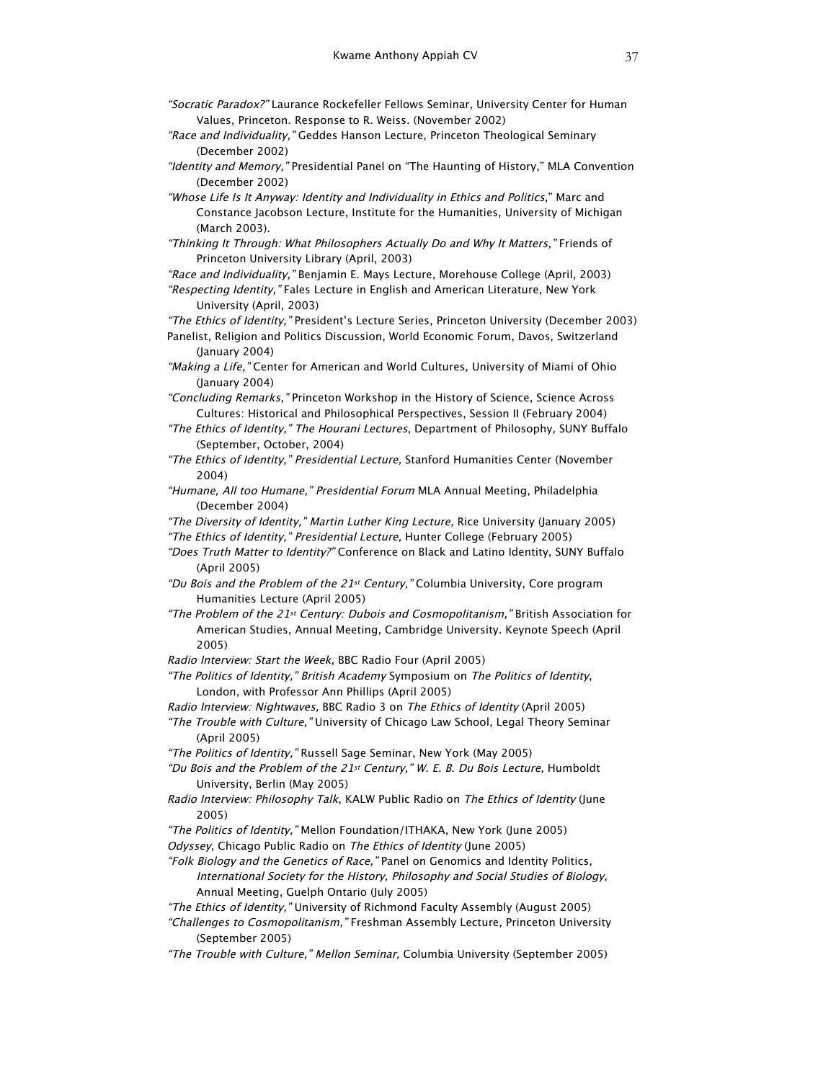- "Socratic Paradox?" Laurance Rockefeller Fellows Seminar, University Center for Human Values, Princeton. Response to R. Weiss. (November 2002)
- "Race and Individuality," Geddes Hanson Lecture, Princeton Theological Seminary (December 2002)
- "Identity and Memory," Presidential Panel on "The Haunting of History," MLA Convention (December 2002)
- "Whose Life Is It Anyway: Identity and Individuality in Ethics and Politics," Marc and Constance Jacobson Lecture, Institute for the Humanities, University of Michigan (March 2003).
- "Thinking It Through: What Philosophers Actually Do and Why It Matters," Friends of Princeton University Library (April, 2003)
- "Race and Individuality," Benjamin E. Mays Lecture, Morehouse College (April, 2003) "Respecting Identity," Fales Lecture in English and American Literature, New York University (April, 2003)
- "The Ethics of Identity," President's Lecture Series, Princeton University (December 2003) Panelist, Religion and Politics Discussion, World Economic Forum, Davos, Switzerland (January 2004)
- "Making a Life," Center for American and World Cultures, University of Miami of Ohio (January 2004)
- "Concluding Remarks," Princeton Workshop in the History of Science, Science Across Cultures: Historical and Philosophical Perspectives, Session II (February 2004)
- "The Ethics of Identity," The Hourani Lectures, Department of Philosophy, SUNY Buffalo (September, October, 2004)
- "The Ethics of Identity," Presidential Lecture, Stanford Humanities Center (November 2004)
- "Humane, All too Humane," Presidential Forum MLA Annual Meeting, Philadelphia (December 2004)
- "The Diversity of Identity," Martin Luther King Lecture, Rice University (January 2005)
- "The Ethics of Identity," Presidential Lecture, Hunter College (February 2005)
- "Does Truth Matter to Identity?" Conference on Black and Latino Identity, SUNY Buffalo (April 2005)
- "Du Bois and the Problem of the 21st Century," Columbia University, Core program Humanities Lecture (April 2005)
- "The Problem of the 21st Century: Dubois and Cosmopolitanism," British Association for American Studies, Annual Meeting, Cambridge University. Keynote Speech (April 2005)
- Radio Interview: Start the Week, BBC Radio Four (April 2005)
- "The Politics of Identity," British Academy Symposium on The Politics of Identity, London, with Professor Ann Phillips (April 2005)
- Radio Interview: Nightwaves, BBC Radio 3 on The Ethics of Identity (April 2005)
- "The Trouble with Culture," University of Chicago Law School, Legal Theory Seminar (April 2005)
- "The Politics of Identity," Russell Sage Seminar, New York (May 2005)
- "Du Bois and the Problem of the 21st Century," W. E. B. Du Bois Lecture, Humboldt University, Berlin (May 2005)
- Radio Interview: Philosophy Talk, KALW Public Radio on The Ethics of Identity (June 2005)
- "The Politics of Identity," Mellon Foundation/ITHAKA, New York (June 2005)
- Odyssey, Chicago Public Radio on The Ethics of Identity (June 2005)
- "Folk Biology and the Genetics of Race," Panel on Genomics and Identity Politics, International Society for the History, Philosophy and Social Studies of Biology, Annual Meeting, Guelph Ontario (July 2005)
- "The Ethics of Identity," University of Richmond Faculty Assembly (August 2005)
- "Challenges to Cosmopolitanism," Freshman Assembly Lecture, Princeton University (September 2005)
- "The Trouble with Culture," Mellon Seminar, Columbia University (September 2005)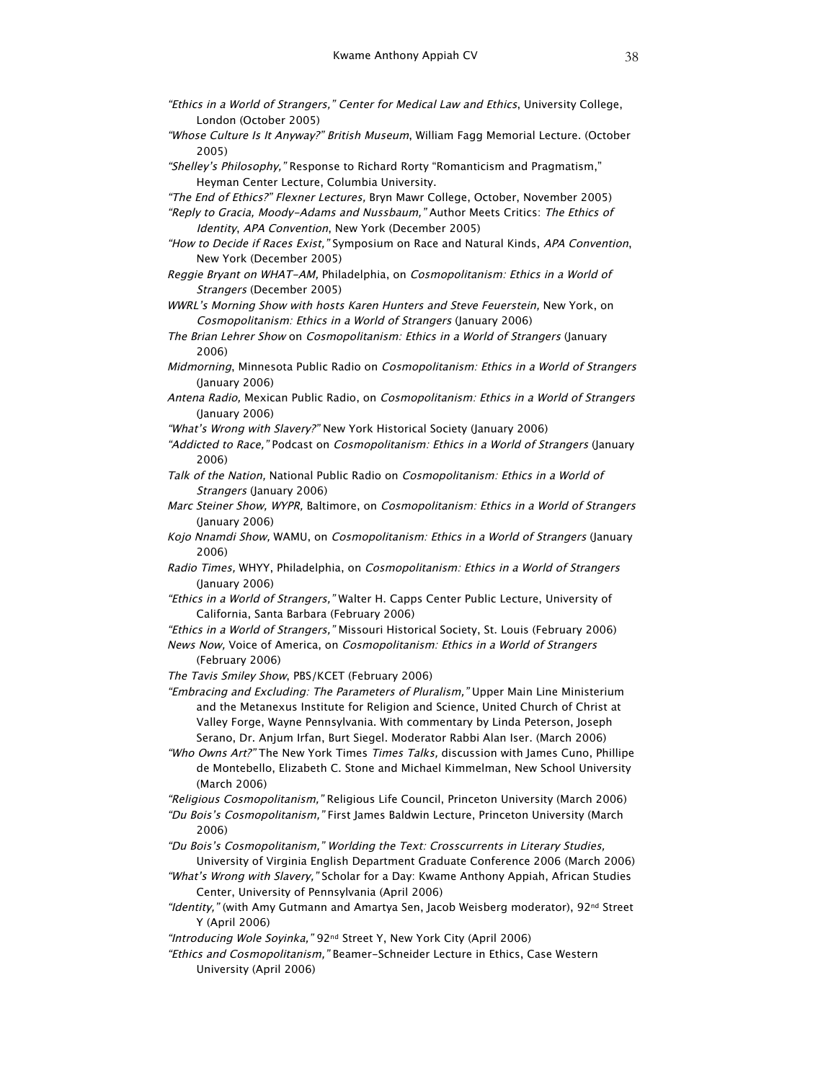- "Ethics in a World of Strangers," Center for Medical Law and Ethics, University College, London (October 2005)
- "Whose Culture Is It Anyway?" British Museum, William Fagg Memorial Lecture. (October 2005)

"Shelley's Philosophy," Response to Richard Rorty "Romanticism and Pragmatism," Heyman Center Lecture, Columbia University.

"The End of Ethics?" Flexner Lectures, Bryn Mawr College, October, November 2005)

"Reply to Gracia, Moody-Adams and Nussbaum," Author Meets Critics: The Ethics of Identity, APA Convention, New York (December 2005)

- "How to Decide if Races Exist," Symposium on Race and Natural Kinds, APA Convention, New York (December 2005)
- Reggie Bryant on WHAT-AM, Philadelphia, on Cosmopolitanism: Ethics in a World of Strangers (December 2005)

WWRL's Morning Show with hosts Karen Hunters and Steve Feuerstein, New York, on Cosmopolitanism: Ethics in a World of Strangers (January 2006)

The Brian Lehrer Show on Cosmopolitanism: Ethics in a World of Strangers (January 2006)

- Midmorning, Minnesota Public Radio on Cosmopolitanism: Ethics in a World of Strangers (January 2006)
- Antena Radio, Mexican Public Radio, on Cosmopolitanism: Ethics in a World of Strangers (January 2006)

"What's Wrong with Slavery?" New York Historical Society (January 2006)

- "Addicted to Race," Podcast on Cosmopolitanism: Ethics in a World of Strangers (January 2006)
- Talk of the Nation, National Public Radio on Cosmopolitanism: Ethics in a World of Strangers (January 2006)
- Marc Steiner Show, WYPR, Baltimore, on Cosmopolitanism: Ethics in a World of Strangers (January 2006)
- Kojo Nnamdi Show, WAMU, on Cosmopolitanism: Ethics in a World of Strangers (January 2006)
- Radio Times, WHYY, Philadelphia, on Cosmopolitanism: Ethics in a World of Strangers (January 2006)
- "Ethics in a World of Strangers," Walter H. Capps Center Public Lecture, University of California, Santa Barbara (February 2006)

"Ethics in a World of Strangers," Missouri Historical Society, St. Louis (February 2006)

News Now, Voice of America, on Cosmopolitanism: Ethics in a World of Strangers (February 2006)

The Tavis Smiley Show, PBS/KCET (February 2006)

"Embracing and Excluding: The Parameters of Pluralism," Upper Main Line Ministerium and the Metanexus Institute for Religion and Science, United Church of Christ at Valley Forge, Wayne Pennsylvania. With commentary by Linda Peterson, Joseph Serano, Dr. Anjum Irfan, Burt Siegel. Moderator Rabbi Alan Iser. (March 2006)

"Who Owns Art?" The New York Times Times Talks, discussion with James Cuno, Phillipe de Montebello, Elizabeth C. Stone and Michael Kimmelman, New School University (March 2006)

"Religious Cosmopolitanism," Religious Life Council, Princeton University (March 2006) "Du Bois's Cosmopolitanism," First James Baldwin Lecture, Princeton University (March

2006)

"Du Bois's Cosmopolitanism," Worlding the Text: Crosscurrents in Literary Studies,

University of Virginia English Department Graduate Conference 2006 (March 2006) "What's Wrong with Slavery," Scholar for a Day: Kwame Anthony Appiah, African Studies Center, University of Pennsylvania (April 2006)

"Identity," (with Amy Gutmann and Amartya Sen, Jacob Weisberg moderator), 92<sup>nd</sup> Street Y (April 2006)

"Introducing Wole Soyinka," 92<sup>nd</sup> Street Y, New York City (April 2006)

"Ethics and Cosmopolitanism," Beamer-Schneider Lecture in Ethics, Case Western University (April 2006)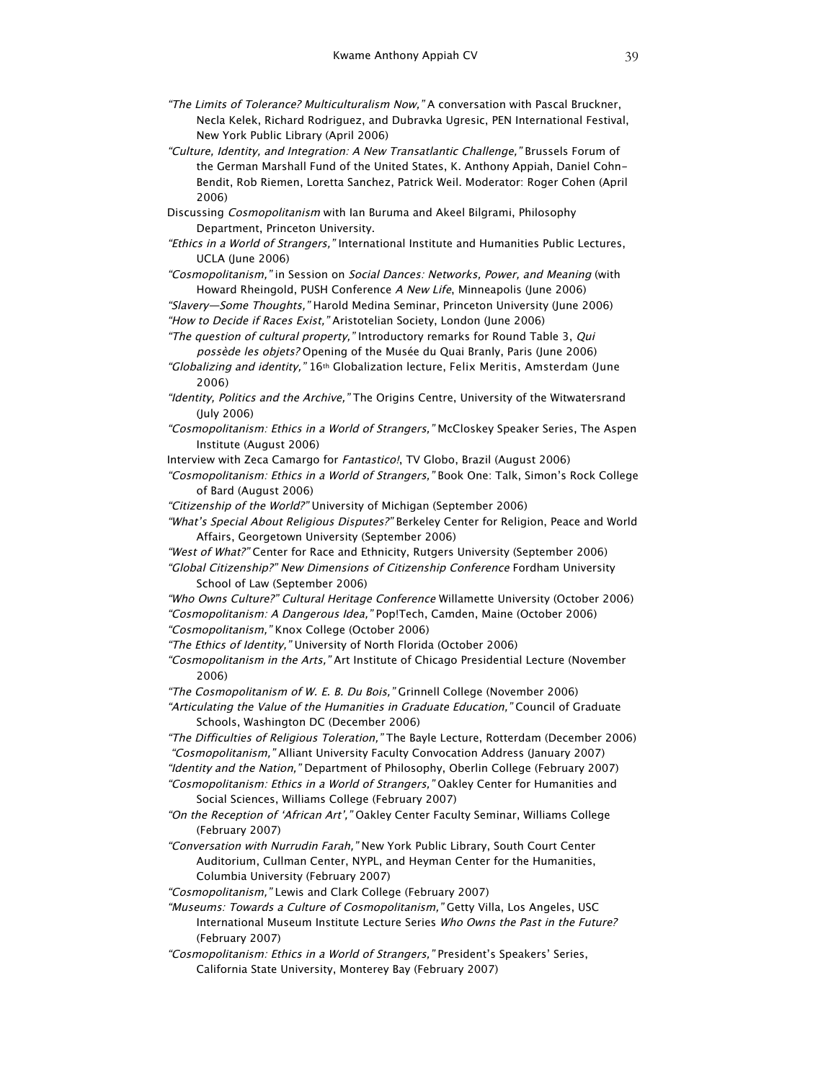- "The Limits of Tolerance? Multiculturalism Now," A conversation with Pascal Bruckner, Necla Kelek, Richard Rodriguez, and Dubravka Ugresic, PEN International Festival, New York Public Library (April 2006)
- "Culture, Identity, and Integration: A New Transatlantic Challenge," Brussels Forum of the German Marshall Fund of the United States, K. Anthony Appiah, Daniel Cohn-Bendit, Rob Riemen, Loretta Sanchez, Patrick Weil. Moderator: Roger Cohen (April 2006)
- Discussing Cosmopolitanism with Ian Buruma and Akeel Bilgrami, Philosophy Department, Princeton University.
- "Ethics in a World of Strangers," International Institute and Humanities Public Lectures, UCLA (June 2006)
- "Cosmopolitanism," in Session on Social Dances: Networks, Power, and Meaning (with Howard Rheingold, PUSH Conference A New Life, Minneapolis (June 2006)
- "Slavery—Some Thoughts," Harold Medina Seminar, Princeton University (June 2006) "How to Decide if Races Exist," Aristotelian Society, London (June 2006)

"The question of cultural property," Introductory remarks for Round Table 3, Qui possède les objets? Opening of the Musée du Quai Branly, Paris (June 2006)

"Globalizing and identity," 16<sup>th</sup> Globalization lecture, Felix Meritis, Amsterdam (June 2006)

- "Identity, Politics and the Archive," The Origins Centre, University of the Witwatersrand (July 2006)
- "Cosmopolitanism: Ethics in a World of Strangers," McCloskey Speaker Series, The Aspen Institute (August 2006)
- Interview with Zeca Camargo for Fantastico!, TV Globo, Brazil (August 2006)

"Cosmopolitanism: Ethics in a World of Strangers," Book One: Talk, Simon's Rock College of Bard (August 2006)

"Citizenship of the World?" University of Michigan (September 2006)

- "What's Special About Religious Disputes?" Berkeley Center for Religion, Peace and World Affairs, Georgetown University (September 2006)
- "West of What?" Center for Race and Ethnicity, Rutgers University (September 2006)
- "Global Citizenship?" New Dimensions of Citizenship Conference Fordham University School of Law (September 2006)
- "Who Owns Culture?" Cultural Heritage Conference Willamette University (October 2006) "Cosmopolitanism: A Dangerous Idea," Pop!Tech, Camden, Maine (October 2006) "Cosmopolitanism," Knox College (October 2006)

"The Ethics of Identity," University of North Florida (October 2006)

"Cosmopolitanism in the Arts," Art Institute of Chicago Presidential Lecture (November 2006)

"The Cosmopolitanism of W. E. B. Du Bois," Grinnell College (November 2006)

"Articulating the Value of the Humanities in Graduate Education," Council of Graduate Schools, Washington DC (December 2006)

"The Difficulties of Religious Toleration," The Bayle Lecture, Rotterdam (December 2006) "Cosmopolitanism," Alliant University Faculty Convocation Address (January 2007) "Identity and the Nation," Department of Philosophy, Oberlin College (February 2007)

"Cosmopolitanism: Ethics in a World of Strangers," Oakley Center for Humanities and Social Sciences, Williams College (February 2007)

"On the Reception of 'African Art'," Oakley Center Faculty Seminar, Williams College (February 2007)

"Conversation with Nurrudin Farah," New York Public Library, South Court Center Auditorium, Cullman Center, NYPL, and Heyman Center for the Humanities, Columbia University (February 2007)

"Cosmopolitanism," Lewis and Clark College (February 2007)

"Museums: Towards a Culture of Cosmopolitanism," Getty Villa, Los Angeles, USC International Museum Institute Lecture Series Who Owns the Past in the Future? (February 2007)

"Cosmopolitanism: Ethics in a World of Strangers," President's Speakers' Series, California State University, Monterey Bay (February 2007)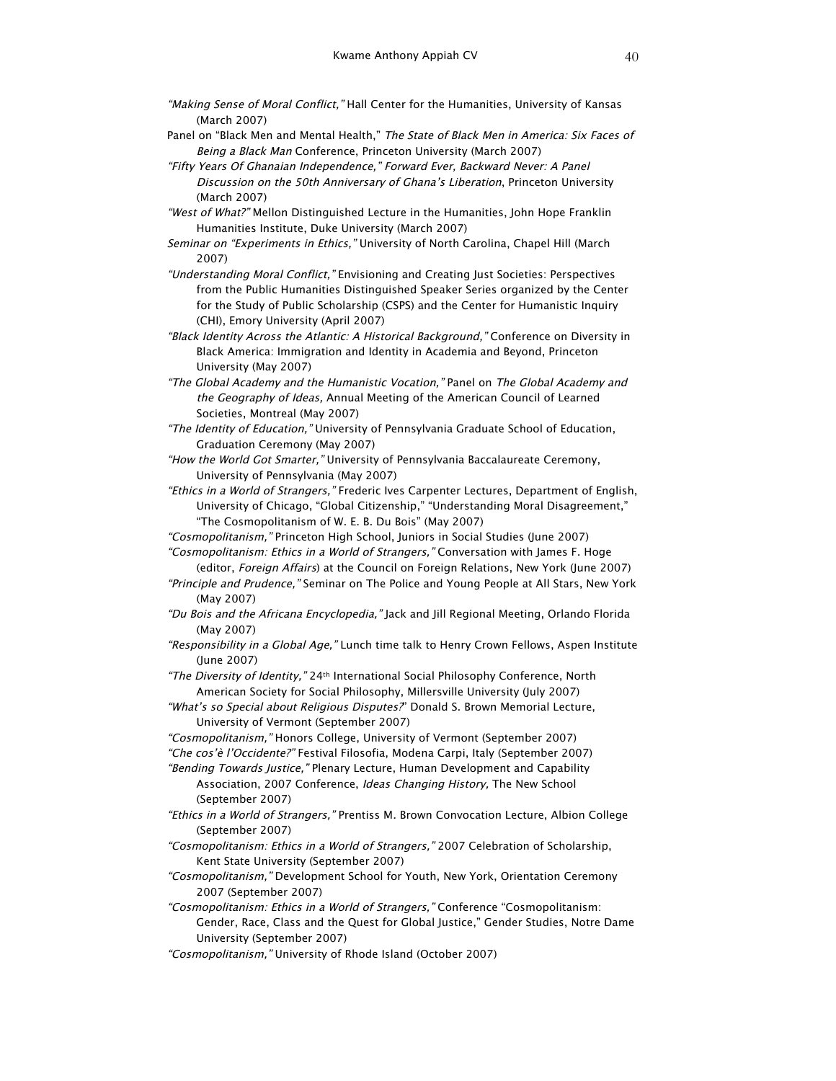- "Making Sense of Moral Conflict," Hall Center for the Humanities, University of Kansas (March 2007)
- Panel on "Black Men and Mental Health," The State of Black Men in America: Six Faces of Being a Black Man Conference, Princeton University (March 2007)
- "Fifty Years Of Ghanaian Independence," Forward Ever, Backward Never: A Panel Discussion on the 50th Anniversary of Ghana's Liberation, Princeton University (March 2007)
- "West of What?" Mellon Distinguished Lecture in the Humanities, John Hope Franklin Humanities Institute, Duke University (March 2007)
- Seminar on "Experiments in Ethics," University of North Carolina, Chapel Hill (March 2007)
- "Understanding Moral Conflict," Envisioning and Creating Just Societies: Perspectives from the Public Humanities Distinguished Speaker Series organized by the Center for the Study of Public Scholarship (CSPS) and the Center for Humanistic Inquiry (CHI), Emory University (April 2007)
- "Black Identity Across the Atlantic: A Historical Background," Conference on Diversity in Black America: Immigration and Identity in Academia and Beyond, Princeton University (May 2007)
- "The Global Academy and the Humanistic Vocation," Panel on The Global Academy and the Geography of Ideas, Annual Meeting of the American Council of Learned Societies, Montreal (May 2007)
- "The Identity of Education," University of Pennsylvania Graduate School of Education, Graduation Ceremony (May 2007)
- "How the World Got Smarter," University of Pennsylvania Baccalaureate Ceremony, University of Pennsylvania (May 2007)
- "Ethics in a World of Strangers," Frederic Ives Carpenter Lectures, Department of English, University of Chicago, "Global Citizenship," "Understanding Moral Disagreement," "The Cosmopolitanism of W. E. B. Du Bois" (May 2007)
- "Cosmopolitanism," Princeton High School, Juniors in Social Studies (June 2007) "Cosmopolitanism: Ethics in a World of Strangers," Conversation with James F. Hoge
- (editor, Foreign Affairs) at the Council on Foreign Relations, New York (June 2007) "Principle and Prudence," Seminar on The Police and Young People at All Stars, New York
- (May 2007)
- "Du Bois and the Africana Encyclopedia," Jack and Jill Regional Meeting, Orlando Florida (May 2007)
- "Responsibility in a Global Age," Lunch time talk to Henry Crown Fellows, Aspen Institute (June 2007)
- "The Diversity of Identity," 24<sup>th</sup> International Social Philosophy Conference, North American Society for Social Philosophy, Millersville University (July 2007)

"What's so Special about Religious Disputes?" Donald S. Brown Memorial Lecture, University of Vermont (September 2007)

- "Cosmopolitanism," Honors College, University of Vermont (September 2007)
- "Che cos'è l'Occidente?" Festival Filosofia, Modena Carpi, Italy (September 2007)

"Bending Towards Justice," Plenary Lecture, Human Development and Capability Association, 2007 Conference, Ideas Changing History, The New School (September 2007)

- "Ethics in a World of Strangers," Prentiss M. Brown Convocation Lecture, Albion College (September 2007)
- "Cosmopolitanism: Ethics in a World of Strangers," 2007 Celebration of Scholarship, Kent State University (September 2007)
- "Cosmopolitanism," Development School for Youth, New York, Orientation Ceremony 2007 (September 2007)
- "Cosmopolitanism: Ethics in a World of Strangers," Conference "Cosmopolitanism: Gender, Race, Class and the Quest for Global Justice," Gender Studies, Notre Dame University (September 2007)
- "Cosmopolitanism," University of Rhode Island (October 2007)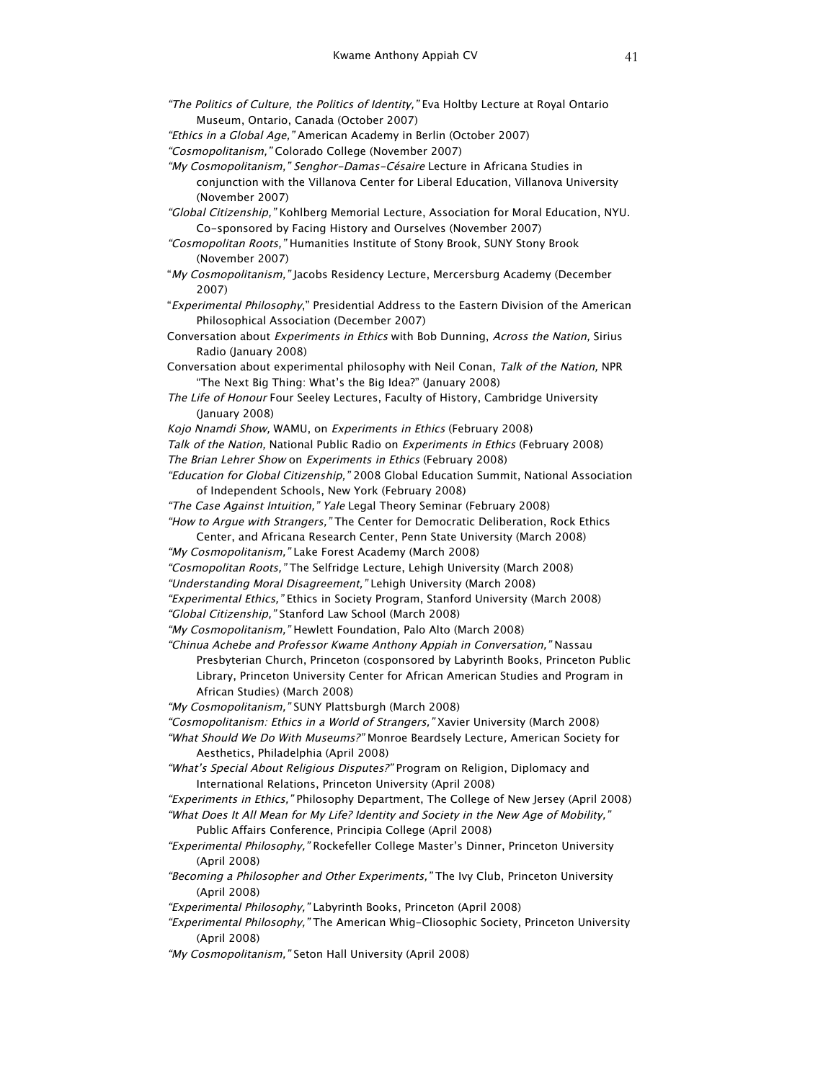- "The Politics of Culture, the Politics of Identity," Eva Holtby Lecture at Royal Ontario Museum, Ontario, Canada (October 2007) "Ethics in a Global Age," American Academy in Berlin (October 2007) "Cosmopolitanism," Colorado College (November 2007) "My Cosmopolitanism," Senghor-Damas-Césaire Lecture in Africana Studies in conjunction with the Villanova Center for Liberal Education, Villanova University (November 2007) "Global Citizenship," Kohlberg Memorial Lecture, Association for Moral Education, NYU.
- Co-sponsored by Facing History and Ourselves (November 2007) "Cosmopolitan Roots," Humanities Institute of Stony Brook, SUNY Stony Brook
	- (November 2007)
- "My Cosmopolitanism," Jacobs Residency Lecture, Mercersburg Academy (December 2007)
- "Experimental Philosophy," Presidential Address to the Eastern Division of the American Philosophical Association (December 2007)
- Conversation about Experiments in Ethics with Bob Dunning, Across the Nation, Sirius Radio (January 2008)
- Conversation about experimental philosophy with Neil Conan, Talk of the Nation, NPR "The Next Big Thing: What's the Big Idea?" (January 2008)
- The Life of Honour Four Seeley Lectures, Faculty of History, Cambridge University (January 2008)
- Kojo Nnamdi Show, WAMU, on Experiments in Ethics (February 2008)
- Talk of the Nation, National Public Radio on Experiments in Ethics (February 2008)
- The Brian Lehrer Show on Experiments in Ethics (February 2008)

"Education for Global Citizenship," 2008 Global Education Summit, National Association of Independent Schools, New York (February 2008)

"The Case Against Intuition," Yale Legal Theory Seminar (February 2008) "How to Argue with Strangers," The Center for Democratic Deliberation, Rock Ethics

Center, and Africana Research Center, Penn State University (March 2008) "My Cosmopolitanism," Lake Forest Academy (March 2008)

- "Cosmopolitan Roots," The Selfridge Lecture, Lehigh University (March 2008)
- "Understanding Moral Disagreement," Lehigh University (March 2008)

"Experimental Ethics," Ethics in Society Program, Stanford University (March 2008)

- "Global Citizenship," Stanford Law School (March 2008)
- "My Cosmopolitanism," Hewlett Foundation, Palo Alto (March 2008)

"Chinua Achebe and Professor Kwame Anthony Appiah in Conversation," Nassau Presbyterian Church, Princeton (cosponsored by Labyrinth Books, Princeton Public Library, Princeton University Center for African American Studies and Program in African Studies) (March 2008)

- "My Cosmopolitanism," SUNY Plattsburgh (March 2008)
- "Cosmopolitanism: Ethics in a World of Strangers," Xavier University (March 2008)
- "What Should We Do With Museums?" Monroe Beardsely Lecture, American Society for Aesthetics, Philadelphia (April 2008)
- "What's Special About Religious Disputes?" Program on Religion, Diplomacy and International Relations, Princeton University (April 2008)
- "Experiments in Ethics," Philosophy Department, The College of New Jersey (April 2008) "What Does It All Mean for My Life? Identity and Society in the New Age of Mobility,"
	- Public Affairs Conference, Principia College (April 2008)
- "Experimental Philosophy," Rockefeller College Master's Dinner, Princeton University (April 2008)
- "Becoming a Philosopher and Other Experiments," The Ivy Club, Princeton University (April 2008)
- "Experimental Philosophy," Labyrinth Books, Princeton (April 2008)
- "Experimental Philosophy," The American Whig-Cliosophic Society, Princeton University (April 2008)
- "My Cosmopolitanism," Seton Hall University (April 2008)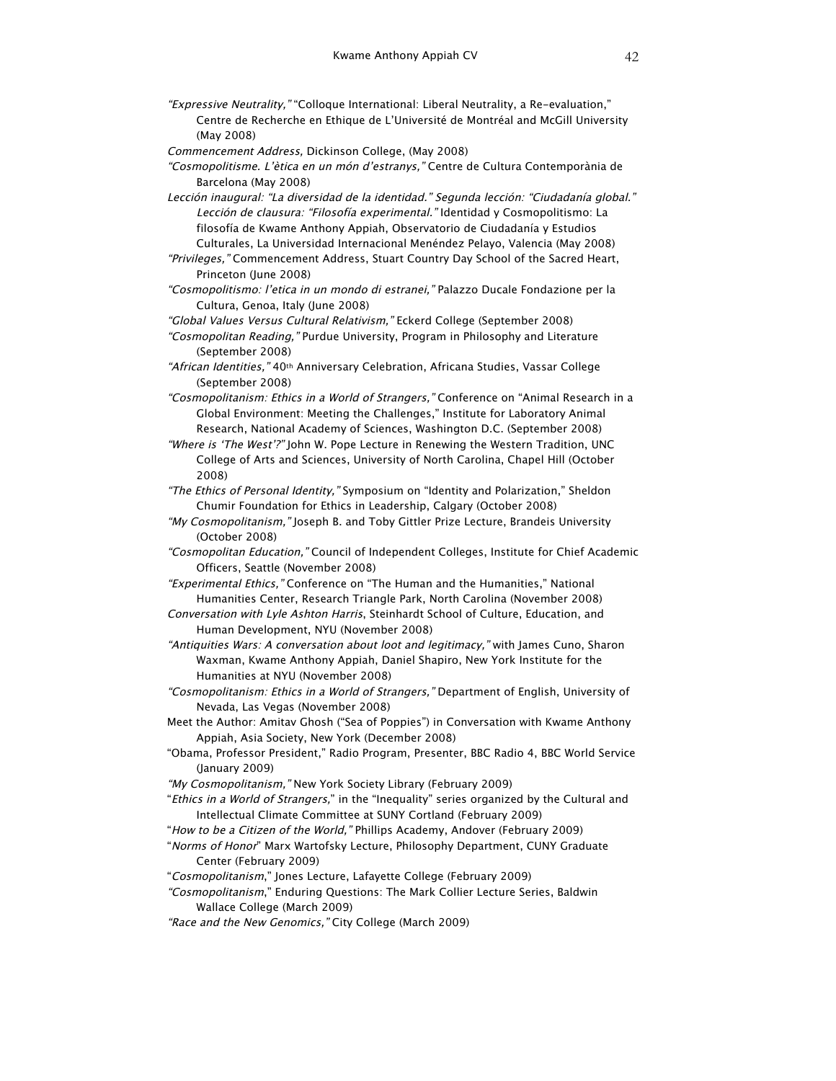"Expressive Neutrality," "Colloque International: Liberal Neutrality, a Re-evaluation," Centre de Recherche en Ethique de L'Université de Montréal and McGill University (May 2008)

Commencement Address, Dickinson College, (May 2008)

- "Cosmopolitisme. L'ètica en un món d'estranys," Centre de Cultura Contemporània de Barcelona (May 2008)
- Lección inaugural: "La diversidad de la identidad." Segunda lección: "Ciudadanía global." Lección de clausura: "Filosofía experimental." Identidad y Cosmopolitismo: La filosofía de Kwame Anthony Appiah, Observatorio de Ciudadanía y Estudios Culturales, La Universidad Internacional Menéndez Pelayo, Valencia (May 2008)
- "Privileges," Commencement Address, Stuart Country Day School of the Sacred Heart, Princeton (June 2008)
- "Cosmopolitismo: l'etica in un mondo di estranei," Palazzo Ducale Fondazione per la Cultura, Genoa, Italy (June 2008)

"Global Values Versus Cultural Relativism," Eckerd College (September 2008)

- "Cosmopolitan Reading," Purdue University, Program in Philosophy and Literature (September 2008)
- "African Identities," 40th Anniversary Celebration, Africana Studies, Vassar College (September 2008)
- "Cosmopolitanism: Ethics in a World of Strangers," Conference on "Animal Research in a Global Environment: Meeting the Challenges," Institute for Laboratory Animal Research, National Academy of Sciences, Washington D.C. (September 2008)
- "Where is 'The West'?" John W. Pope Lecture in Renewing the Western Tradition, UNC College of Arts and Sciences, University of North Carolina, Chapel Hill (October 2008)
- "The Ethics of Personal Identity," Symposium on "Identity and Polarization," Sheldon Chumir Foundation for Ethics in Leadership, Calgary (October 2008)
- "My Cosmopolitanism," Joseph B. and Toby Gittler Prize Lecture, Brandeis University (October 2008)
- "Cosmopolitan Education," Council of Independent Colleges, Institute for Chief Academic Officers, Seattle (November 2008)
- "Experimental Ethics," Conference on "The Human and the Humanities," National Humanities Center, Research Triangle Park, North Carolina (November 2008)
- Conversation with Lyle Ashton Harris, Steinhardt School of Culture, Education, and Human Development, NYU (November 2008)
- "Antiquities Wars: A conversation about loot and legitimacy," with James Cuno, Sharon Waxman, Kwame Anthony Appiah, Daniel Shapiro, New York Institute for the Humanities at NYU (November 2008)
- "Cosmopolitanism: Ethics in a World of Strangers," Department of English, University of Nevada, Las Vegas (November 2008)
- Meet the Author: Amitav Ghosh ("Sea of Poppies") in Conversation with Kwame Anthony Appiah, Asia Society, New York (December 2008)
- "Obama, Professor President," Radio Program, Presenter, BBC Radio 4, BBC World Service (January 2009)
- "My Cosmopolitanism," New York Society Library (February 2009)
- "Ethics in a World of Strangers," in the "Inequality" series organized by the Cultural and Intellectual Climate Committee at SUNY Cortland (February 2009)
- "How to be a Citizen of the World," Phillips Academy, Andover (February 2009)
- "Norms of Honor" Marx Wartofsky Lecture, Philosophy Department, CUNY Graduate Center (February 2009)
- "Cosmopolitanism," Jones Lecture, Lafayette College (February 2009)
- "Cosmopolitanism," Enduring Questions: The Mark Collier Lecture Series, Baldwin Wallace College (March 2009)
- "Race and the New Genomics," City College (March 2009)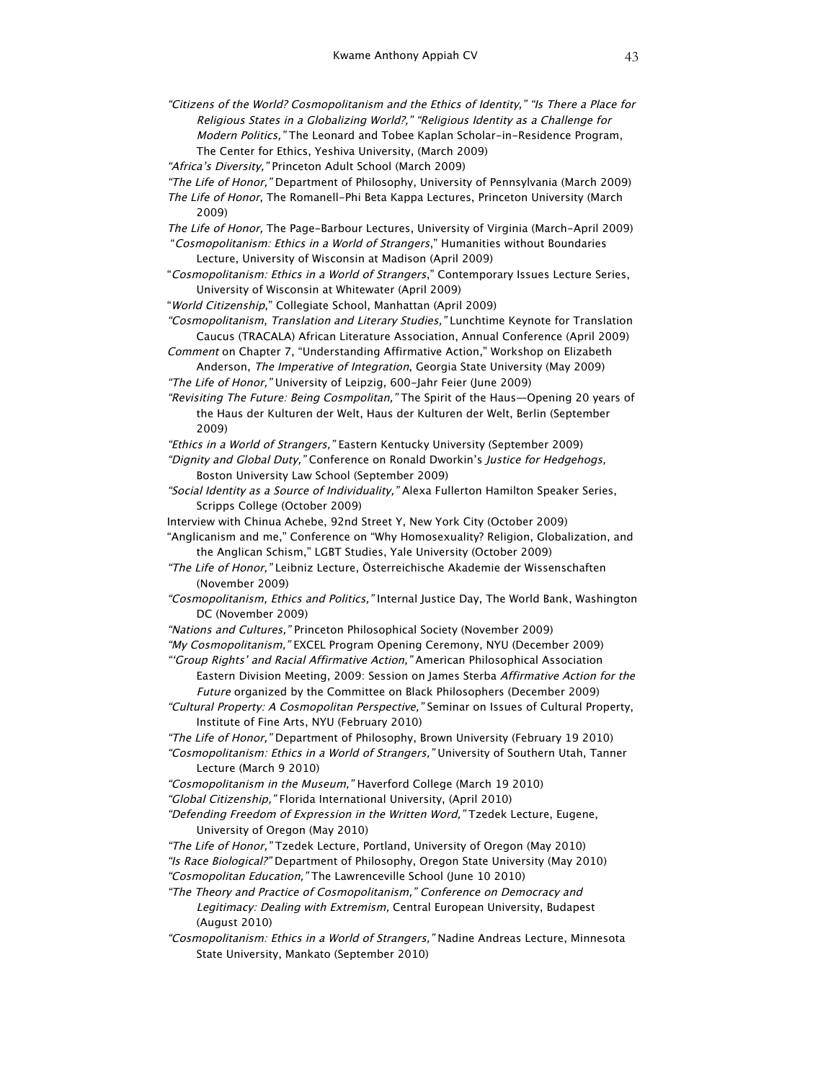"Citizens of the World? Cosmopolitanism and the Ethics of Identity," "Is There a Place for Religious States in a Globalizing World?," "Religious Identity as a Challenge for Modern Politics," The Leonard and Tobee Kaplan Scholar-in-Residence Program, The Center for Ethics, Yeshiva University, (March 2009)

"Africa's Diversity," Princeton Adult School (March 2009)

- "The Life of Honor," Department of Philosophy, University of Pennsylvania (March 2009)
- The Life of Honor, The Romanell-Phi Beta Kappa Lectures, Princeton University (March 2009)
- The Life of Honor, The Page-Barbour Lectures, University of Virginia (March-April 2009) "Cosmopolitanism: Ethics in a World of Strangers," Humanities without Boundaries Lecture, University of Wisconsin at Madison (April 2009)
- "Cosmopolitanism: Ethics in a World of Strangers," Contemporary Issues Lecture Series, University of Wisconsin at Whitewater (April 2009)
- "World Citizenship," Collegiate School, Manhattan (April 2009)
- "Cosmopolitanism, Translation and Literary Studies," Lunchtime Keynote for Translation Caucus (TRACALA) African Literature Association, Annual Conference (April 2009)
- Comment on Chapter 7, "Understanding Affirmative Action," Workshop on Elizabeth Anderson, The Imperative of Integration, Georgia State University (May 2009)
- "The Life of Honor," University of Leipzig, 600-Jahr Feier (June 2009)
- "Revisiting The Future: Being Cosmpolitan," The Spirit of the Haus—Opening 20 years of the Haus der Kulturen der Welt, Haus der Kulturen der Welt, Berlin (September 2009)
- "Ethics in a World of Strangers," Eastern Kentucky University (September 2009)
- "Dignity and Global Duty," Conference on Ronald Dworkin's Justice for Hedgehogs, Boston University Law School (September 2009)
- "Social Identity as a Source of Individuality," Alexa Fullerton Hamilton Speaker Series, Scripps College (October 2009)
- Interview with Chinua Achebe, 92nd Street Y, New York City (October 2009)
- "Anglicanism and me," Conference on "Why Homosexuality? Religion, Globalization, and the Anglican Schism," LGBT Studies, Yale University (October 2009)
- "The Life of Honor," Leibniz Lecture, Österreichische Akademie der Wissenschaften (November 2009)
- "Cosmopolitanism, Ethics and Politics," Internal Justice Day, The World Bank, Washington DC (November 2009)
- "Nations and Cultures," Princeton Philosophical Society (November 2009)
- "My Cosmopolitanism," EXCEL Program Opening Ceremony, NYU (December 2009)
- "'Group Rights' and Racial Affirmative Action," American Philosophical Association Eastern Division Meeting, 2009: Session on James Sterba Affirmative Action for the Future organized by the Committee on Black Philosophers (December 2009)
- "Cultural Property: A Cosmopolitan Perspective," Seminar on Issues of Cultural Property, Institute of Fine Arts, NYU (February 2010)
- "The Life of Honor," Department of Philosophy, Brown University (February 19 2010)
- "Cosmopolitanism: Ethics in a World of Strangers," University of Southern Utah, Tanner Lecture (March 9 2010)
- "Cosmopolitanism in the Museum," Haverford College (March 19 2010)
- "Global Citizenship," Florida International University, (April 2010)
- "Defending Freedom of Expression in the Written Word," Tzedek Lecture, Eugene, University of Oregon (May 2010)
- "The Life of Honor," Tzedek Lecture, Portland, University of Oregon (May 2010) "Is Race Biological?" Department of Philosophy, Oregon State University (May 2010) "Cosmopolitan Education," The Lawrenceville School (June 10 2010)
- "The Theory and Practice of Cosmopolitanism," Conference on Democracy and Legitimacy: Dealing with Extremism, Central European University, Budapest (August 2010)
- "Cosmopolitanism: Ethics in a World of Strangers," Nadine Andreas Lecture, Minnesota State University, Mankato (September 2010)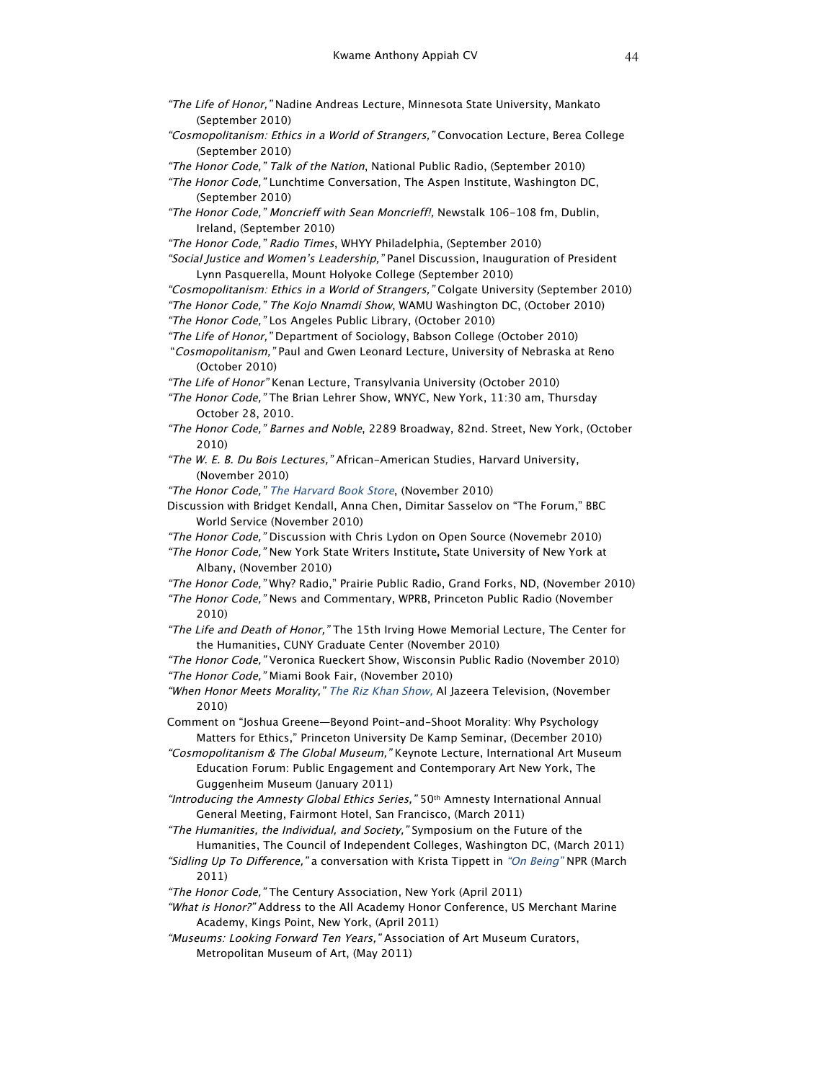- "The Life of Honor," Nadine Andreas Lecture, Minnesota State University, Mankato (September 2010)
- "Cosmopolitanism: Ethics in a World of Strangers," Convocation Lecture, Berea College (September 2010)
- "The Honor Code," Talk of the Nation, National Public Radio, (September 2010)
- "The Honor Code," Lunchtime Conversation, The Aspen Institute, Washington DC, (September 2010)
- "The Honor Code," Moncrieff with Sean Moncrieff!, Newstalk 106-108 fm, Dublin, Ireland, (September 2010)
- "The Honor Code," Radio Times, WHYY Philadelphia, (September 2010)
- "Social Justice and Women's Leadership," Panel Discussion, Inauguration of President Lynn Pasquerella, Mount Holyoke College (September 2010)
- "Cosmopolitanism: Ethics in a World of Strangers," Colgate University (September 2010)
- "The Honor Code," The Kojo Nnamdi Show, WAMU Washington DC, (October 2010) "The Honor Code," Los Angeles Public Library, (October 2010)
- "The Life of Honor," Department of Sociology, Babson College (October 2010)
- "Cosmopolitanism," Paul and Gwen Leonard Lecture, University of Nebraska at Reno (October 2010)
- "The Life of Honor" Kenan Lecture, Transylvania University (October 2010)
- "The Honor Code," The Brian Lehrer Show, WNYC, New York, 11:30 am, Thursday October 28, 2010.
- "The Honor Code," Barnes and Noble, 2289 Broadway, 82nd. Street, New York, (October 2010)
- "The W. E. B. Du Bois Lectures," African-American Studies, Harvard University, (November 2010)
- "The Honor Code," The Harvard Book Store, (November 2010)
- Discussion with Bridget Kendall, Anna Chen, Dimitar Sasselov on "The Forum," BBC World Service (November 2010)
- "The Honor Code," Discussion with Chris Lydon on Open Source (Novemebr 2010)
- "The Honor Code," New York State Writers Institute**,** State University of New York at Albany, (November 2010)
- "The Honor Code," Why? Radio," Prairie Public Radio, Grand Forks, ND, (November 2010)
- "The Honor Code," News and Commentary, WPRB, Princeton Public Radio (November 2010)
- "The Life and Death of Honor," The 15th Irving Howe Memorial Lecture, The Center for the Humanities, CUNY Graduate Center (November 2010)

"The Honor Code," Veronica Rueckert Show, Wisconsin Public Radio (November 2010) "The Honor Code," Miami Book Fair, (November 2010)

- "When Honor Meets Morality," The Riz Khan Show, Al Jazeera Television, (November 2010)
- Comment on "Joshua Greene—Beyond Point-and-Shoot Morality: Why Psychology Matters for Ethics," Princeton University De Kamp Seminar, (December 2010)
- "Cosmopolitanism & The Global Museum," Keynote Lecture, International Art Museum Education Forum: Public Engagement and Contemporary Art New York, The Guggenheim Museum (January 2011)
- "Introducing the Amnesty Global Ethics Series," 50th Amnesty International Annual General Meeting, Fairmont Hotel, San Francisco, (March 2011)
- "The Humanities, the Individual, and Society," Symposium on the Future of the Humanities, The Council of Independent Colleges, Washington DC, (March 2011)
- "Sidling Up To Difference," a conversation with Krista Tippett in "On Being" NPR (March 2011)
- "The Honor Code," The Century Association, New York (April 2011)
- "What is Honor?" Address to the All Academy Honor Conference, US Merchant Marine Academy, Kings Point, New York, (April 2011)
- "Museums: Looking Forward Ten Years," Association of Art Museum Curators, Metropolitan Museum of Art, (May 2011)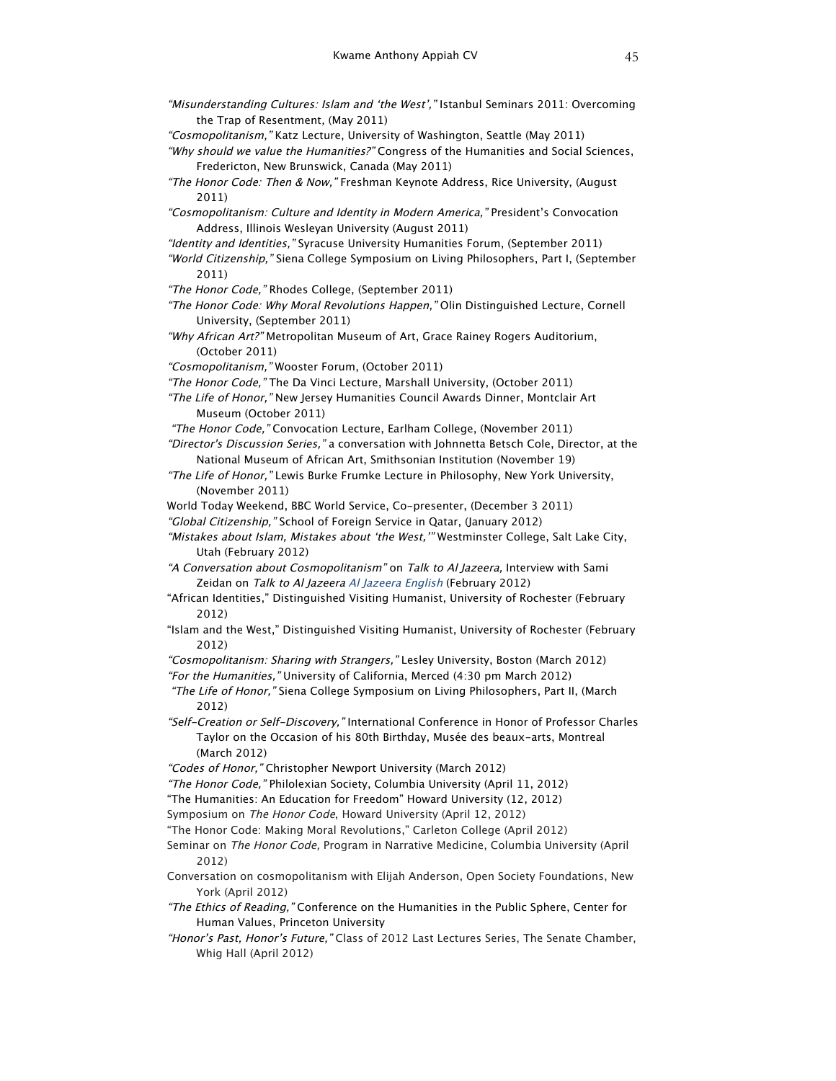"Misunderstanding Cultures: Islam and 'the West'," Istanbul Seminars 2011: Overcoming the Trap of Resentment, (May 2011) "Cosmopolitanism," Katz Lecture, University of Washington, Seattle (May 2011) "Why should we value the Humanities?" Congress of the Humanities and Social Sciences, Fredericton, New Brunswick, Canada (May 2011) "The Honor Code: Then & Now," Freshman Keynote Address, Rice University, (August 2011) "Cosmopolitanism: Culture and Identity in Modern America," President's Convocation Address, Illinois Wesleyan University (August 2011) "Identity and Identities," Syracuse University Humanities Forum, (September 2011) "World Citizenship," Siena College Symposium on Living Philosophers, Part I, (September 2011) "The Honor Code," Rhodes College, (September 2011) "The Honor Code: Why Moral Revolutions Happen," Olin Distinguished Lecture, Cornell University, (September 2011) "Why African Art?" Metropolitan Museum of Art, Grace Rainey Rogers Auditorium, (October 2011) "Cosmopolitanism," Wooster Forum, (October 2011) "The Honor Code," The Da Vinci Lecture, Marshall University, (October 2011) "The Life of Honor," New Jersey Humanities Council Awards Dinner, Montclair Art Museum (October 2011) "The Honor Code," Convocation Lecture, Earlham College, (November 2011) "Director's Discussion Series," a conversation with Johnnetta Betsch Cole, Director, at the National Museum of African Art, Smithsonian Institution (November 19) "The Life of Honor," Lewis Burke Frumke Lecture in Philosophy, New York University, (November 2011) World Today Weekend, BBC World Service, Co-presenter, (December 3 2011) "Global Citizenship," School of Foreign Service in Qatar, (January 2012) "Mistakes about Islam, Mistakes about 'the West,'" Westminster College, Salt Lake City, Utah (February 2012) "A Conversation about Cosmopolitanism" on Talk to Al Jazeera, Interview with Sami Zeidan on Talk to Al Jazeera Al Jazeera English (February 2012) "African Identities," Distinguished Visiting Humanist, University of Rochester (February 2012) "Islam and the West," Distinguished Visiting Humanist, University of Rochester (February 2012) "Cosmopolitanism: Sharing with Strangers," Lesley University, Boston (March 2012) "For the Humanities," University of California, Merced (4:30 pm March 2012) "The Life of Honor," Siena College Symposium on Living Philosophers, Part II, (March 2012) "Self-Creation or Self-Discovery," International Conference in Honor of Professor Charles Taylor on the Occasion of his 80th Birthday, Musée des beaux-arts, Montreal

(March 2012)

"Codes of Honor," Christopher Newport University (March 2012)

"The Honor Code," Philolexian Society, Columbia University (April 11, 2012)

"The Humanities: An Education for Freedom" Howard University (12, 2012)

Symposium on The Honor Code, Howard University (April 12, 2012)

"The Honor Code: Making Moral Revolutions," Carleton College (April 2012)

Seminar on The Honor Code, Program in Narrative Medicine, Columbia University (April 2012)

Conversation on cosmopolitanism with Elijah Anderson, Open Society Foundations, New York (April 2012)

"The Ethics of Reading," Conference on the Humanities in the Public Sphere, Center for Human Values, Princeton University

"Honor's Past, Honor's Future," Class of 2012 Last Lectures Series, The Senate Chamber, Whig Hall (April 2012)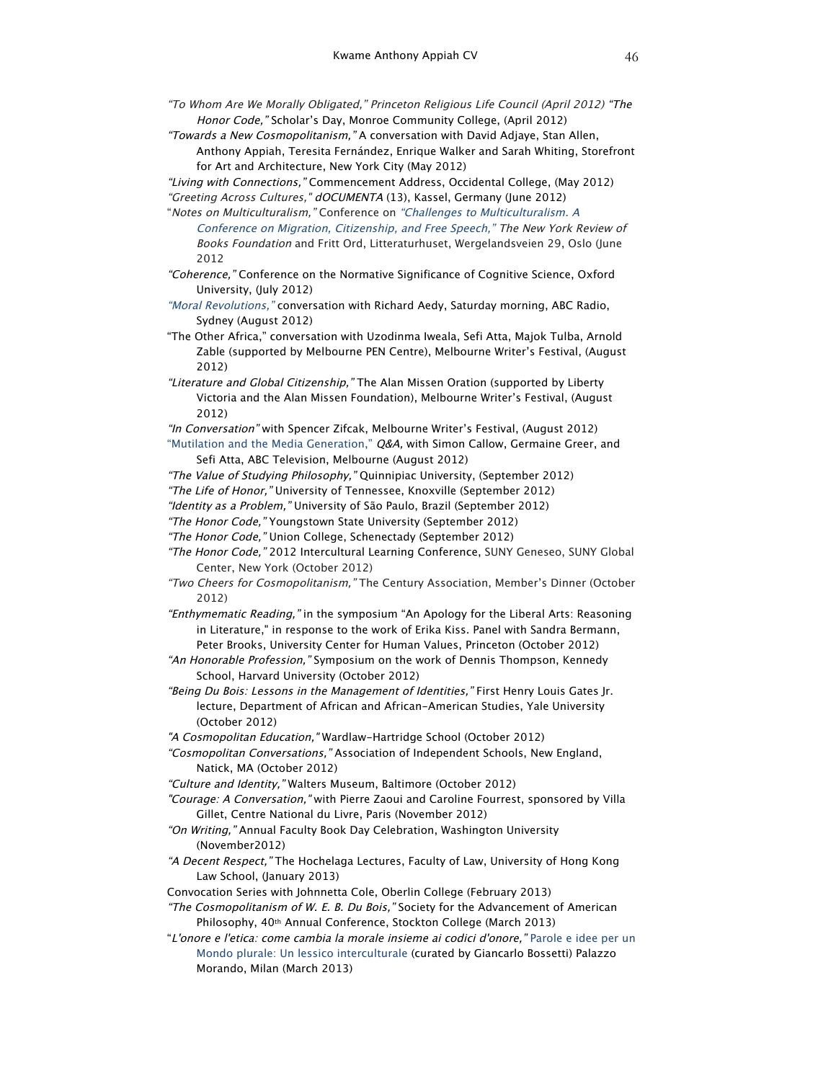- "To Whom Are We Morally Obligated," Princeton Religious Life Council (April 2012) "The Honor Code," Scholar's Day, Monroe Community College, (April 2012)
- "Towards a New Cosmopolitanism," A conversation with David Adjaye, Stan Allen, Anthony Appiah, Teresita Fernández, Enrique Walker and Sarah Whiting, Storefront for Art and Architecture, New York City (May 2012)
- "Living with Connections," Commencement Address, Occidental College, (May 2012) "Greeting Across Cultures," dOCUMENTA (13), Kassel, Germany (June 2012)
- "Notes on Multiculturalism," Conference on "Challenges to Multiculturalism. A Conference on Migration, Citizenship, and Free Speech," The New York Review of Books Foundation and Fritt Ord, Litteraturhuset, Wergelandsveien 29, Oslo (June 2012
- "Coherence," Conference on the Normative Significance of Cognitive Science, Oxford University, (July 2012)
- "Moral Revolutions," conversation with Richard Aedy, Saturday morning, ABC Radio, Sydney (August 2012)
- "The Other Africa," conversation with Uzodinma Iweala, Sefi Atta, Majok Tulba, Arnold Zable (supported by Melbourne PEN Centre), Melbourne Writer's Festival, (August 2012)
- "Literature and Global Citizenship," The Alan Missen Oration (supported by Liberty Victoria and the Alan Missen Foundation), Melbourne Writer's Festival, (August 2012)
- "In Conversation" with Spencer Zifcak, Melbourne Writer's Festival, (August 2012) "Mutilation and the Media Generation," Q&A, with Simon Callow, Germaine Greer, and Sefi Atta, ABC Television, Melbourne (August 2012)
- "The Value of Studying Philosophy," Quinnipiac University, (September 2012)
- "The Life of Honor," University of Tennessee, Knoxville (September 2012)
- "Identity as a Problem," University of São Paulo, Brazil (September 2012)
- "The Honor Code," Youngstown State University (September 2012)
- "The Honor Code," Union College, Schenectady (September 2012)
- "The Honor Code," 2012 Intercultural Learning Conference, SUNY Geneseo, SUNY Global Center, New York (October 2012)
- "Two Cheers for Cosmopolitanism," The Century Association, Member's Dinner (October 2012)
- "Enthymematic Reading," in the symposium "An Apology for the Liberal Arts: Reasoning in Literature," in response to the work of Erika Kiss. Panel with Sandra Bermann, Peter Brooks, University Center for Human Values, Princeton (October 2012)
- "An Honorable Profession," Symposium on the work of Dennis Thompson, Kennedy School, Harvard University (October 2012)
- "Being Du Bois: Lessons in the Management of Identities," First Henry Louis Gates Jr. lecture, Department of African and African-American Studies, Yale University (October 2012)
- "A Cosmopolitan Education," Wardlaw-Hartridge School (October 2012)

"Cosmopolitan Conversations," Association of Independent Schools, New England, Natick, MA (October 2012)

- "Culture and Identity," Walters Museum, Baltimore (October 2012)
- "Courage: A Conversation," with Pierre Zaoui and Caroline Fourrest, sponsored by Villa Gillet, Centre National du Livre, Paris (November 2012)
- "On Writing," Annual Faculty Book Day Celebration, Washington University (November2012)
- "A Decent Respect," The Hochelaga Lectures, Faculty of Law, University of Hong Kong Law School, (January 2013)
- Convocation Series with Johnnetta Cole, Oberlin College (February 2013)
- "The Cosmopolitanism of W. E. B. Du Bois," Society for the Advancement of American Philosophy, 40th Annual Conference, Stockton College (March 2013)
- "L'onore <sup>e</sup> l'etica: come cambia la morale insieme ai codici d'onore," Parole e idee per un Mondo plurale: Un lessico interculturale (curated by Giancarlo Bossetti) Palazzo Morando, Milan (March 2013)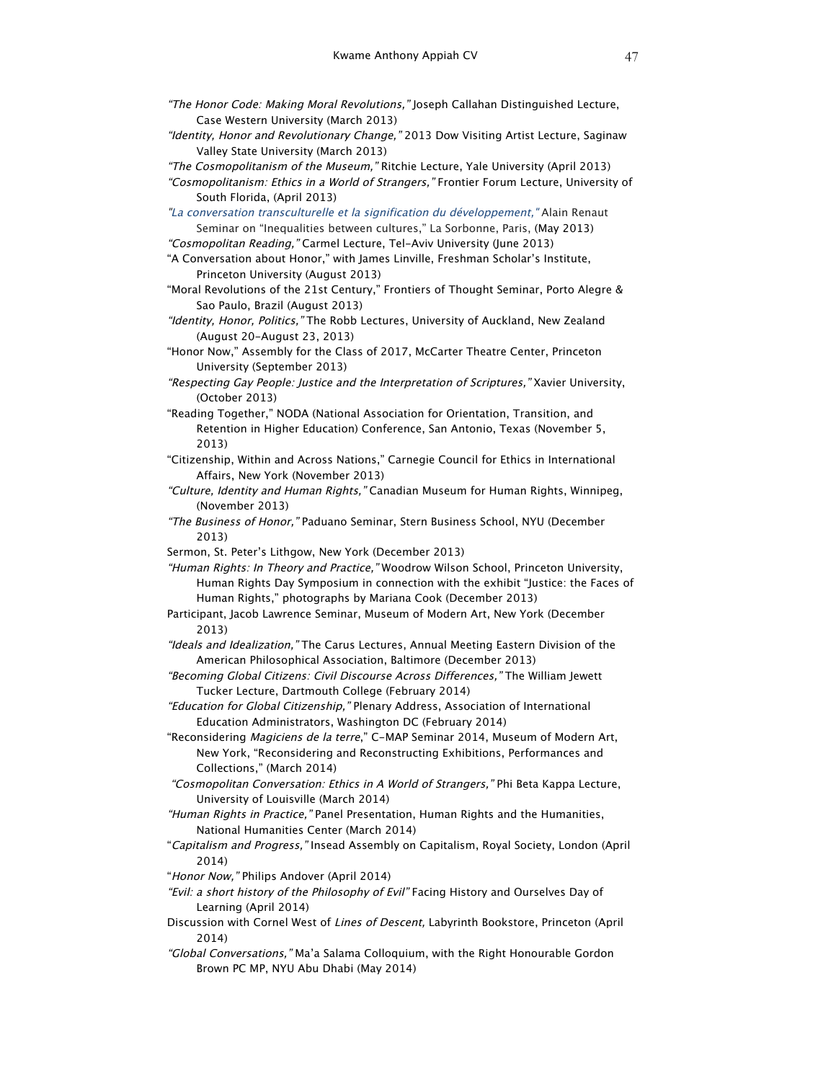- "The Honor Code: Making Moral Revolutions," Joseph Callahan Distinguished Lecture, Case Western University (March 2013)
- "Identity, Honor and Revolutionary Change," 2013 Dow Visiting Artist Lecture, Saginaw Valley State University (March 2013)
- "The Cosmopolitanism of the Museum," Ritchie Lecture, Yale University (April 2013)
- "Cosmopolitanism: Ethics in a World of Strangers," Frontier Forum Lecture, University of South Florida, (April 2013)
- "La conversation transculturelle et la signification du développement," Alain Renaut Seminar on "Inequalities between cultures," La Sorbonne, Paris, (May 2013)
- "Cosmopolitan Reading," Carmel Lecture, Tel-Aviv University (June 2013)
- "A Conversation about Honor," with James Linville, Freshman Scholar's Institute, Princeton University (August 2013)
- "Moral Revolutions of the 21st Century," Frontiers of Thought Seminar, Porto Alegre & Sao Paulo, Brazil (August 2013)
- "Identity, Honor, Politics," The Robb Lectures, University of Auckland, New Zealand (August 20-August 23, 2013)
- "Honor Now," Assembly for the Class of 2017, McCarter Theatre Center, Princeton University (September 2013)
- "Respecting Gay People: Justice and the Interpretation of Scriptures," Xavier University, (October 2013)
- "Reading Together," NODA (National Association for Orientation, Transition, and Retention in Higher Education) Conference, San Antonio, Texas (November 5, 2013)
- "Citizenship, Within and Across Nations," Carnegie Council for Ethics in International Affairs, New York (November 2013)
- "Culture, Identity and Human Rights," Canadian Museum for Human Rights, Winnipeg, (November 2013)
- "The Business of Honor," Paduano Seminar, Stern Business School, NYU (December 2013)
- Sermon, St. Peter's Lithgow, New York (December 2013)

"Human Rights: In Theory and Practice," Woodrow Wilson School, Princeton University, Human Rights Day Symposium in connection with the exhibit "Justice: the Faces of Human Rights," photographs by Mariana Cook (December 2013)

- Participant, Jacob Lawrence Seminar, Museum of Modern Art, New York (December 2013)
- "Ideals and Idealization," The Carus Lectures, Annual Meeting Eastern Division of the American Philosophical Association, Baltimore (December 2013)
- "Becoming Global Citizens: Civil Discourse Across Differences," The William Jewett Tucker Lecture, Dartmouth College (February 2014)
- "Education for Global Citizenship," Plenary Address, Association of International Education Administrators, Washington DC (February 2014)
- "Reconsidering Magiciens de la terre," C-MAP Seminar 2014, Museum of Modern Art, New York, "Reconsidering and Reconstructing Exhibitions, Performances and Collections," (March 2014)
- "Cosmopolitan Conversation: Ethics in A World of Strangers," Phi Beta Kappa Lecture, University of Louisville (March 2014)
- "Human Rights in Practice," Panel Presentation, Human Rights and the Humanities, National Humanities Center (March 2014)
- "Capitalism and Progress," Insead Assembly on Capitalism, Royal Society, London (April 2014)
- "Honor Now," Philips Andover (April 2014)
- "Evil: a short history of the Philosophy of Evil" Facing History and Ourselves Day of Learning (April 2014)
- Discussion with Cornel West of Lines of Descent, Labyrinth Bookstore, Princeton (April 2014)
- "Global Conversations," Ma'a Salama Colloquium, with the Right Honourable Gordon Brown PC MP, NYU Abu Dhabi (May 2014)